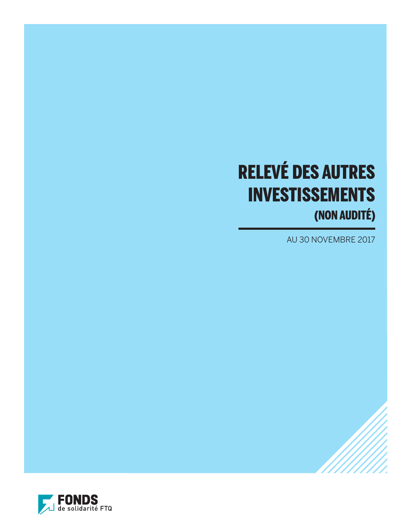# RELEVÉ DES AUTRES INVESTISSEMENTS (NON AUDITÉ)

AU 30 NOVEMBRE 2017

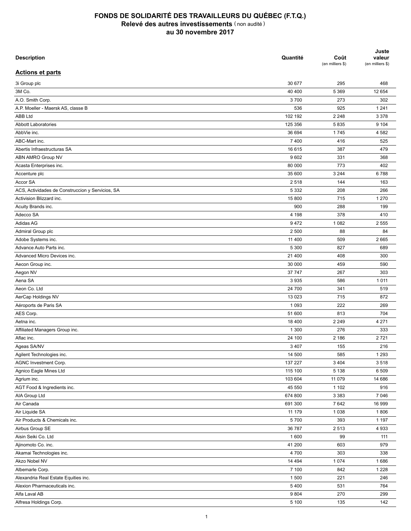| <b>Description</b>                               | Quantité | Coût<br>(en milliers \$) | Juste<br>valeur<br>(en milliers \$) |
|--------------------------------------------------|----------|--------------------------|-------------------------------------|
| <b>Actions et parts</b>                          |          |                          |                                     |
| 3i Group plc                                     | 30 677   | 295                      | 468                                 |
| 3M Co.                                           | 40 400   | 5 3 6 9                  | 12 654                              |
| A.O. Smith Corp.                                 | 3700     | 273                      | 302                                 |
| A.P. Moeller - Maersk AS, classe B               | 536      | 925                      | 1 2 4 1                             |
| <b>ABB Ltd</b>                                   | 102 192  | 2 2 4 8                  | 3 3 7 8                             |
| <b>Abbott Laboratories</b>                       | 125 356  | 5835                     | 9 1 0 4                             |
| AbbVie inc.                                      | 36 694   | 1745                     | 4 5 8 2                             |
| ABC-Mart inc.                                    | 7400     | 416                      | 525                                 |
| Abertis Infraestructuras SA                      | 16 615   | 387                      | 479                                 |
| ABN AMRO Group NV                                | 9602     | 331                      | 368                                 |
| Acasta Enterprises inc.                          | 80 000   | 773                      | 402                                 |
| Accenture plc                                    | 35 600   | 3 2 4 4                  | 6788                                |
|                                                  |          | 144                      |                                     |
| Accor SA                                         | 2518     |                          | 163                                 |
| ACS, Actividades de Construccion y Servicios, SA | 5 3 3 2  | 208                      | 266                                 |
| Activision Blizzard inc.                         | 15 800   | 715                      | 1 2 7 0                             |
| Acuity Brands inc.                               | 900      | 288                      | 199                                 |
| Adecco SA                                        | 4 1 9 8  | 378                      | 410                                 |
| Adidas AG                                        | 9472     | 1 0 8 2                  | 2 5 5 5                             |
| Admiral Group plc                                | 2 500    | 88                       | 84                                  |
| Adobe Systems inc.                               | 11 400   | 509                      | 2665                                |
| Advance Auto Parts inc.                          | 5 3 0 0  | 827                      | 689                                 |
| Advanced Micro Devices inc.                      | 21 400   | 408                      | 300                                 |
| Aecon Group inc.                                 | 30 000   | 459                      | 590                                 |
| Aegon NV                                         | 37 747   | 267                      | 303                                 |
| Aena SA                                          | 3935     | 586                      | 1 0 1 1                             |
| Aeon Co. Ltd                                     | 24 700   | 341                      | 519                                 |
| AerCap Holdings NV                               | 13 0 23  | 715                      | 872                                 |
| Aéroports de Paris SA                            | 1 0 9 3  | 222                      | 269                                 |
| AES Corp.                                        | 51 600   | 813                      | 704                                 |
| Aetna inc.                                       | 18 400   | 2 2 4 9                  | 4 2 7 1                             |
| Affiliated Managers Group inc.                   | 1 300    | 276                      | 333                                 |
| Aflac inc.                                       | 24 100   | 2 186                    | 2721                                |
| Ageas SA/NV                                      | 3 4 0 7  | 155                      | 216                                 |
| Agilent Technologies inc.                        | 14 500   | 585                      | 1 2 9 3                             |
| AGNC Investment Corp.                            | 137 227  | 3 4 0 4                  | 3518                                |
| Agnico Eagle Mines Ltd                           | 115 100  | 5 1 3 8                  | 6 5 0 9                             |
| Agrium inc.                                      | 103 604  | 11 0 79                  | 14 686                              |
| AGT Food & Ingredients inc.                      | 45 550   | 1 1 0 2                  | 916                                 |
| AIA Group Ltd                                    | 674 800  | 3 3 8 3                  | 7 0 46                              |
| Air Canada                                       | 691 300  | 7642                     | 16 999                              |
| Air Liquide SA                                   | 11 179   | 1 0 3 8                  | 1806                                |
| Air Products & Chemicals inc.                    | 5700     | 393                      | 1 1 9 7                             |
| Airbus Group SE                                  | 36 787   | 2513                     | 4933                                |
| Aisin Seiki Co. Ltd                              | 1 600    | 99                       | 111                                 |
|                                                  |          |                          | 979                                 |
| Ajinomoto Co. inc.                               | 41 200   | 603                      |                                     |
| Akamai Technologies inc.                         | 4700     | 303                      | 338                                 |
| Akzo Nobel NV                                    | 14 4 94  | 1 0 7 4                  | 1686                                |
| Albemarle Corp.                                  | 7 100    | 842                      | 1 2 2 8                             |
| Alexandria Real Estate Equities inc.             | 1 500    | 221                      | 246                                 |
| Alexion Pharmaceuticals inc.                     | 5400     | 531                      | 764                                 |
| Alfa Laval AB                                    | 9804     | 270                      | 299                                 |
| Alfresa Holdings Corp.                           | 5 100    | 135                      | 142                                 |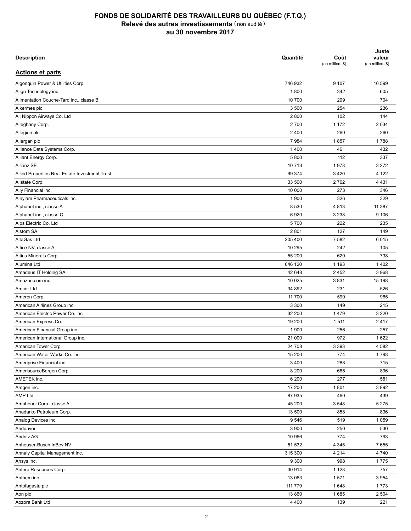| <b>Description</b>                             | Quantité | Coût<br>(en milliers \$) | Juste<br>valeur<br>(en milliers \$) |
|------------------------------------------------|----------|--------------------------|-------------------------------------|
| <b>Actions et parts</b>                        |          |                          |                                     |
| Algonquin Power & Utilities Corp.              | 746 932  | 9 107                    | 10 599                              |
| Align Technology inc.                          | 1800     | 342                      | 605                                 |
| Alimentation Couche-Tard inc., classe B        | 10 700   | 209                      | 704                                 |
| Alkermes plc                                   | 3 500    | 254                      | 236                                 |
| All Nippon Airways Co. Ltd                     | 2800     | 102                      | 144                                 |
| Alleghany Corp.                                | 2700     | 1 172                    | 2 0 3 4                             |
| Allegion plc                                   | 2 4 0 0  | 260                      | 260                                 |
| Allergan plc                                   | 7984     | 1857                     | 1788                                |
| Alliance Data Systems Corp.                    | 1400     | 461                      | 432                                 |
| Alliant Energy Corp.                           | 5 800    | 112                      | 337                                 |
| Allianz SE                                     | 10713    | 1978                     | 3 2 7 2                             |
| Allied Properties Real Estate Investment Trust | 99 374   | 3 4 2 0                  | 4 1 2 2                             |
| Allstate Corp.                                 | 33 500   | 2762                     | 4 4 3 1                             |
| Ally Financial inc.                            | 10 000   | 273                      | 346                                 |
| Alnylam Pharmaceuticals inc.                   | 1 900    | 326                      | 329                                 |
| Alphabet inc., classe A                        | 8 5 3 0  | 4813                     | 11 387                              |
| Alphabet inc., classe C                        | 6920     | 3 2 3 8                  | 9 1 0 6                             |
| Alps Electric Co. Ltd                          | 5700     | 222                      | 235                                 |
| Alstom SA                                      | 2 8 0 1  | 127                      | 149                                 |
| AltaGas Ltd                                    | 205 400  | 7582                     | 6015                                |
| Altice NV, classe A                            | 10 295   | 242                      | 105                                 |
| Altius Minerals Corp.                          | 55 200   | 620                      | 738                                 |
| Alumina Ltd                                    | 646 120  | 1 1 9 3                  | 1 4 0 2                             |
| Amadeus IT Holding SA                          | 42 648   | 2 4 5 2                  | 3 9 6 8                             |
| Amazon.com inc.                                | 10 0 25  | 3831                     | 15 198                              |
| Amcor Ltd                                      | 34 892   | 231                      | 526                                 |
| Ameren Corp.                                   | 11 700   | 590                      | 965                                 |
| American Airlines Group inc.                   | 3 3 0 0  | 149                      | 215                                 |
| American Electric Power Co. inc.               | 32 200   | 1479                     | 3 2 2 0                             |
| American Express Co.                           | 19 200   | 1511                     | 2417                                |
| American Financial Group inc.                  | 1 900    | 256                      | 257                                 |
| American International Group inc.              | 21 000   | 972                      | 1 6 2 2                             |
| American Tower Corp.                           |          |                          |                                     |
|                                                | 24 708   | 3 3 9 3                  | 4 5 8 2<br>1793                     |
| American Water Works Co. inc.                  | 15 200   | 774                      |                                     |
| Ameriprise Financial inc.                      | 3 4 0 0  | 288                      | 715                                 |
| AmerisourceBergen Corp.                        | 8 2 0 0  | 685                      | 896                                 |
| AMETEK inc.                                    | 6 200    | 277                      | 581                                 |
| Amgen inc.                                     | 17 200   | 1801                     | 3892                                |
| <b>AMP Ltd</b>                                 | 87 935   | 460                      | 439                                 |
| Amphenol Corp., classe A                       | 45 200   | 3548                     | 5 2 7 5                             |
| Anadarko Petroleum Corp.                       | 13 500   | 858                      | 836                                 |
| Analog Devices inc.                            | 9546     | 519                      | 1 0 5 9                             |
| Andeavor                                       | 3 9 0 0  | 250                      | 530                                 |
| Andritz AG                                     | 10 966   | 774                      | 793                                 |
| Anheuser-Busch InBev NV                        | 51 532   | 4 3 4 5                  | 7655                                |
| Annaly Capital Management inc.                 | 315 300  | 4 2 1 4                  | 4740                                |
| Ansys inc.                                     | 9 3 0 0  | 998                      | 1775                                |
| Antero Resources Corp.                         | 30 914   | 1 1 2 8                  | 757                                 |
| Anthem inc.                                    | 13 063   | 1571                     | 3 9 5 4                             |
| Antofagasta plc                                | 111 779  | 1648                     | 1773                                |
| Aon plc                                        | 13 860   | 1685                     | 2 5 0 4                             |
| Aozora Bank Ltd                                | 4 4 0 0  | 139                      | 221                                 |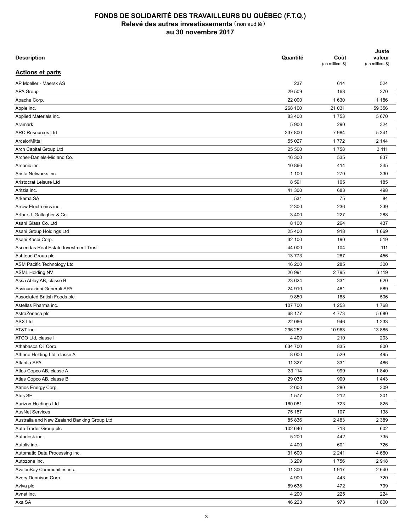| <b>Description</b>                          | Quantité | Coût<br>(en milliers \$) | Juste<br>valeur<br>(en milliers \$) |
|---------------------------------------------|----------|--------------------------|-------------------------------------|
| <b>Actions et parts</b>                     |          |                          |                                     |
| AP Moeller - Maersk AS                      | 237      | 614                      | 524                                 |
| APA Group                                   | 29 509   | 163                      | 270                                 |
| Apache Corp.                                | 22 000   | 1 6 3 0                  | 1 1 8 6                             |
| Apple inc.                                  | 268 100  | 21 031                   | 59 356                              |
| Applied Materials inc.                      | 83 400   | 1753                     | 5 6 7 0                             |
| Aramark                                     | 5 9 0 0  | 290                      | 324                                 |
| <b>ARC Resources Ltd</b>                    | 337 800  | 7984                     | 5 3 4 1                             |
| ArcelorMittal                               | 55 027   | 1772                     | 2 144                               |
| Arch Capital Group Ltd                      | 25 500   | 1758                     | 3 1 1 1                             |
| Archer-Daniels-Midland Co.                  | 16 300   | 535                      | 837                                 |
| Arconic inc.                                | 10 866   | 414                      | 345                                 |
| Arista Networks inc.                        | 1 100    | 270                      | 330                                 |
| Aristocrat Leisure Ltd                      | 8591     | 105                      | 185                                 |
| Aritzia inc.                                | 41 300   | 683                      | 498                                 |
| Arkema SA                                   | 531      | 75                       | 84                                  |
| Arrow Electronics inc.                      | 2 3 0 0  | 236                      | 239                                 |
| Arthur J. Gallagher & Co.                   | 3 4 0 0  | 227                      | 288                                 |
| Asahi Glass Co. Ltd                         | 8 100    | 264                      | 437                                 |
| Asahi Group Holdings Ltd                    | 25 400   | 918                      | 1669                                |
| Asahi Kasei Corp.                           | 32 100   | 190                      | 519                                 |
| Ascendas Real Estate Investment Trust       | 44 000   | 104                      | 111                                 |
| Ashtead Group plc                           | 13773    | 287                      | 456                                 |
| ASM Pacific Technology Ltd                  | 16 200   | 285                      | 300                                 |
| <b>ASML Holding NV</b>                      | 26 991   | 2795                     | 6 119                               |
| Assa Abloy AB, classe B                     | 23 624   | 331                      | 620                                 |
| Assicurazioni Generali SPA                  | 24 910   | 481                      | 589                                 |
| Associated British Foods plc                | 9850     | 188                      | 506                                 |
| Astellas Pharma inc.                        | 107 700  | 1 2 5 3                  | 1768                                |
| AstraZeneca plc                             | 68 177   | 4 7 7 3                  | 5 6 8 0                             |
| <b>ASX Ltd</b>                              | 22 066   | 946                      | 1 2 3 3                             |
| AT&T inc.                                   | 296 252  | 10 963                   |                                     |
|                                             |          |                          | 13 8 85                             |
| ATCO Ltd, classe I                          | 4 4 0 0  | 210                      | 203                                 |
| Athabasca Oil Corp.                         | 634 700  | 835                      | 800                                 |
| Athene Holding Ltd, classe A                | 8 0 0 0  | 529                      | 495                                 |
| Atlantia SPA                                | 11 3 27  | 331                      | 486                                 |
| Atlas Copco AB, classe A                    | 33 114   | 999                      | 1840                                |
| Atlas Copco AB, classe B                    | 29 0 35  | 900                      | 1443                                |
| Atmos Energy Corp.                          | 2 600    | 280                      | 309                                 |
| Atos SE                                     | 1577     | 212                      | 301                                 |
| Aurizon Holdings Ltd                        | 160 081  | 723                      | 825                                 |
| <b>AusNet Services</b>                      | 75 187   | 107                      | 138                                 |
| Australia and New Zealand Banking Group Ltd | 85 836   | 2 4 8 3                  | 2 3 8 9                             |
| Auto Trader Group plc                       | 102 640  | 713                      | 602                                 |
| Autodesk inc.                               | 5 200    | 442                      | 735                                 |
| Autoliv inc.                                | 4 4 0 0  | 601                      | 726                                 |
| Automatic Data Processing inc.              | 31 600   | 2 2 4 1                  | 4 6 6 0                             |
| Autozone inc.                               | 3 2 9 9  | 1756                     | 2918                                |
| AvalonBay Communities inc.                  | 11 300   | 1917                     | 2 640                               |
| Avery Dennison Corp.                        | 4 9 0 0  | 443                      | 720                                 |
| Aviva plc                                   | 89 638   | 472                      | 799                                 |
| Avnet inc.                                  | 4 200    | 225                      | 224                                 |
| Axa SA                                      | 46 223   | 973                      | 1800                                |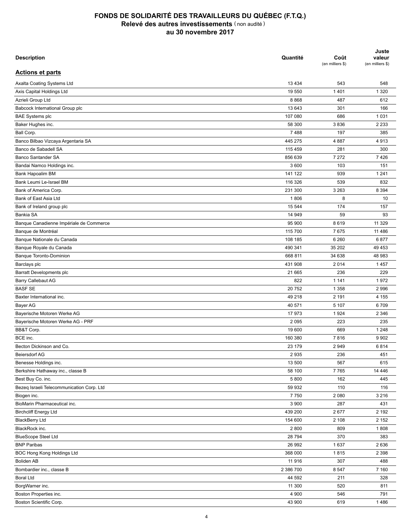| <b>Description</b>                        | Quantité          | Coût<br>(en milliers \$) | Juste<br>valeur<br>(en milliers \$) |
|-------------------------------------------|-------------------|--------------------------|-------------------------------------|
| <b>Actions et parts</b>                   |                   |                          |                                     |
| Axalta Coating Systems Ltd                | 13 4 34           | 543                      | 548                                 |
| Axis Capital Holdings Ltd                 | 19 550            | 1401                     | 1 3 2 0                             |
| Azrieli Group Ltd                         | 8868              | 487                      | 612                                 |
| Babcock International Group plc           | 13 643            | 301                      | 166                                 |
| <b>BAE Systems plc</b>                    | 107 080           | 686                      | 1 0 3 1                             |
| Baker Hughes inc.                         | 58 300            | 3836                     | 2 2 3 3                             |
| Ball Corp.                                | 7488              | 197                      | 385                                 |
| Banco Bilbao Vizcaya Argentaria SA        | 445 275           | 4887                     | 4913                                |
| Banco de Sabadell SA                      | 115 459           | 281                      | 300                                 |
| Banco Santander SA                        | 856 639           | 7 2 7 2                  | 7426                                |
| Bandai Namco Holdings inc.                | 3 600             | 103                      | 151                                 |
| Bank Hapoalim BM                          | 141 122           | 939                      | 1 2 4 1                             |
| Bank Leumi Le-Israel BM                   | 116 326           | 539                      | 832                                 |
|                                           | 231 300           | 3 2 6 3                  | 8 3 9 4                             |
| Bank of America Corp.                     |                   |                          |                                     |
| Bank of East Asia Ltd                     | 1806              | 8                        | 10                                  |
| Bank of Ireland group plc                 | 15 544            | 174                      | 157                                 |
| Bankia SA                                 | 14 949            | 59                       | 93                                  |
| Banque Canadienne Impériale de Commerce   | 95 900            | 8619                     | 11 3 29                             |
| Banque de Montréal                        | 115 700           | 7675                     | 11 4 8 6                            |
| Banque Nationale du Canada                | 108 185           | 6 2 6 0                  | 6877                                |
| Banque Royale du Canada                   | 490 341           | 35 202                   | 49 453                              |
| Banque Toronto-Dominion                   | 668 811           | 34 638                   | 48 983                              |
| Barclays plc                              | 431 908           | 2014                     | 1457                                |
| Barratt Developments plc                  | 21 665            | 236                      | 229                                 |
| Barry Callebaut AG                        | 822               | 1 1 4 1                  | 1972                                |
| <b>BASF SE</b>                            | 20752             | 1 3 5 8                  | 2 9 9 6                             |
| Baxter International inc.                 | 49 218            | 2 1 9 1                  | 4 1 5 5                             |
| Bayer AG                                  | 40 571            | 5 107                    | 6709                                |
| Bayerische Motoren Werke AG               | 17 973            | 1924                     | 2 3 4 6                             |
| Bayerische Motoren Werke AG - PRF         | 2095              | 223                      | 235                                 |
| BB&T Corp.                                | 19 600            | 669                      | 1 2 4 8                             |
| BCE inc.                                  | 160 380           | 7816                     | 9 9 0 2                             |
| Becton Dickinson and Co.                  | 23 179            | 2949                     | 6814                                |
| Beiersdorf AG                             | 2935              | 236                      | 451                                 |
| Benesse Holdings inc.                     | 13 500            | 567                      | 615                                 |
| Berkshire Hathaway inc., classe B         | 58 100            | 7765                     | 14 4 4 6                            |
| Best Buy Co. inc.                         | 5 800             | 162                      | 445                                 |
| Bezeg Israeli Telecommunication Corp. Ltd | 59 932            | 110                      | 116                                 |
| Biogen inc.                               | 7750              | 2 0 8 0                  | 3 2 1 6                             |
| BioMarin Pharmaceutical inc.              | 3 9 0 0           | 287                      | 431                                 |
| <b>Birchcliff Energy Ltd</b>              | 439 200           | 2677                     | 2 1 9 2                             |
| <b>BlackBerry Ltd</b>                     | 154 600           | 2 108                    | 2 1 5 2                             |
| BlackRock inc.                            | 2800              | 809                      | 1808                                |
| <b>BlueScope Steel Ltd</b>                | 28 794            | 370                      | 383                                 |
| <b>BNP Paribas</b>                        | 26 992            | 1637                     | 2 6 3 6                             |
| BOC Hong Kong Holdings Ltd                |                   |                          | 2 3 9 8                             |
|                                           | 368 000<br>11 916 | 1815<br>307              |                                     |
| <b>Boliden AB</b>                         |                   |                          | 488                                 |
| Bombardier inc., classe B                 | 2 386 700         | 8 5 4 7                  | 7 1 6 0                             |
| <b>Boral Ltd</b>                          | 44 592            | 211                      | 328                                 |
| BorgWarner inc.                           | 11 300            | 520                      | 811                                 |
| Boston Properties inc.                    | 4 9 0 0           | 546                      | 791                                 |
| Boston Scientific Corp.                   | 43 900            | 619                      | 1486                                |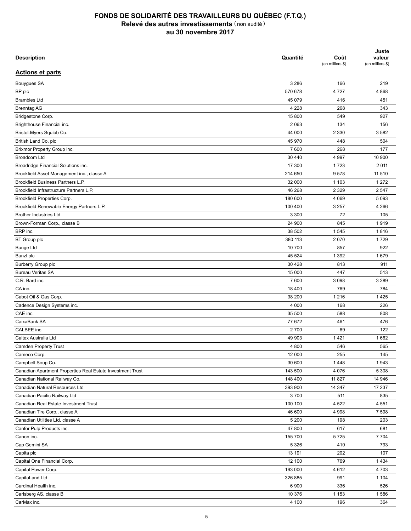| <b>Description</b>                                         | Quantité | Coût<br>(en milliers \$) | Juste<br>valeur<br>(en milliers \$) |
|------------------------------------------------------------|----------|--------------------------|-------------------------------------|
| <b>Actions et parts</b>                                    |          |                          |                                     |
| Bouygues SA                                                | 3 2 8 6  | 166                      | 219                                 |
| BP plc                                                     | 570 678  | 4727                     | 4 8 6 8                             |
| <b>Brambles Ltd</b>                                        | 45 079   | 416                      | 451                                 |
| <b>Brenntag AG</b>                                         | 4 2 2 8  | 268                      | 343                                 |
| Bridgestone Corp.                                          | 15 800   | 549                      | 927                                 |
| Brighthouse Financial inc.                                 | 2 0 6 3  | 134                      | 156                                 |
| Bristol-Myers Squibb Co.                                   | 44 000   | 2 3 3 0                  | 3582                                |
| British Land Co. plc                                       | 45 970   | 448                      | 504                                 |
| Brixmor Property Group inc.                                | 7600     | 268                      | 177                                 |
| Broadcom Ltd                                               | 30 440   | 4 9 9 7                  | 10 900                              |
| Broadridge Financial Solutions inc.                        | 17 300   | 1723                     | 2 0 1 1                             |
| Brookfield Asset Management inc., classe A                 | 214 650  | 9578                     | 11 510                              |
| Brookfield Business Partners L.P.                          | 32 000   | 1 1 0 3                  | 1 2 7 2                             |
| Brookfield Infrastructure Partners L.P.                    | 46 268   | 2 3 2 9                  | 2 5 4 7                             |
| Brookfield Properties Corp.                                | 180 600  | 4 0 6 9                  | 5 0 9 3                             |
| Brookfield Renewable Energy Partners L.P.                  | 100 400  | 3 2 5 7                  | 4 2 6 6                             |
| <b>Brother Industries Ltd</b>                              | 3 3 0 0  | 72                       | 105                                 |
| Brown-Forman Corp., classe B                               | 24 900   | 845                      | 1919                                |
| BRP inc.                                                   | 38 502   | 1 5 4 5                  | 1816                                |
| BT Group plc                                               | 380 113  | 2070                     | 1729                                |
| <b>Bunge Ltd</b>                                           | 10 700   | 857                      | 922                                 |
| Bunzl plc                                                  | 45 524   | 1 3 9 2                  | 1679                                |
| Burberry Group plc                                         | 30 4 28  | 813                      | 911                                 |
| <b>Bureau Veritas SA</b>                                   | 15 000   | 447                      | 513                                 |
| C.R. Bard inc.                                             | 7600     | 3 0 9 8                  | 3 2 8 9                             |
| CA inc.                                                    | 18 400   | 769                      | 784                                 |
|                                                            | 38 200   | 1 2 1 6                  | 1425                                |
| Cabot Oil & Gas Corp.                                      |          |                          |                                     |
| Cadence Design Systems inc.                                | 4 0 0 0  | 168                      | 226                                 |
| CAE inc.                                                   | 35 500   | 588                      | 808                                 |
| CaixaBank SA                                               | 77 672   | 461                      | 476                                 |
| CALBEE inc.                                                | 2700     | 69                       | 122                                 |
| Caltex Australia Ltd                                       | 49 903   | 1421                     | 1662                                |
| Camden Property Trust                                      | 4 800    | 546                      | 565                                 |
| Cameco Corp.                                               | 12 000   | 255                      | 145                                 |
| Campbell Soup Co.                                          | 30 600   | 1448                     | 1943                                |
| Canadian Apartment Properties Real Estate Investment Trust | 143 500  | 4 0 7 6                  | 5 3 0 8                             |
| Canadian National Railway Co.                              | 148 400  | 11 827                   | 14 946                              |
| Canadian Natural Resources Ltd                             | 393 900  | 14 347                   | 17 237                              |
| Canadian Pacific Railway Ltd                               | 3700     | 511                      | 835                                 |
| Canadian Real Estate Investment Trust                      | 100 100  | 4 5 22                   | 4 5 5 1                             |
| Canadian Tire Corp., classe A                              | 46 600   | 4 9 9 8                  | 7 5 9 8                             |
| Canadian Utilities Ltd, classe A                           | 5 200    | 198                      | 203                                 |
| Canfor Pulp Products inc.                                  | 47 800   | 617                      | 681                                 |
| Canon inc.                                                 | 155 700  | 5725                     | 7 7 0 4                             |
| Cap Gemini SA                                              | 5 3 2 6  | 410                      | 793                                 |
| Capita plc                                                 | 13 191   | 202                      | 107                                 |
| Capital One Financial Corp.                                | 12 100   | 769                      | 1 4 3 4                             |
| Capital Power Corp.                                        | 193 000  | 4612                     | 4 7 0 3                             |
| CapitaLand Ltd                                             | 326 885  | 991                      | 1 1 0 4                             |
| Cardinal Health inc.                                       | 6 9 0 0  | 336                      | 526                                 |
| Carlsberg AS, classe B                                     | 10 376   | 1 1 5 3                  | 1586                                |
| CarMax inc.                                                | 4 100    | 196                      | 364                                 |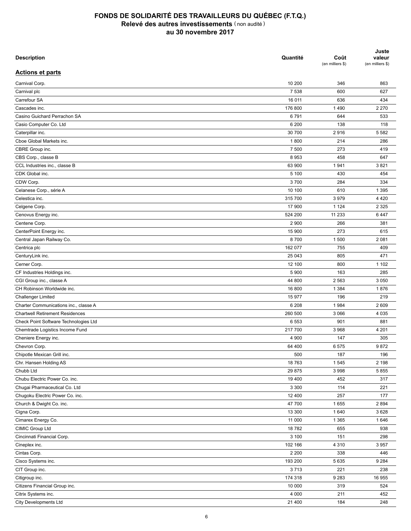| <b>Description</b>                     | Quantité | Coût<br>(en milliers \$) | Juste<br>valeur<br>(en milliers \$) |
|----------------------------------------|----------|--------------------------|-------------------------------------|
| <b>Actions et parts</b>                |          |                          |                                     |
| Carnival Corp.                         | 10 200   | 346                      | 863                                 |
| Carnival plc                           | 7 5 3 8  | 600                      | 627                                 |
| Carrefour SA                           | 16 011   | 636                      | 434                                 |
| Cascades inc.                          | 176 800  | 1490                     | 2 2 7 0                             |
| Casino Guichard Perrachon SA           | 6791     | 644                      | 533                                 |
| Casio Computer Co. Ltd                 | 6 200    | 138                      | 118                                 |
| Caterpillar inc.                       | 30 700   | 2916                     | 5 5 8 2                             |
| Cboe Global Markets inc.               | 1800     | 214                      | 286                                 |
| CBRE Group inc.                        | 7 500    | 273                      | 419                                 |
| CBS Corp., classe B                    | 8953     | 458                      | 647                                 |
| CCL Industries inc., classe B          | 63 900   | 1941                     | 3821                                |
| CDK Global inc.                        | 5 100    | 430                      | 454                                 |
| CDW Corp.                              | 3700     | 284                      | 334                                 |
| Celanese Corp., série A                | 10 100   | 610                      | 1 3 9 5                             |
| Celestica inc.                         | 315 700  | 3979                     | 4 4 2 0                             |
| Celgene Corp.                          | 17 900   | 1 1 2 4                  | 2 3 2 5                             |
| Cenovus Energy inc.                    | 524 200  | 11 2 3 3                 | 6447                                |
| Centene Corp.                          | 2 9 0 0  | 266                      | 381                                 |
| CenterPoint Energy inc.                | 15 900   | 273                      | 615                                 |
| Central Japan Railway Co.              | 8700     | 1 500                    | 2 0 8 1                             |
| Centrica plc                           | 162 077  | 755                      | 409                                 |
| CenturyLink inc.                       | 25 043   | 805                      | 471                                 |
| Cerner Corp.                           | 12 100   | 800                      | 1 1 0 2                             |
| CF Industries Holdings inc.            | 5 9 0 0  | 163                      | 285                                 |
| CGI Group inc., classe A               | 44 800   | 2 5 6 3                  | 3 0 5 0                             |
| CH Robinson Worldwide inc.             | 16 800   | 1 3 8 4                  | 1876                                |
| <b>Challenger Limited</b>              | 15 977   | 196                      | 219                                 |
| Charter Communications inc., classe A  | 6 208    | 1984                     | 2 609                               |
| <b>Chartwell Retirement Residences</b> | 260 500  | 3 0 6 6                  | 4 0 3 5                             |
| Check Point Software Technologies Ltd  | 6 5 5 3  | 901                      | 881                                 |
| Chemtrade Logistics Income Fund        | 217700   | 3 9 6 8                  | 4 201                               |
| Cheniere Energy inc.                   | 4 9 0 0  | 147                      | 305                                 |
| Chevron Corp.                          | 64 400   | 6575                     | 9872                                |
| Chipotle Mexican Grill inc.            | 500      | 187                      | 196                                 |
| Chr. Hansen Holding AS                 | 18 763   | 1545                     | 2 1 9 8                             |
| Chubb Ltd                              | 29 875   | 3 9 9 8                  | 5855                                |
|                                        | 19 400   |                          |                                     |
| Chubu Electric Power Co. inc.          | 3 3 0 0  | 452                      | 317                                 |
| Chugai Pharmaceutical Co. Ltd          |          | 114                      | 221                                 |
| Chugoku Electric Power Co. inc.        | 12 400   | 257                      | 177                                 |
| Church & Dwight Co. inc.               | 47 700   | 1655                     | 2 8 9 4                             |
| Cigna Corp.                            | 13 300   | 1640                     | 3628                                |
| Cimarex Energy Co.                     | 11 000   | 1 3 6 5                  | 1646                                |
| CIMIC Group Ltd                        | 18782    | 655                      | 938                                 |
| Cincinnati Financial Corp.             | 3 100    | 151                      | 298                                 |
| Cineplex inc.                          | 102 166  | 4 3 1 0                  | 3 9 5 7                             |
| Cintas Corp.                           | 2 2 0 0  | 338                      | 446                                 |
| Cisco Systems inc.                     | 193 200  | 5635                     | 9 2 8 4                             |
| CIT Group inc.                         | 3713     | 221                      | 238                                 |
| Citigroup inc.                         | 174 318  | 9 2 8 3                  | 16 955                              |
| Citizens Financial Group inc.          | 10 000   | 319                      | 524                                 |
| Citrix Systems inc.                    | 4 0 0 0  | 211                      | 452                                 |
| <b>City Developments Ltd</b>           | 21 400   | 184                      | 248                                 |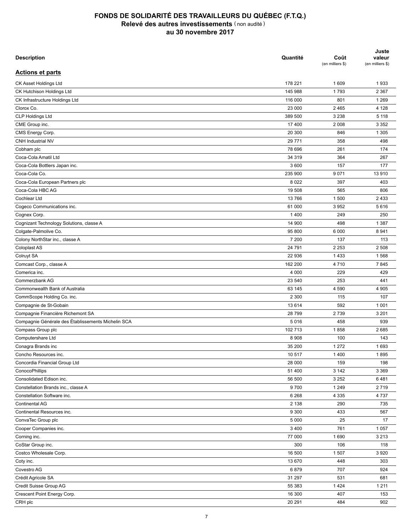| <b>Description</b>                                 | Quantité          | Coût<br>(en milliers \$) | Juste<br>valeur<br>(en milliers \$) |
|----------------------------------------------------|-------------------|--------------------------|-------------------------------------|
| <b>Actions et parts</b>                            |                   |                          |                                     |
| CK Asset Holdings Ltd                              | 178 221           | 1 609                    | 1933                                |
| CK Hutchison Holdings Ltd                          | 145 988           | 1793                     | 2 3 6 7                             |
| CK Infrastructure Holdings Ltd                     | 116 000           | 801                      | 1 2 6 9                             |
| Clorox Co.                                         | 23 000            | 2 4 6 5                  | 4 1 2 8                             |
| CLP Holdings Ltd                                   | 389 500           | 3 2 3 8                  | 5 1 1 8                             |
| CME Group inc.                                     | 17 400            | 2 0 0 8                  | 3 3 5 2                             |
| CMS Energy Corp.                                   | 20 300            | 846                      | 1 3 0 5                             |
| CNH Industrial NV                                  | 29 771            | 358                      | 498                                 |
| Cobham plc                                         | 78 696            | 261                      | 174                                 |
| Coca-Cola Amatil Ltd                               | 34 319            | 364                      | 267                                 |
| Coca-Cola Bottlers Japan inc.                      | 3 600             | 157                      | 177                                 |
| Coca-Cola Co.                                      | 235 900           | 9 0 7 1                  | 13 910                              |
| Coca-Cola European Partners plc                    | 8 0 2 2           | 397                      | 403                                 |
| Coca-Cola HBC AG                                   | 19 508            | 565                      | 806                                 |
| Cochlear Ltd                                       | 13 766            | 1 500                    | 2 4 3 3                             |
| Cogeco Communications inc.                         | 61 000            | 3952                     | 5616                                |
| Cognex Corp.                                       | 1 4 0 0           | 249                      | 250                                 |
| Cognizant Technology Solutions, classe A           | 14 900            | 498                      | 1 3 8 7                             |
| Colgate-Palmolive Co.                              | 95 800            | 6 0 0 0                  | 8 9 4 1                             |
| Colony NorthStar inc., classe A                    | 7 200             | 137                      | 113                                 |
|                                                    | 24 791            | 2 2 5 3                  | 2 508                               |
| Coloplast AS                                       |                   |                          |                                     |
| Colruyt SA                                         | 22 936<br>162 200 | 1433<br>4710             | 1568<br>7845                        |
| Comcast Corp., classe A                            |                   |                          |                                     |
| Comerica inc.                                      | 4 0 0 0           | 229                      | 429                                 |
| Commerzbank AG                                     | 23 540            | 253                      | 441                                 |
| Commonwealth Bank of Australia                     | 63 145            | 4 5 9 0                  | 4 9 0 5                             |
| CommScope Holding Co. inc.                         | 2 3 0 0           | 115                      | 107                                 |
| Compagnie de St-Gobain                             | 13 6 14           | 592                      | 1 0 0 1                             |
| Compagnie Financière Richemont SA                  | 28 799            | 2739                     | 3 2 0 1                             |
| Compagnie Générale des Établissements Michelin SCA | 5016              | 458                      | 939                                 |
| Compass Group plc                                  | 102 713           | 1858                     | 2685                                |
| Computershare Ltd                                  | 8 9 0 8           | 100                      | 143                                 |
| Conagra Brands inc                                 | 35 200            | 1 2 7 2                  | 1693                                |
| Concho Resources inc.                              | 10 517            | 1 4 0 0                  | 1895                                |
| Concordia Financial Group Ltd                      | 28 000            | 159                      | 198                                 |
| ConocoPhillips                                     | 51 400            | 3 142                    | 3 3 6 9                             |
| Consolidated Edison inc.                           | 56 500            | 3 2 5 2                  | 6481                                |
| Constellation Brands inc., classe A                | 9700              | 1 2 4 9                  | 2719                                |
| Constellation Software inc.                        | 6 2 6 8           | 4 3 3 5                  | 4737                                |
| Continental AG                                     | 2 1 3 8           | 290                      | 735                                 |
| Continental Resources inc.                         | 9 3 0 0           | 433                      | 567                                 |
| ConvaTec Group plc                                 | 5 0 0 0           | 25                       | 17                                  |
| Cooper Companies inc.                              | 3 4 0 0           | 761                      | 1 0 5 7                             |
| Corning inc.                                       | 77 000            | 1690                     | 3 2 1 3                             |
| CoStar Group inc.                                  | 300               | 106                      | 118                                 |
| Costco Wholesale Corp.                             | 16 500            | 1507                     | 3 9 2 0                             |
| Coty inc.                                          | 13 670            | 448                      | 303                                 |
| Covestro AG                                        | 6879              | 707                      | 924                                 |
| Crédit Agricole SA                                 | 31 297            | 531                      | 681                                 |
| Credit Suisse Group AG                             | 55 383            | 1424                     | 1 2 1 1                             |
| Crescent Point Energy Corp.                        | 16 300            | 407                      | 153                                 |
| CRH plc                                            | 20 291            | 484                      | 902                                 |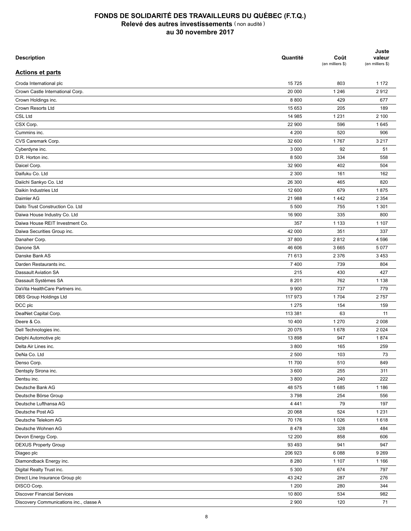| <b>Description</b>                      | Quantité | Coût<br>(en milliers \$) | Juste<br>valeur<br>(en milliers \$) |
|-----------------------------------------|----------|--------------------------|-------------------------------------|
| <b>Actions et parts</b>                 |          |                          |                                     |
| Croda International plc                 | 15 7 25  | 803                      | 1 1 7 2                             |
| Crown Castle International Corp.        | 20 000   | 1 2 4 6                  | 2912                                |
| Crown Holdings inc.                     | 8800     | 429                      | 677                                 |
| Crown Resorts Ltd                       | 15 653   | 205                      | 189                                 |
| <b>CSL Ltd</b>                          | 14 985   | 1 2 3 1                  | 2 100                               |
| CSX Corp.                               | 22 900   | 596                      | 1645                                |
| Cummins inc.                            | 4 200    | 520                      | 906                                 |
| CVS Caremark Corp.                      | 32 600   | 1767                     | 3 2 1 7                             |
| Cyberdyne inc.                          | 3 0 0 0  | 92                       | 51                                  |
| D.R. Horton inc.                        | 8 500    | 334                      | 558                                 |
| Daicel Corp.                            | 32 900   | 402                      | 504                                 |
| Daifuku Co. Ltd                         | 2 3 0 0  | 161                      | 162                                 |
| Daiichi Sankyo Co. Ltd                  | 26 300   | 465                      | 820                                 |
| Daikin Industries Ltd                   | 12 600   | 679                      | 1875                                |
| Daimler AG                              | 21 988   | 1442                     | 2 3 5 4                             |
| Daito Trust Construction Co. Ltd        | 5 500    | 755                      | 1 3 0 1                             |
| Daiwa House Industry Co. Ltd            | 16 900   | 335                      | 800                                 |
| Daiwa House REIT Investment Co.         | 357      | 1 1 3 3                  | 1 1 0 7                             |
| Daiwa Securities Group inc.             | 42 000   | 351                      | 337                                 |
| Danaher Corp.                           | 37 800   | 2812                     | 4 5 9 6                             |
| Danone SA                               | 46 606   | 3 6 6 5                  | 5 0 7 7                             |
| Danske Bank AS                          | 71 613   | 2 3 7 6                  | 3 4 5 3                             |
| Darden Restaurants inc.                 | 7 400    | 739                      | 804                                 |
| Dassault Aviation SA                    | 215      | 430                      | 427                                 |
| Dassault Systèmes SA                    | 8 2 0 1  | 762                      | 1 1 3 8                             |
| DaVita HealthCare Partners inc.         | 9 9 0 0  | 737                      | 779                                 |
| DBS Group Holdings Ltd                  | 117 973  | 1 7 0 4                  | 2757                                |
| DCC plc                                 | 1 2 7 5  | 154                      | 159                                 |
| DealNet Capital Corp.                   | 113 381  | 63                       | 11                                  |
| Deere & Co.                             | 10 400   | 1 2 7 0                  | 2 0 0 8                             |
|                                         |          |                          |                                     |
| Dell Technologies inc.                  | 20 075   | 1678                     | 2 0 2 4                             |
| Delphi Automotive plc                   | 13898    | 947                      | 1874                                |
| Delta Air Lines inc.                    | 3 800    | 165                      | 259                                 |
| DeNa Co. Ltd                            | 2 500    | 103                      | 73                                  |
| Denso Corp.                             | 11 700   | 510                      | 849                                 |
| Dentsply Sirona inc.                    | 3 600    | 255                      | 311                                 |
| Dentsu inc.                             | 3 800    | 240                      | 222                                 |
| Deutsche Bank AG                        | 48 575   | 1685                     | 1 1 8 6                             |
| Deutsche Börse Group                    | 3798     | 254                      | 556                                 |
| Deutsche Lufthansa AG                   | 4 4 4 1  | 79                       | 197                                 |
| Deutsche Post AG                        | 20 068   | 524                      | 1 2 3 1                             |
| Deutsche Telekom AG                     | 70 176   | 1 0 2 6                  | 1618                                |
| Deutsche Wohnen AG                      | 8478     | 328                      | 484                                 |
| Devon Energy Corp.                      | 12 200   | 858                      | 606                                 |
| <b>DEXUS Property Group</b>             | 93 4 93  | 941                      | 947                                 |
| Diageo plc                              | 206 923  | 6088                     | 9 2 6 9                             |
| Diamondback Energy inc.                 | 8 2 8 0  | 1 107                    | 1 1 6 6                             |
| Digital Realty Trust inc.               | 5 3 0 0  | 674                      | 797                                 |
| Direct Line Insurance Group plc         | 43 242   | 287                      | 276                                 |
| DISCO Corp.                             | 1 200    | 280                      | 344                                 |
| <b>Discover Financial Services</b>      | 10 800   | 534                      | 982                                 |
| Discovery Communications inc., classe A | 2 9 0 0  | 120                      | 71                                  |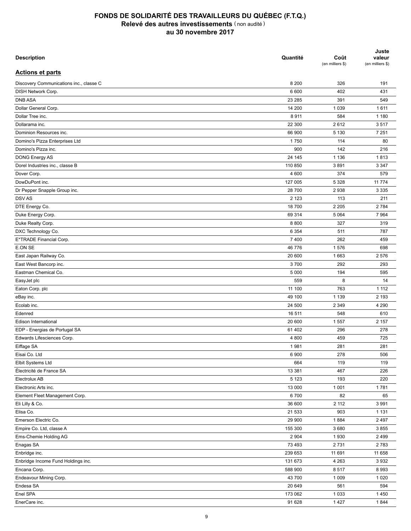| <b>Description</b>                      | Quantité | Coût<br>(en milliers \$) | Juste<br>valeur<br>(en milliers \$) |
|-----------------------------------------|----------|--------------------------|-------------------------------------|
| <b>Actions et parts</b>                 |          |                          |                                     |
| Discovery Communications inc., classe C | 8 2 0 0  | 326                      | 191                                 |
| DISH Network Corp.                      | 6 600    | 402                      | 431                                 |
| <b>DNB ASA</b>                          | 23 285   | 391                      | 549                                 |
| Dollar General Corp.                    | 14 200   | 1 0 3 9                  | 1611                                |
| Dollar Tree inc.                        | 8911     | 584                      | 1 1 8 0                             |
| Dollarama inc.                          | 22 300   | 2612                     | 3517                                |
| Dominion Resources inc.                 | 66 900   | 5 1 3 0                  | 7 2 5 1                             |
| Domino's Pizza Enterprises Ltd          | 1750     | 114                      | 80                                  |
| Domino's Pizza inc.                     | 900      | 142                      | 216                                 |
| DONG Energy AS                          | 24 145   | 1 1 3 6                  | 1813                                |
| Dorel Industries inc., classe B         | 110 850  | 3891                     | 3 3 4 7                             |
| Dover Corp.                             | 4 600    | 374                      | 579                                 |
| DowDuPont inc.                          | 127 005  | 5 3 2 8                  | 11 7 7 4                            |
| Dr Pepper Snapple Group inc.            | 28 700   | 2938                     | 3 3 3 5                             |
| <b>DSVAS</b>                            | 2 1 2 3  | 113                      | 211                                 |
| DTE Energy Co.                          | 18700    | 2 2 0 5                  | 2 7 8 4                             |
| Duke Energy Corp.                       | 69 314   | 5 0 64                   | 7964                                |
| Duke Realty Corp.                       | 8800     | 327                      | 319                                 |
| DXC Technology Co.                      | 6 3 5 4  | 511                      | 787                                 |
| E*TRADE Financial Corp.                 | 7 4 0 0  | 262                      | 459                                 |
| E.ON SE                                 | 46 776   | 1576                     | 698                                 |
| East Japan Railway Co.                  | 20 600   | 1663                     | 2 5 7 6                             |
| East West Bancorp inc.                  | 3700     | 292                      | 293                                 |
| Eastman Chemical Co.                    | 5 0 0 0  | 194                      | 595                                 |
|                                         | 559      | 8                        | 14                                  |
| EasyJet plc<br>Eaton Corp. plc          | 11 100   | 763                      | 1 1 1 2                             |
|                                         | 49 100   | 1 1 3 9                  | 2 1 9 3                             |
| eBay inc.                               |          |                          |                                     |
| Ecolab inc.<br>Edenred                  | 24 500   | 2 3 4 9<br>548           | 4 2 9 0<br>610                      |
|                                         | 16 511   |                          |                                     |
| Edison International                    | 20 600   | 1 5 5 7                  | 2 157                               |
| EDP - Energias de Portugal SA           | 61 402   | 296                      | 278                                 |
| Edwards Lifesciences Corp.              | 4 800    | 459                      | 725                                 |
| Eiffage SA                              | 1981     | 281                      | 281                                 |
| Eisai Co. Ltd                           | 6 900    | 278                      | 506                                 |
| Elbit Systems Ltd                       | 664      | 119                      | 119                                 |
| Électricité de France SA                | 13 381   | 467                      | 226                                 |
| Electrolux AB                           | 5 1 2 3  | 193                      | 220                                 |
| Electronic Arts inc.                    | 13 000   | 1 0 0 1                  | 1781                                |
| Element Fleet Management Corp.          | 6700     | 82                       | 65                                  |
| Eli Lilly & Co.                         | 36 600   | 2 112                    | 3 9 9 1                             |
| Elisa Co.                               | 21 533   | 903                      | 1 1 3 1                             |
| Emerson Electric Co.                    | 29 900   | 1884                     | 2 4 9 7                             |
| Empire Co. Ltd, classe A                | 155 300  | 3680                     | 3855                                |
| Ems-Chemie Holding AG                   | 2 9 0 4  | 1930                     | 2 4 9 9                             |
| Enagas SA                               | 73 493   | 2731                     | 2783                                |
| Enbridge inc.                           | 239 653  | 11 691                   | 11 658                              |
| Enbridge Income Fund Holdings inc.      | 131 673  | 4 2 6 3                  | 3 9 3 2                             |
| Encana Corp.                            | 588 900  | 8517                     | 8993                                |
| Endeavour Mining Corp.                  | 43 700   | 1 0 0 9                  | 1 0 2 0                             |
| Endesa SA                               | 20 649   | 561                      | 594                                 |
| Enel SPA                                | 173 062  | 1 0 3 3                  | 1450                                |
| EnerCare inc.                           | 91 628   | 1 4 2 7                  | 1844                                |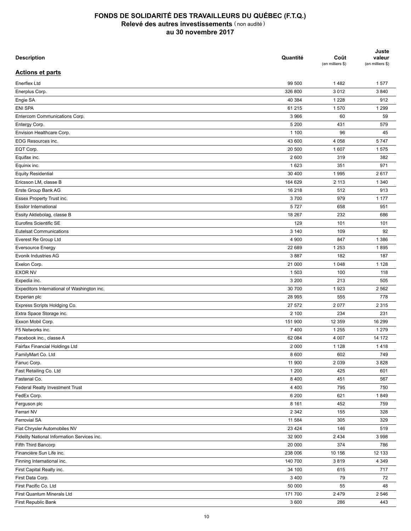| <b>Description</b>                          | Quantité | Coût<br>(en milliers \$) | Juste<br>valeur<br>(en milliers \$) |
|---------------------------------------------|----------|--------------------------|-------------------------------------|
| <b>Actions et parts</b>                     |          |                          |                                     |
| Enerflex Ltd                                | 99 500   | 1482                     | 1577                                |
| Enerplus Corp.                              | 326 800  | 3012                     | 3840                                |
| Engie SA                                    | 40 384   | 1 2 2 8                  | 912                                 |
| <b>ENI SPA</b>                              | 61 215   | 1570                     | 1 2 9 9                             |
| Entercom Communications Corp.               | 3 9 6 6  | 60                       | 59                                  |
| Entergy Corp.                               | 5 200    | 431                      | 579                                 |
| Envision Healthcare Corp.                   | 1 100    | 96                       | 45                                  |
| EOG Resources inc.                          | 43 600   | 4 0 5 8                  | 5747                                |
| EQT Corp.                                   | 20 500   | 1 607                    | 1575                                |
| Equifax inc.                                | 2 600    | 319                      | 382                                 |
| Equinix inc.                                | 1623     | 351                      | 971                                 |
| <b>Equity Residential</b>                   | 30 400   | 1995                     | 2617                                |
| Ericsson LM, classe B                       | 164 629  | 2 1 1 3                  | 1 3 4 0                             |
| Erste Group Bank AG                         | 16 218   | 512                      | 913                                 |
| Essex Property Trust inc.                   | 3700     | 979                      | 1 1 7 7                             |
| <b>Essilor International</b>                | 5727     | 658                      | 951                                 |
| Essity Aktiebolag, classe B                 | 18 267   | 232                      | 686                                 |
| Eurofins Scientific SE                      | 129      | 101                      | 101                                 |
| <b>Eutelsat Communications</b>              | 3 1 4 0  | 109                      | 92                                  |
| Everest Re Group Ltd                        | 4 9 0 0  | 847                      | 1 3 8 6                             |
| <b>Eversource Energy</b>                    | 22 689   | 1 2 5 3                  | 1895                                |
| Evonik Industries AG                        | 3887     | 182                      | 187                                 |
| Exelon Corp.                                | 21 000   | 1 0 4 8                  | 1 1 2 8                             |
| <b>EXOR NV</b>                              | 1 503    | 100                      | 118                                 |
| Expedia inc.                                | 3 200    | 213                      | 505                                 |
| Expeditors International of Washington inc. | 30 700   | 1923                     | 2 5 6 2                             |
| Experian plc                                | 28 995   | 555                      | 778                                 |
| Express Scripts Holdging Co.                | 27 572   | 2077                     | 2 3 1 5                             |
| Extra Space Storage inc.                    | 2 100    | 234                      | 231                                 |
| Exxon Mobil Corp.                           | 151 900  | 12 3 5 9                 | 16 299                              |
| F5 Networks inc.                            |          |                          |                                     |
|                                             | 7 4 0 0  | 1 2 5 5                  | 1 2 7 9                             |
| Facebook inc., classe A                     | 62 084   | 4 0 0 7                  | 14 172                              |
| Fairfax Financial Holdings Ltd              | 2 0 0 0  | 1 1 2 8                  | 1418                                |
| FamilyMart Co. Ltd                          | 8 600    | 602                      | 749                                 |
| Fanuc Corp.                                 | 11 900   | 2 0 3 9                  | 3828                                |
| Fast Retailing Co. Ltd                      | 1 200    | 425                      | 601                                 |
| Fastenal Co.                                | 8 4 0 0  | 451                      | 567                                 |
| Federal Realty Investment Trust             | 4 4 0 0  | 795                      | 750                                 |
| FedEx Corp.                                 | 6 200    | 621                      | 1849                                |
| Ferguson plc                                | 8 1 6 1  | 452                      | 759                                 |
| Ferrari NV                                  | 2 3 4 2  | 155                      | 328                                 |
| Ferrovial SA                                | 11 584   | 305                      | 329                                 |
| Fiat Chrysler Automobiles NV                | 23 4 24  | 146                      | 519                                 |
| Fidelity National Information Services inc. | 32 900   | 2 4 3 4                  | 3 9 9 8                             |
| Fifth Third Bancorp                         | 20 000   | 374                      | 786                                 |
| Financière Sun Life inc.                    | 238 006  | 10 156                   | 12 133                              |
| Finning International inc.                  | 140 700  | 3819                     | 4 3 4 9                             |
| First Capital Realty inc.                   | 34 100   | 615                      | 717                                 |
| First Data Corp.                            | 3 4 0 0  | 79                       | 72                                  |
| First Pacific Co. Ltd                       | 50 000   | 55                       | 48                                  |
| First Quantum Minerals Ltd                  | 171700   | 2 4 7 9                  | 2 5 4 6                             |
| First Republic Bank                         | 3 600    | 286                      | 443                                 |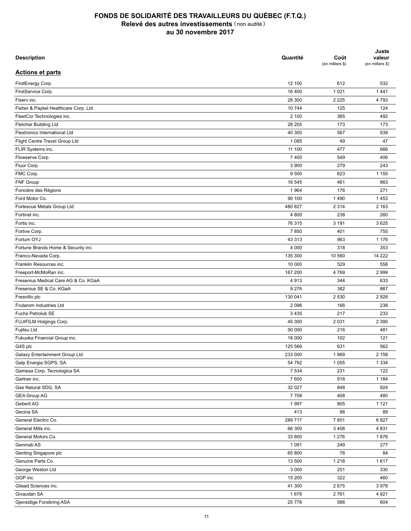| <b>Description</b>                   | Quantité | Coût<br>(en milliers \$) | Juste<br>valeur<br>(en milliers \$) |
|--------------------------------------|----------|--------------------------|-------------------------------------|
| <b>Actions et parts</b>              |          |                          |                                     |
| FirstEnergy Corp.                    | 12 100   | 612                      | 532                                 |
| FirstService Corp.                   | 16 400   | 1 0 2 1                  | 1441                                |
| Fiserv inc.                          | 28 300   | 2 2 2 5                  | 4793                                |
| Fisher & Paykel Healthcare Corp. Ltd | 10744    | 125                      | 124                                 |
| FleetCor Technologies inc.           | 2 100    | 365                      | 492                                 |
| Fletcher Building Ltd                | 28 205   | 173                      | 173                                 |
| <b>Flextronics International Ltd</b> | 40 300   | 567                      | 939                                 |
| Flight Centre Travel Group Ltd       | 1 0 8 5  | 49                       | 47                                  |
| FLIR Systems inc.                    | 11 100   | 477                      | 666                                 |
| Flowserve Corp.                      | 7 4 0 0  | 549                      | 406                                 |
| Fluor Corp.                          | 3 9 0 0  | 279                      | 243                                 |
| FMC Corp.                            | 9 500    | 623                      | 1 1 5 5                             |
| FNF Group                            | 16 545   | 461                      | 863                                 |
| Foncière des Régions                 | 1964     | 176                      | 271                                 |
| Ford Motor Co.                       | 90 100   | 1490                     | 1453                                |
| Fortescue Metals Group Ltd           | 480 827  | 2 3 1 4                  | 2 1 6 3                             |
| Fortinet inc.                        | 4 800    | 238                      | 260                                 |
| Fortis inc.                          | 76 315   | 3 1 9 1                  | 3 6 2 5                             |
| Fortive Corp.                        | 7850     | 401                      | 755                                 |
| Fortum OYJ                           | 43 313   | 963                      | 1 1 7 6                             |
| Fortune Brands Home & Security inc.  | 4 0 0 0  | 318                      | 353                                 |
| Franco-Nevada Corp.                  | 135 300  | 10 560                   | 14 222                              |
| Franklin Resources inc.              | 10 000   | 529                      | 558                                 |
| Freeport-McMoRan inc.                | 167 200  | 4769                     | 2 9 9 9                             |
| Fresenius Medical Care AG & Co. KGaA | 4913     | 344                      | 633                                 |
| Fresenius SE & Co. KGaA              | 9 2 7 6  | 382                      | 867                                 |
| Fresnillo plc                        | 130 041  | 2 5 3 0                  | 2928                                |
| Frutarom Industries Ltd              | 2 0 9 6  | 166                      | 238                                 |
| Fuchs Petrolub SE                    | 3 4 3 5  | 217                      | 233                                 |
| FUJIFILM Holgings Corp.              | 45 300   | 2 0 3 1                  | 2 3 9 0                             |
|                                      |          |                          |                                     |
| Fujitsu Ltd                          | 50 000   | 216                      | 481                                 |
| Fukuoka Financial Group inc.         | 18 000   | 102                      | 121                                 |
| G4S plc                              | 125 569  | 631                      | 562                                 |
| Galaxy Entertainment Group Ltd       | 233 000  | 1969                     | 2 1 5 8                             |
| Galp Energia SGPS, SA                | 54 792   | 1 0 5 5                  | 1 3 3 4                             |
| Gamesa Corp. Tecnologica SA          | 7 5 3 4  | 231                      | 122                                 |
| Gartner inc.                         | 7 600    | 918                      | 1 1 8 4                             |
| Gas Natural SDG, SA                  | 32 027   | 848                      | 924                                 |
| <b>GEA Group AG</b>                  | 7708     | 408                      | 480                                 |
| Geberit AG                           | 1997     | 805                      | 1 1 2 1                             |
| Gecina SA                            | 413      | 86                       | 89                                  |
| General Electric Co.                 | 289717   | 7851                     | 6827                                |
| General Mills inc.                   | 66 300   | 3 4 0 8                  | 4831                                |
| General Motors Co.                   | 33 800   | 1 2 7 6                  | 1876                                |
| Genmab AS                            | 1 0 9 1  | 249                      | 277                                 |
| Genting Singapore plc                | 65 800   | 76                       | 84                                  |
| Genuine Parts Co.                    | 13 500   | 1 2 1 8                  | 1617                                |
| George Weston Ltd                    | 3 0 0 0  | 251                      | 330                                 |
| GGP inc.                             | 15 200   | 322                      | 460                                 |
| Gilead Sciences inc.                 | 41 300   | 2675                     | 3978                                |
| Givaudan SA                          | 1676     | 2761                     | 4921                                |
| Gjensidige Forsikring ASA            | 25 7 7 6 | 586                      | 604                                 |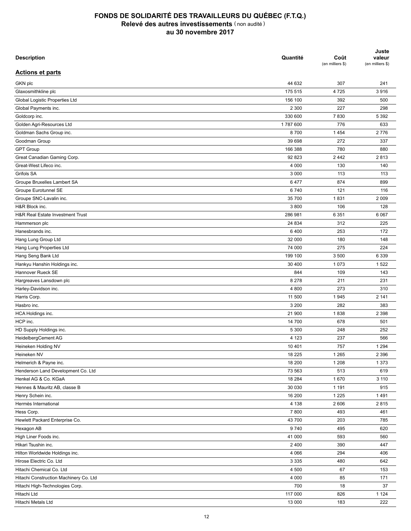| <b>Description</b>                     | Quantité | Coût<br>(en milliers \$) | Juste<br>valeur<br>(en milliers \$) |
|----------------------------------------|----------|--------------------------|-------------------------------------|
| <b>Actions et parts</b>                |          |                          |                                     |
| GKN plc                                | 44 632   | 307                      | 241                                 |
| Glaxosmithkline plc                    | 175 515  | 4725                     | 3916                                |
| Global Logistic Properties Ltd         | 156 100  | 392                      | 500                                 |
| Global Payments inc.                   | 2 3 0 0  | 227                      | 298                                 |
| Goldcorp inc.                          | 330 600  | 7830                     | 5 3 9 2                             |
| Golden Agri-Resources Ltd              | 1787600  | 776                      | 633                                 |
| Goldman Sachs Group inc.               | 8700     | 1454                     | 2776                                |
| Goodman Group                          | 39 698   | 272                      | 337                                 |
| <b>GPT Group</b>                       | 166 388  | 780                      | 880                                 |
| Great Canadian Gaming Corp.            | 92 823   | 2442                     | 2813                                |
| Great-West Lifeco inc.                 | 4 0 0 0  | 130                      | 140                                 |
| Grifols SA                             | 3 0 0 0  | 113                      | 113                                 |
| Groupe Bruxelles Lambert SA            | 6477     | 874                      | 899                                 |
| Groupe Eurotunnel SE                   | 6740     | 121                      | 116                                 |
| Groupe SNC-Lavalin inc.                | 35 700   | 1831                     | 2 0 0 9                             |
| H&R Block inc.                         | 3800     | 106                      | 128                                 |
| H&R Real Estate Investment Trust       | 286 981  | 6 3 5 1                  | 6 0 67                              |
| Hammerson plc                          | 24 834   | 312                      | 225                                 |
| Hanesbrands inc.                       | 6400     | 253                      | 172                                 |
| Hang Lung Group Ltd                    | 32 000   | 180                      | 148                                 |
| Hang Lung Properties Ltd               | 74 000   | 275                      | 224                                 |
| Hang Seng Bank Ltd                     | 199 100  | 3 500                    | 6 3 3 9                             |
| Hankyu Hanshin Holdings inc.           | 30 400   | 1 0 7 3                  | 1522                                |
| Hannover Rueck SE                      | 844      | 109                      | 143                                 |
| Hargreaves Lansdown plc                | 8 2 7 8  | 211                      | 231                                 |
| Harley-Davidson inc.                   | 4 800    | 273                      | 310                                 |
| Harris Corp.                           | 11 500   | 1945                     | 2 141                               |
| Hasbro inc.                            | 3 200    | 282                      | 383                                 |
| HCA Holdings inc.                      | 21 900   | 1838                     | 2 3 9 8                             |
| HCP inc.                               | 14 700   | 678                      | 501                                 |
| HD Supply Holdings inc.                | 5 300    | 248                      | 252                                 |
|                                        | 4 1 2 3  | 237                      | 566                                 |
| HeidelbergCement AG                    |          |                          |                                     |
| Heineken Holding NV                    | 10 401   | 757                      | 1 2 9 4                             |
| Heineken NV                            | 18 2 25  | 1 2 6 5                  | 2 3 9 6                             |
| Helmerich & Payne inc.                 | 18 200   | 1 2 0 8                  | 1 3 7 3                             |
| Henderson Land Development Co. Ltd     | 73 563   | 513                      | 619                                 |
| Henkel AG & Co. KGaA                   | 18 2 84  | 1670                     | 3 1 1 0                             |
| Hennes & Mauritz AB, classe B          | 30 030   | 1 1 9 1                  | 915                                 |
| Henry Schein inc.                      | 16 200   | 1 2 2 5                  | 1491                                |
| Hermès International                   | 4 1 3 8  | 2 606                    | 2815                                |
| Hess Corp.                             | 7800     | 493                      | 461                                 |
| Hewlett Packard Enterprise Co.         | 43 700   | 203                      | 785                                 |
| Hexagon AB                             | 9740     | 495                      | 620                                 |
| High Liner Foods inc.                  | 41 000   | 593                      | 560                                 |
| Hikari Tsushin inc.                    | 2 4 0 0  | 390                      | 447                                 |
| Hilton Worldwide Holdings inc.         | 4 0 6 6  | 294                      | 406                                 |
| Hirose Electric Co. Ltd                | 3 3 3 5  | 480                      | 642                                 |
| Hitachi Chemical Co. Ltd               | 4 500    | 67                       | 153                                 |
| Hitachi Construction Machinery Co. Ltd | 4 0 0 0  | 85                       | 171                                 |
| Hitachi High-Technologies Corp.        | 700      | 18                       | 37                                  |
| Hitachi Ltd                            | 117 000  | 826                      | 1 1 2 4                             |
| Hitachi Metals Ltd                     | 13 000   | 183                      | 222                                 |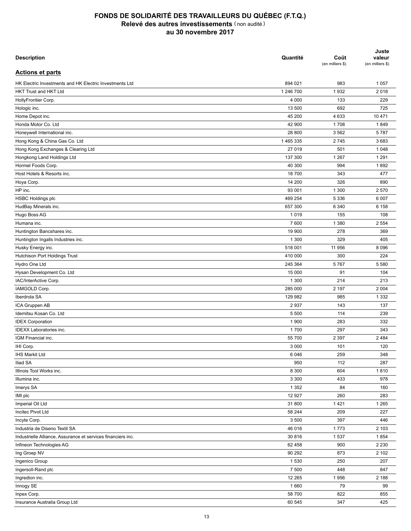| <b>Description</b>                                           | Quantité  | Coût<br>(en milliers \$) | Juste<br>valeur<br>(en milliers \$) |
|--------------------------------------------------------------|-----------|--------------------------|-------------------------------------|
| <b>Actions et parts</b>                                      |           |                          |                                     |
| HK Electric Investments and HK Electric Investments Ltd      | 894 021   | 983                      | 1 0 5 7                             |
| <b>HKT Trust and HKT Ltd</b>                                 | 1 246 700 | 1932                     | 2018                                |
| HollyFrontier Corp.                                          | 4 0 0 0   | 133                      | 229                                 |
| Hologic inc.                                                 | 13 500    | 692                      | 725                                 |
| Home Depot inc.                                              | 45 200    | 4 6 3 3                  | 10 471                              |
| Honda Motor Co. Ltd                                          | 42 900    | 1708                     | 1849                                |
| Honeywell International inc.                                 | 28 800    | 3 5 6 2                  | 5787                                |
| Hong Kong & China Gas Co. Ltd                                | 1465335   | 2745                     | 3683                                |
| Hong Kong Exchanges & Clearing Ltd                           | 27 019    | 501                      | 1 0 4 8                             |
| Hongkong Land Holdings Ltd                                   | 137 300   | 1 2 6 7                  | 1 2 9 1                             |
| Hormel Foods Corp.                                           | 40 300    | 994                      | 1892                                |
| Host Hotels & Resorts inc.                                   | 18 700    | 343                      | 477                                 |
| Hoya Corp.                                                   | 14 200    | 326                      | 890                                 |
| HP inc.                                                      | 93 001    | 1 300                    | 2 5 7 0                             |
| <b>HSBC Holdings plc</b>                                     | 469 254   | 5 3 3 6                  | 6 0 0 7                             |
| HudBay Minerals inc.                                         | 657 300   | 6 3 4 0                  | 6 1 5 8                             |
| Hugo Boss AG                                                 | 1019      | 155                      | 108                                 |
| Humana inc.                                                  | 7 600     | 1 3 8 0                  | 2 5 5 4                             |
| Huntington Bancshares inc.                                   | 19 900    | 278                      | 369                                 |
| Huntington Ingalls Industries inc.                           | 1 300     | 329                      | 405                                 |
| Husky Energy inc.                                            | 518 001   | 11 956                   | 8 0 9 6                             |
| Hutchison Port Holdings Trust                                | 410 000   | 300                      | 224                                 |
| Hydro One Ltd                                                | 245 364   | 5767                     | 5 5 8 0                             |
| Hysan Development Co. Ltd                                    | 15 000    | 91                       | 104                                 |
| IAC/InterActive Corp.                                        | 1 300     | 214                      | 213                                 |
| IAMGOLD Corp.                                                | 285 000   | 2 197                    | 2 0 0 4                             |
| Iberdrola SA                                                 | 129 982   | 985                      | 1 3 3 2                             |
|                                                              | 2937      | 143                      | 137                                 |
| ICA Gruppen AB<br>Idemitsu Kosan Co. Ltd                     | 5 500     | 114                      | 239                                 |
|                                                              | 1 900     |                          |                                     |
| <b>IDEX Corporation</b>                                      |           | 283                      | 332                                 |
| <b>IDEXX Laboratories inc.</b>                               | 1700      | 297                      | 343                                 |
| IGM Financial inc.                                           | 55 700    | 2 3 9 7                  | 2 4 8 4                             |
| IHI Corp.                                                    | 3 0 0 0   | 101                      | 120                                 |
| <b>IHS Markit Ltd</b>                                        | 6 0 4 6   | 259                      | 348                                 |
| <b>Iliad SA</b>                                              | 950       | 112                      | 287                                 |
| Illinois Tool Works inc.                                     | 8 3 0 0   | 604                      | 1810                                |
| Illumina inc.                                                | 3 3 0 0   | 433                      | 978                                 |
| Imerys SA                                                    | 1 3 5 2   | 84                       | 160                                 |
| IMI plc                                                      | 12 9 27   | 260                      | 283                                 |
| Imperial Oil Ltd                                             | 31 800    | 1421                     | 1 2 6 5                             |
| Incitec Pivot Ltd                                            | 58 244    | 209                      | 227                                 |
| Incyte Corp.                                                 | 3 500     | 397                      | 446                                 |
| Industria de Diseno Textil SA                                | 46 016    | 1773                     | 2 1 0 3                             |
| Industrielle Alliance, Assurance et services financiers inc. | 30 816    | 1537                     | 1854                                |
| Infineon Technologies AG                                     | 62 458    | 900                      | 2 2 3 0                             |
| Ing Groep NV                                                 | 90 292    | 873                      | 2 102                               |
| Ingenico Group                                               | 1 5 3 0   | 250                      | 207                                 |
| Ingersoll-Rand plc                                           | 7 500     | 448                      | 847                                 |
| Ingredion inc.                                               | 12 265    | 1956                     | 2 1 8 8                             |
| Innogy SE                                                    | 1660      | 79                       | 99                                  |
| Inpex Corp.                                                  | 58 700    | 822                      | 855                                 |
| Insurance Australia Group Ltd                                | 60 545    | 347                      | 425                                 |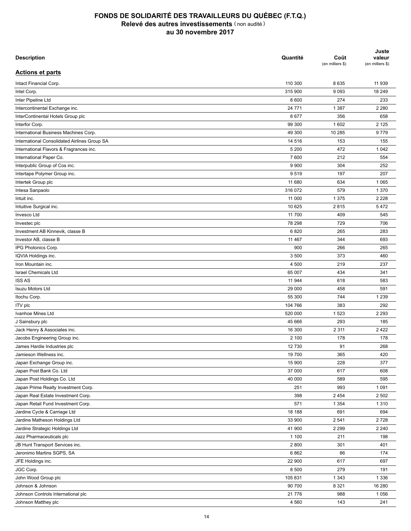| <b>Description</b>                           | Quantité | Coût<br>(en milliers \$) | Juste<br>valeur<br>(en milliers \$) |
|----------------------------------------------|----------|--------------------------|-------------------------------------|
| <b>Actions et parts</b>                      |          |                          |                                     |
| Intact Financial Corp.                       | 110 300  | 8 6 3 5                  | 11 939                              |
| Intel Corp.                                  | 315 900  | 9093                     | 18 249                              |
| Inter Pipeline Ltd                           | 8 600    | 274                      | 233                                 |
| Intercontinental Exchange inc.               | 24 771   | 1 3 8 7                  | 2 2 8 0                             |
| InterContinental Hotels Group plc            | 8677     | 356                      | 658                                 |
| Interfor Corp.                               | 99 300   | 1 602                    | 2 1 2 5                             |
| International Business Machines Corp.        | 49 300   | 10 285                   | 9779                                |
| International Consolidated Airlines Group SA | 14 516   | 153                      | 155                                 |
| International Flavors & Fragrances inc.      | 5 200    | 472                      | 1 0 4 2                             |
| International Paper Co.                      | 7600     | 212                      | 554                                 |
| Interpublic Group of Cos inc.                | 9 9 0 0  | 304                      | 252                                 |
| Intertape Polymer Group inc.                 | 9519     | 197                      | 207                                 |
| Intertek Group plc                           | 11 680   | 634                      | 1 0 6 5                             |
| Intesa Sanpaolo                              | 316 072  | 579                      | 1 3 7 0                             |
| Intuit inc.                                  | 11 000   | 1 3 7 5                  | 2 2 2 8                             |
| Intuitive Surgical inc.                      | 10 625   | 2815                     | 5472                                |
| Invesco Ltd                                  | 11 700   | 409                      | 545                                 |
| Investec plc                                 | 78 298   | 729                      | 706                                 |
| Investment AB Kinnevik, classe B             | 6820     | 265                      | 283                                 |
| Investor AB, classe B                        | 11 4 6 7 | 344                      | 693                                 |
| IPG Photonics Corp.                          | 900      | 266                      | 265                                 |
|                                              | 3 500    | 373                      | 460                                 |
| IQVIA Holdings inc.<br>Iron Mountain inc.    | 4 500    | 219                      | 237                                 |
| <b>Israel Chemicals Ltd</b>                  |          | 434                      | 341                                 |
|                                              | 65 007   |                          |                                     |
| <b>ISS AS</b>                                | 11 944   | 618                      | 583                                 |
| <b>Isuzu Motors Ltd</b>                      | 29 000   | 458                      | 591                                 |
| Itochu Corp.                                 | 55 300   | 744                      | 1 2 3 9                             |
| <b>ITV</b> plc                               | 104 766  | 383                      | 292                                 |
| Ivanhoe Mines Ltd                            | 520 000  | 1 5 2 3                  | 2 2 9 3                             |
| J Sainsbury plc                              | 45 666   | 293                      | 185                                 |
| Jack Henry & Associates inc.                 | 16 300   | 2 3 1 1                  | 2422                                |
| Jacobs Engineering Group inc.                | 2 100    | 178                      | 178                                 |
| James Hardie Industries plc                  | 12 730   | 91                       | 268                                 |
| Jamieson Wellness inc.                       | 19 700   | 365                      | 420                                 |
| Japan Exchange Group inc.                    | 15 900   | 228                      | 377                                 |
| Japan Post Bank Co. Ltd                      | 37 000   | 617                      | 608                                 |
| Japan Post Holdings Co. Ltd                  | 40 000   | 589                      | 595                                 |
| Japan Prime Realty Investment Corp.          | 251      | 993                      | 1 0 9 1                             |
| Japan Real Estate Investment Corp.           | 398      | 2 4 5 4                  | 2 5 0 2                             |
| Japan Retail Fund Investment Corp.           | 571      | 1 3 5 4                  | 1 3 1 0                             |
| Jardine Cycle & Carriage Ltd                 | 18 188   | 691                      | 694                                 |
| Jardine Matheson Holdings Ltd                | 33 900   | 2 5 4 1                  | 2728                                |
| Jardine Strategic Holdings Ltd               | 41 900   | 2 2 9 9                  | 2 2 4 0                             |
| Jazz Pharmaceuticals plc                     | 1 100    | 211                      | 198                                 |
| JB Hunt Transport Services inc.              | 2800     | 301                      | 401                                 |
| Jeronimo Martins SGPS, SA                    | 6862     | 86                       | 174                                 |
| JFE Holdings inc.                            | 22 900   | 617                      | 697                                 |
| JGC Corp.                                    | 8 500    | 279                      | 191                                 |
| John Wood Group plc                          | 105 831  | 1 3 4 3                  | 1 3 3 6                             |
| Johnson & Johnson                            | 90 700   | 8 3 2 1                  | 16 280                              |
| Johnson Controls International plc           | 21 776   | 988                      | 1 0 5 6                             |
| Johnson Matthey plc                          | 4 5 6 0  | 143                      | 241                                 |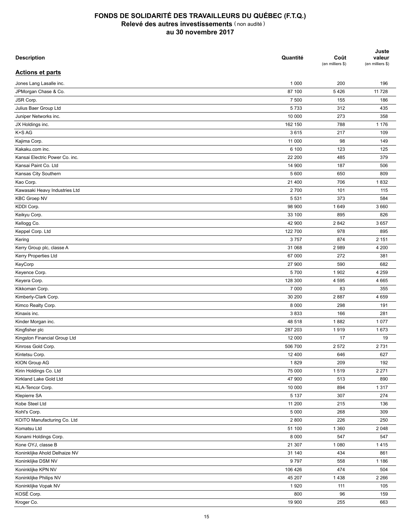| <b>Description</b>             | Quantité | Coût<br>(en milliers \$) | Juste<br>valeur<br>(en milliers \$) |
|--------------------------------|----------|--------------------------|-------------------------------------|
| <b>Actions et parts</b>        |          |                          |                                     |
| Jones Lang Lasalle inc.        | 1 0 0 0  | 200                      | 196                                 |
| JPMorgan Chase & Co.           | 87 100   | 5426                     | 11 7 28                             |
| JSR Corp.                      | 7 500    | 155                      | 186                                 |
| Julius Baer Group Ltd          | 5733     | 312                      | 435                                 |
| Juniper Networks inc.          | 10 000   | 273                      | 358                                 |
| JX Holdings inc.               | 162 150  | 788                      | 1 1 7 6                             |
| K+S AG                         | 3615     | 217                      | 109                                 |
| Kajima Corp.                   | 11 000   | 98                       | 149                                 |
| Kakaku.com inc.                | 6 100    | 123                      | 125                                 |
| Kansai Electric Power Co. inc. | 22 200   | 485                      | 379                                 |
| Kansai Paint Co. Ltd           | 14 900   | 187                      | 506                                 |
| Kansas City Southern           | 5 600    | 650                      | 809                                 |
| Kao Corp.                      | 21 400   | 706                      | 1832                                |
| Kawasaki Heavy Industries Ltd  | 2700     | 101                      | 115                                 |
| <b>KBC Groep NV</b>            | 5 5 3 1  | 373                      | 584                                 |
| KDDI Corp.                     | 98 900   | 1649                     | 3 6 6 0                             |
| Keikyu Corp.                   | 33 100   | 895                      | 826                                 |
| Kellogg Co.                    | 42 900   | 2842                     | 3657                                |
| Keppel Corp. Ltd               | 122 700  | 978                      | 895                                 |
|                                | 3757     | 874                      | 2 1 5 1                             |
| Kering                         |          |                          | 4 200                               |
| Kerry Group plc, classe A      | 31 068   | 2989                     |                                     |
| Kerry Properties Ltd           | 67 000   | 272<br>590               | 381<br>682                          |
| KeyCorp                        | 27 900   |                          |                                     |
| Keyence Corp.                  | 5700     | 1 902                    | 4 2 5 9                             |
| Keyera Corp.                   | 128 300  | 4 5 9 5                  | 4 6 6 5                             |
| Kikkoman Corp.                 | 7 000    | 83                       | 355                                 |
| Kimberly-Clark Corp.           | 30 200   | 2887                     | 4 6 5 9                             |
| Kimco Realty Corp.             | 8 0 0 0  | 298                      | 191                                 |
| Kinaxis inc.                   | 3833     | 166                      | 281                                 |
| Kinder Morgan inc.             | 48 518   | 1882                     | 1 0 7 7                             |
| Kingfisher plc                 | 287 203  | 1919                     | 1673                                |
| Kingston Financial Group Ltd   | 12 000   | 17                       | 19                                  |
| Kinross Gold Corp.             | 506 700  | 2 5 7 2                  | 2731                                |
| Kintetsu Corp.                 | 12 400   | 646                      | 627                                 |
| KION Group AG                  | 1829     | 209                      | 192                                 |
| Kirin Holdings Co. Ltd         | 75 000   | 1519                     | 2 2 7 1                             |
| Kirkland Lake Gold Ltd         | 47 900   | 513                      | 890                                 |
| KLA-Tencor Corp.               | 10 000   | 894                      | 1 3 1 7                             |
| Klepierre SA                   | 5 1 3 7  | 307                      | 274                                 |
| Kobe Steel Ltd                 | 11 200   | 215                      | 136                                 |
| Kohl's Corp.                   | 5 0 0 0  | 268                      | 309                                 |
| KOITO Manufacturing Co. Ltd    | 2 8 0 0  | 226                      | 250                                 |
| Komatsu Ltd                    | 51 100   | 1 3 6 0                  | 2 0 4 8                             |
| Konami Holdings Corp.          | 8 0 0 0  | 547                      | 547                                 |
| Kone OYJ, classe B             | 21 307   | 1 0 8 0                  | 1415                                |
| Koninklijke Ahold Delhaize NV  | 31 140   | 434                      | 861                                 |
| Koninklijke DSM NV             | 9797     | 558                      | 1 1 8 6                             |
| Koninklijke KPN NV             | 106 426  | 474                      | 504                                 |
| Koninklijke Philips NV         | 45 207   | 1438                     | 2 2 6 6                             |
| Koninklijke Vopak NV           | 1920     | 111                      | 105                                 |
| KOSÉ Corp.                     | 800      | 96                       | 159                                 |
| Kroger Co.                     | 19 900   | 255                      | 663                                 |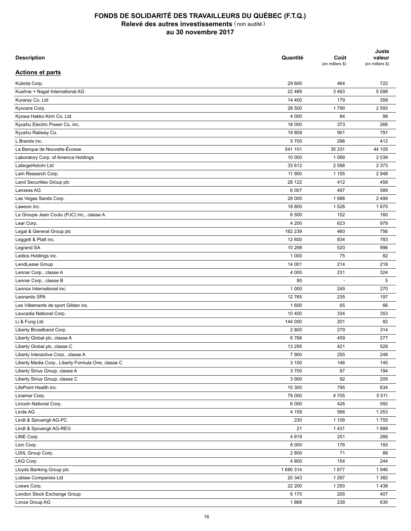| <b>Description</b>                                 | Quantité | Coût<br>(en milliers \$) | Juste<br>valeur<br>(en milliers \$) |
|----------------------------------------------------|----------|--------------------------|-------------------------------------|
| <b>Actions et parts</b>                            |          |                          |                                     |
| Kubota Corp.                                       | 29 600   | 464                      | 722                                 |
| Kuehne + Nagel International AG                    | 22 489   | 3 4 6 3                  | 5 0 9 8                             |
| Kuraray Co. Ltd                                    | 14 400   | 179                      | 358                                 |
| Kyocera Corp.                                      | 28 500   | 1790                     | 2 5 9 3                             |
| Kyowa Hakko Kirin Co. Ltd                          | 4 0 0 0  | 84                       | 98                                  |
| Kyushu Electric Power Co. inc.                     | 18 000   | 373                      | 266                                 |
| Kyushu Railway Co.                                 | 19809    | 901                      | 791                                 |
| L Brands inc.                                      | 5700     | 296                      | 412                                 |
| La Banque de Nouvelle-Écosse                       | 541 101  | 35 331                   | 44 105                              |
| Laboratory Corp. of America Holdings               | 10 000   | 1 0 6 9                  | 2 0 3 9                             |
| LafargeHolcim Ltd                                  | 33 612   | 2 5 8 8                  | 2 3 7 3                             |
| Lam Research Corp.                                 | 11 900   | 1 1 5 5                  | 2948                                |
| Land Securities Group plc                          | 28 122   | 412                      | 458                                 |
| Lanxess AG                                         | 6 0 0 7  | 497                      | 589                                 |
| Las Vegas Sands Corp.                              | 28 000   | 1988                     | 2 4 9 9                             |
| Lawson inc.                                        | 18 800   | 1528                     | 1675                                |
| Le Groupe Jean Coutu (PJC) inc., classe A          | 6 500    | 152                      | 160                                 |
| Lear Corp.                                         | 4 200    | 623                      | 979                                 |
| Legal & General Group plc                          | 162 239  | 460                      | 756                                 |
| Leggett & Platt inc.                               | 12 600   | 834                      | 783                                 |
| Legrand SA                                         | 10 298   | 520                      | 996                                 |
| Leidos Holdings inc.                               | 1 0 0 0  | 75                       | 82                                  |
| LendLease Group                                    | 14 001   | 214                      | 218                                 |
| Lennar Corp., classe A                             | 4 0 0 0  | 231                      | 324                                 |
| Lennar Corp., classe B                             | 80       |                          | 5                                   |
| Lennox International inc.                          | 1 0 0 0  | 249                      | 270                                 |
| Leonardo SPA                                       | 12765    | 235                      | 197                                 |
| Les Vêtements de sport Gildan inc.                 | 1 600    | 65                       | 66                                  |
| Leucadia National Corp.                            | 10 400   | 334                      | 353                                 |
| Li & Fung Ltd                                      | 144 000  | 201                      | 82                                  |
| Liberty Broadband Corp.                            | 2800     | 279                      | 314                                 |
| Liberty Global plc, classe A                       | 6766     | 459                      | 277                                 |
| Liberty Global plc, classe C                       | 13 295   | 421                      | 528                                 |
| Liberty Interactive Corp., classe A                | 7 900    | 255                      | 248                                 |
| Liberty Media Corp., Liberty Formula One, classe C | 3 100    | 146                      | 145                                 |
| Liberty Sirius Group, classe A                     | 3700     | 87                       | 194                                 |
| Liberty Sirius Group, classe C                     | 3 900    | 92                       | 205                                 |
| LifePoint Health inc.                              | 10 300   | 795                      | 634                                 |
|                                                    |          |                          |                                     |
| Linamar Corp.                                      | 79 000   | 4705                     | 5 5 1 1                             |
| Lincoln National Corp.                             | 6 0 0 0  | 426                      | 592                                 |
| Linde AG                                           | 4 1 5 9  | 566                      | 1 2 5 3                             |
| Lindt & Spruengli AG-PC                            | 230      | 1 1 0 9                  | 1755                                |
| Lindt & Spruengli AG-REG                           | 21       | 1431                     | 1899                                |
| LINE Corp.                                         | 4819     | 251                      | 266                                 |
| Lion Corp.                                         | 8 0 0 0  | 176                      | 193                                 |
| LIXIL Group Corp.                                  | 2 600    | 71                       | 88                                  |
| LKQ Corp.                                          | 4 800    | 154                      | 244                                 |
| Lloyds Banking Group plc                           | 1690314  | 1877                     | 1946                                |
| Loblaw Companies Ltd                               | 20 343   | 1 2 6 7                  | 1 3 8 2                             |
| Loews Corp.                                        | 22 200   | 1 2 9 3                  | 1438                                |
| London Stock Exchange Group                        | 6 170    | 205                      | 407                                 |
| Lonza Group AG                                     | 1868     | 238                      | 630                                 |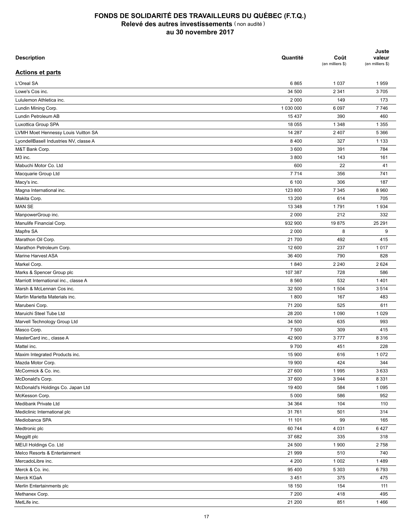| <b>Description</b>                        | Quantité  | Coût<br>(en milliers \$) | Juste<br>valeur<br>(en milliers \$) |
|-------------------------------------------|-----------|--------------------------|-------------------------------------|
| <b>Actions et parts</b>                   |           |                          |                                     |
| L'Oreal SA                                | 6865      | 1 0 3 7                  | 1959                                |
| Lowe's Cos inc.                           | 34 500    | 2 3 4 1                  | 3705                                |
| Lululemon Athletica inc.                  | 2 0 0 0   | 149                      | 173                                 |
| Lundin Mining Corp.                       | 1 030 000 | 6 0 9 7                  | 7746                                |
| Lundin Petroleum AB                       | 15 4 37   | 390                      | 460                                 |
| Luxottica Group SPA                       | 18 055    | 1 3 4 8                  | 1 3 5 5                             |
| LVMH Moet Hennessy Louis Vuitton SA       | 14 287    | 2 4 0 7                  | 5 3 6 6                             |
| LyondellBasell Industries NV, classe A    | 8 4 0 0   | 327                      | 1 1 3 3                             |
| M&T Bank Corp.                            | 3 600     | 391                      | 784                                 |
| M3 inc.                                   | 3800      | 143                      | 161                                 |
| Mabuchi Motor Co. Ltd                     | 600       | 22                       | 41                                  |
| Macquarie Group Ltd                       | 7 7 1 4   | 356                      | 741                                 |
| Macy's inc.                               | 6 100     | 306                      | 187                                 |
| Magna International inc.                  | 123 800   | 7 3 4 5                  | 8 9 6 0                             |
| Makita Corp.                              | 13 200    | 614                      | 705                                 |
| <b>MAN SE</b>                             | 13 348    | 1791                     | 1934                                |
| ManpowerGroup inc.                        | 2 0 0 0   | 212                      | 332                                 |
| Manulife Financial Corp.                  | 932 900   | 19875                    | 25 291                              |
| Mapfre SA                                 | 2 0 0 0   | 8                        | 9                                   |
| Marathon Oil Corp.                        | 21 700    | 492                      | 415                                 |
| Marathon Petroleum Corp.                  | 12 600    | 237                      | 1017                                |
| Marine Harvest ASA                        | 36 400    | 790                      | 828                                 |
| Markel Corp.                              | 1840      | 2 2 4 0                  | 2 6 2 4                             |
| Marks & Spencer Group plc                 | 107 387   | 728                      | 586                                 |
| Marriott International inc., classe A     | 8 5 6 0   | 532                      | 1401                                |
| Marsh & McLennan Cos inc.                 | 32 500    | 1 504                    | 3514                                |
| Martin Marietta Materials inc.            | 1800      | 167                      | 483                                 |
|                                           | 71 200    | 525                      | 611                                 |
| Marubeni Corp.<br>Maruichi Steel Tube Ltd | 28 200    | 1 0 9 0                  | 1 0 2 9                             |
|                                           |           |                          |                                     |
| Marvell Technology Group Ltd              | 34 500    | 635                      | 993                                 |
| Masco Corp.                               | 7 500     | 309                      | 415                                 |
| MasterCard inc., classe A                 | 42 900    | 3777                     | 8 3 1 6                             |
| Mattel inc.                               | 9700      | 451                      | 228                                 |
| Maxim Integrated Products inc.            | 15 900    | 616                      | 1 0 7 2                             |
| Mazda Motor Corp.                         | 19 900    | 424                      | 344                                 |
| McCormick & Co. inc.                      | 27 600    | 1995                     | 3633                                |
| McDonald's Corp.                          | 37 600    | 3 9 4 4                  | 8 3 3 1                             |
| McDonald's Holdings Co. Japan Ltd         | 19 400    | 584                      | 1 0 9 5                             |
| McKesson Corp.                            | 5 0 0 0   | 586                      | 952                                 |
| Medibank Private Ltd                      | 34 364    | 104                      | 110                                 |
| Mediclinic International plc              | 31761     | 501                      | 314                                 |
| Mediobanca SPA                            | 11 101    | 99                       | 165                                 |
| Medtronic plc                             | 60 744    | 4 0 3 1                  | 6427                                |
| Meggitt plc                               | 37 682    | 335                      | 318                                 |
| MEIJI Holdings Co. Ltd                    | 24 500    | 1 900                    | 2758                                |
| Melco Resorts & Entertainment             | 21 999    | 510                      | 740                                 |
| MercadoLibre inc.                         | 4 200     | 1 0 0 2                  | 1489                                |
| Merck & Co. inc.                          | 95 400    | 5 3 0 3                  | 6793                                |
| Merck KGaA                                | 3 4 5 1   | 375                      | 475                                 |
| Merlin Entertainments plc                 | 18 150    | 154                      | 111                                 |
| Methanex Corp.                            | 7 200     | 418                      | 495                                 |
| MetLife inc.                              | 21 200    | 851                      | 1466                                |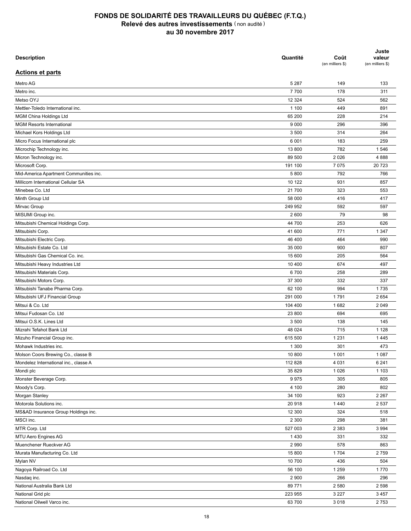| <b>Description</b>                                                          | Quantité          | Coût<br>(en milliers \$) | Juste<br>valeur<br>(en milliers \$) |
|-----------------------------------------------------------------------------|-------------------|--------------------------|-------------------------------------|
| <b>Actions et parts</b>                                                     |                   |                          |                                     |
| Metro AG                                                                    | 5 2 8 7           | 149                      | 133                                 |
| Metro inc.                                                                  | 7700              | 178                      | 311                                 |
| Metso OYJ                                                                   | 12 3 24           | 524                      | 562                                 |
| Mettler-Toledo International inc.                                           | 1 100             | 449                      | 891                                 |
| <b>MGM China Holdings Ltd</b>                                               | 65 200            | 228                      | 214                                 |
| <b>MGM Resorts International</b>                                            | 9 0 0 0           | 296                      | 396                                 |
| Michael Kors Holdings Ltd                                                   | 3 500             | 314                      | 264                                 |
| Micro Focus International plc                                               | 6 0 0 1           | 183                      | 259                                 |
| Microchip Technology inc.                                                   | 13 800            | 782                      | 1546                                |
| Micron Technology inc.                                                      | 89 500            | 2 0 2 6                  | 4888                                |
| Microsoft Corp.                                                             | 191 100           | 7 0 7 5                  | 20723                               |
| Mid-America Apartment Communities inc.                                      | 5 800             | 792                      | 766                                 |
| Millicom International Cellular SA                                          | 10 122            | 931                      | 857                                 |
| Minebea Co. Ltd                                                             | 21 700            | 323                      | 553                                 |
| Minth Group Ltd                                                             | 58 000            | 416                      | 417                                 |
| Mirvac Group                                                                | 249 952           | 592                      | 597                                 |
| MISUMI Group inc.                                                           | 2 600             | 79                       | 98                                  |
| Mitsubishi Chemical Holdings Corp.                                          | 44 700            | 253                      | 626                                 |
| Mitsubishi Corp.                                                            | 41 600            | 771                      | 1 3 4 7                             |
| Mitsubishi Electric Corp.                                                   | 46 400            | 464                      | 990                                 |
| Mitsubishi Estate Co. Ltd                                                   | 35 000            | 900                      | 807                                 |
| Mitsubishi Gas Chemical Co. inc.                                            | 15 600            | 205                      | 564                                 |
| Mitsubishi Heavy Industries Ltd                                             | 10 400            | 674                      | 497                                 |
| Mitsubishi Materials Corp.                                                  | 6700              | 258                      | 289                                 |
| Mitsubishi Motors Corp.                                                     | 37 300            | 332                      | 337                                 |
| Mitsubishi Tanabe Pharma Corp.                                              | 62 100            | 994                      | 1735                                |
| Mitsubishi UFJ Financial Group                                              | 291 000           | 1791                     | 2654                                |
| Mitsui & Co. Ltd                                                            | 104 400           | 1682                     | 2 0 4 9                             |
| Mitsui Fudosan Co. Ltd                                                      | 23 800            | 694                      | 695                                 |
| Mitsui O.S.K. Lines Ltd                                                     | 3 500             | 138                      | 145                                 |
| Mizrahi Tefahot Bank Ltd                                                    | 48 0 24           | 715                      | 1 1 2 8                             |
| Mizuho Financial Group inc.                                                 | 615 500           | 1 2 3 1                  | 1445                                |
|                                                                             | 1 300             | 301                      | 473                                 |
| Mohawk Industries inc.                                                      |                   |                          | 1 0 8 7                             |
| Molson Coors Brewing Co., classe B<br>Mondelez International inc., classe A | 10 800<br>112 828 | 1 0 0 1<br>4 0 3 1       | 6 2 4 1                             |
|                                                                             |                   |                          |                                     |
| Mondi plc                                                                   | 35 829            | 1 0 2 6                  | 1 1 0 3                             |
| Monster Beverage Corp.                                                      | 9975              | 305                      | 805                                 |
| Moody's Corp.                                                               | 4 100             | 280                      | 802                                 |
| Morgan Stanley                                                              | 34 100            | 923                      | 2 2 6 7                             |
| Motorola Solutions inc.                                                     | 20918             | 1 4 4 0                  | 2 5 3 7                             |
| MS&AD Insurance Group Holdings inc.                                         | 12 300            | 324                      | 518                                 |
| MSCI inc.                                                                   | 2 3 0 0           | 298                      | 381                                 |
| MTR Corp. Ltd                                                               | 527 003           | 2 3 8 3                  | 3 9 9 4                             |
| MTU Aero Engines AG                                                         | 1 4 3 0           | 331                      | 332                                 |
| Muenchener Rueckver AG                                                      | 2 9 9 0           | 578                      | 863                                 |
| Murata Manufacturing Co. Ltd                                                | 15 800            | 1 7 0 4                  | 2759                                |
| Mylan NV                                                                    | 10 700            | 436                      | 504                                 |
| Nagoya Railroad Co. Ltd                                                     | 56 100            | 1 2 5 9                  | 1770                                |
| Nasdaq inc.                                                                 | 2 9 0 0           | 266                      | 296                                 |
| National Australia Bank Ltd                                                 | 89771             | 2 5 8 0                  | 2 5 9 8                             |
| National Grid plc                                                           | 223 955           | 3 2 2 7                  | 3 4 5 7                             |
| National Oilwell Varco inc.                                                 | 63 700            | 3 0 18                   | 2753                                |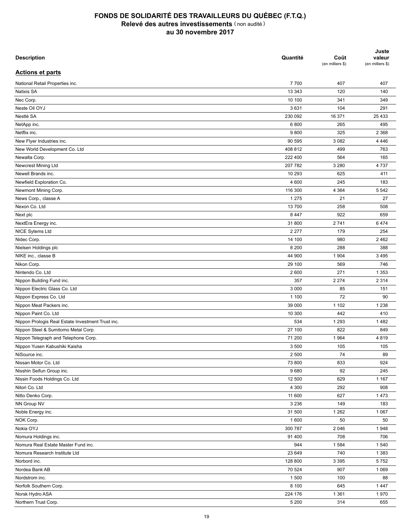| <b>Description</b>                                | Quantité | Coût<br>(en milliers \$) | Juste<br>valeur<br>(en milliers \$) |
|---------------------------------------------------|----------|--------------------------|-------------------------------------|
| <b>Actions et parts</b>                           |          |                          |                                     |
| National Retail Properties inc.                   | 7700     | 407                      | 407                                 |
| <b>Natixis SA</b>                                 | 13 3 43  | 120                      | 140                                 |
| Nec Corp.                                         | 10 100   | 341                      | 349                                 |
| Neste Oil OYJ                                     | 3631     | 104                      | 291                                 |
| Nestlé SA                                         | 230 092  | 16 371                   | 25 4 33                             |
| NetApp inc.                                       | 6800     | 265                      | 495                                 |
| Netflix inc.                                      | 9800     | 325                      | 2 3 6 8                             |
| New Flyer Industries inc.                         | 90 595   | 3 0 8 2                  | 4 4 4 6                             |
| New World Development Co. Ltd                     | 408 812  | 499                      | 763                                 |
| Newalta Corp.                                     | 222 400  | 564                      | 165                                 |
| Newcrest Mining Ltd                               | 207 782  | 3 2 8 0                  | 4737                                |
| Newell Brands inc.                                | 10 293   | 625                      | 411                                 |
| Newfield Exploration Co.                          | 4 600    | 245                      | 183                                 |
| Newmont Mining Corp.                              | 116 300  | 4 3 6 4                  | 5 5 4 2                             |
| News Corp., classe A                              | 1 2 7 5  | 21                       | 27                                  |
| Nexon Co. Ltd                                     | 13700    | 258                      | 508                                 |
| Next plc                                          | 8 4 4 7  | 922                      | 659                                 |
| NextEra Energy inc.                               | 31 800   | 2741                     | 6474                                |
| NICE Sytems Ltd                                   | 2 2 7 7  | 179                      | 254                                 |
| Nidec Corp.                                       | 14 100   | 980                      | 2462                                |
| Nielsen Holdings plc                              | 8 2 0 0  | 288                      | 388                                 |
| NIKE inc., classe B                               | 44 900   | 1 904                    | 3 4 9 5                             |
| Nikon Corp.                                       | 29 100   | 569                      | 746                                 |
| Nintendo Co. Ltd                                  | 2 600    | 271                      |                                     |
|                                                   |          |                          | 1 3 5 3                             |
| Nippon Building Fund inc.                         | 357      | 2 2 7 4                  | 2 3 1 4                             |
| Nippon Electric Glass Co. Ltd                     | 3 0 0 0  | 85                       | 151                                 |
| Nippon Express Co. Ltd                            | 1 100    | 72                       | 90                                  |
| Nippon Meat Packers inc.                          | 39 000   | 1 1 0 2                  | 1 2 3 8                             |
| Nippon Paint Co. Ltd                              | 10 300   | 442                      | 410                                 |
| Nippon Prologis Real Estate Investment Trust inc. | 534      | 1 2 9 3                  | 1482                                |
| Nippon Steel & Sumitomo Metal Corp.               | 27 100   | 822                      | 849                                 |
| Nippon Telegraph and Telephone Corp.              | 71 200   | 1964                     | 4819                                |
| Nippon Yusen Kabushiki Kaisha                     | 3 500    | 105                      | 105                                 |
| NiSource inc.                                     | 2 500    | 74                       | 89                                  |
| Nissan Motor Co. Ltd                              | 73 800   | 833                      | 924                                 |
| Nisshin Seifun Group inc.                         | 9680     | 92                       | 245                                 |
| Nissin Foods Holdings Co. Ltd                     | 12 500   | 629                      | 1 1 6 7                             |
| Nitori Co. Ltd                                    | 4 3 0 0  | 292                      | 908                                 |
| Nitto Denko Corp.                                 | 11 600   | 627                      | 1 4 7 3                             |
| NN Group NV                                       | 3 2 3 6  | 149                      | 183                                 |
| Noble Energy inc.                                 | 31 500   | 1 2 6 2                  | 1 0 6 7                             |
| NOK Corp.                                         | 1 600    | 50                       | 50                                  |
| Nokia OYJ                                         | 300 787  | 2 0 4 6                  | 1948                                |
| Nomura Holdings inc.                              | 91 400   | 708                      | 706                                 |
| Nomura Real Estate Master Fund inc.               | 944      | 1584                     | 1540                                |
| Nomura Research Institute Ltd                     | 23 649   | 740                      | 1 3 8 3                             |
| Norbord inc.                                      | 128 800  | 3 3 9 5                  | 5752                                |
| Nordea Bank AB                                    | 70 524   | 907                      | 1 0 6 9                             |
| Nordstrom inc.                                    | 1500     | 100                      | 88                                  |
| Norfolk Southern Corp.                            | 8 100    | 645                      | 1447                                |
| Norsk Hydro ASA                                   | 224 176  | 1 3 6 1                  | 1970                                |
| Northern Trust Corp.                              | 5 200    | 314                      | 655                                 |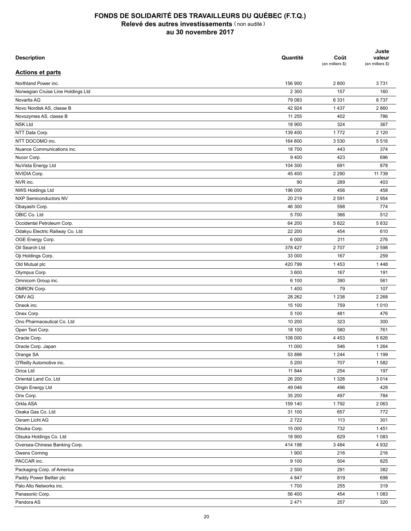| <b>Description</b>                 | Quantité | Coût<br>(en milliers \$) | Juste<br>valeur<br>(en milliers \$) |
|------------------------------------|----------|--------------------------|-------------------------------------|
| <b>Actions et parts</b>            |          |                          |                                     |
| Northland Power inc.               | 156 900  | 2800                     | 3731                                |
| Norwegian Cruise Line Holdings Ltd | 2 3 0 0  | 157                      | 160                                 |
| Novartis AG                        | 79 083   | 6 3 3 1                  | 8737                                |
| Novo Nordisk AS, classe B          | 42 924   | 1 4 3 7                  | 2860                                |
| Novozymes AS, classe B             | 11 255   | 402                      | 786                                 |
| <b>NSK Ltd</b>                     | 18 900   | 324                      | 367                                 |
| NTT Data Corp.                     | 139 400  | 1772                     | 2 1 2 0                             |
| NTT DOCOMO inc.                    | 164 800  | 3 5 3 0                  | 5516                                |
| Nuance Communications inc.         | 18700    | 443                      | 374                                 |
| Nucor Corp.                        | 9 4 0 0  | 423                      | 696                                 |
| NuVista Energy Ltd                 | 104 300  | 691                      | 878                                 |
| NVIDIA Corp.                       | 45 400   | 2 2 9 0                  | 11 739                              |
| NVR inc.                           | 90       | 289                      | 403                                 |
| NWS Holdings Ltd                   | 196 000  | 456                      | 458                                 |
| NXP Semiconductors NV              | 20 219   | 2 5 9 1                  | 2 9 5 4                             |
| Obayashi Corp.                     | 46 300   | 598                      | 774                                 |
| OBIC Co. Ltd                       | 5700     | 366                      | 512                                 |
| Occidental Petroleum Corp.         | 64 200   | 5822                     | 5832                                |
| Odakyu Electric Railway Co. Ltd    | 22 200   | 454                      | 610                                 |
| OGE Energy Corp.                   | 6 0 0 0  | 211                      | 276                                 |
| Oil Search Ltd                     | 378 427  | 2707                     | 2 5 9 8                             |
| Oji Holdings Corp.                 | 33 000   | 167                      | 259                                 |
| Old Mutual plc                     | 420 799  | 1 4 5 3                  | 1448                                |
| Olympus Corp.                      | 3 600    | 167                      | 191                                 |
| Omnicom Group inc.                 | 6 100    | 390                      | 561                                 |
| OMRON Corp.                        | 1 4 0 0  | 79                       | 107                                 |
| OMV AG                             | 28 26 2  | 1 2 3 8                  | 2 2 6 8                             |
| Oneok inc.                         | 15 100   | 759                      | 1010                                |
| Onex Corp.                         | 5 100    | 481                      | 476                                 |
| Ono Pharmaceutical Co. Ltd         | 10 200   | 323                      | 300                                 |
| Open Text Corp.                    | 18 100   | 580                      | 761                                 |
| Oracle Corp.                       | 108 000  | 4 4 5 3                  | 6826                                |
| Oracle Corp. Japan                 | 11 000   | 546                      | 1 2 6 4                             |
| Orange SA                          | 53 896   | 1 2 4 4                  | 1 1 9 9                             |
| O'Reilly Automotive inc.           | 5 200    | 707                      | 1582                                |
| Orica Ltd                          | 11 844   | 254                      | 197                                 |
| Oriental Land Co. Ltd              | 26 200   | 1 3 2 8                  | 3 0 1 4                             |
| Origin Energy Ltd                  | 49 046   | 496                      | 428                                 |
| Orix Corp.                         | 35 200   | 497                      | 784                                 |
| Orkla ASA                          | 159 140  | 1792                     | 2 0 6 3                             |
| Osaka Gas Co. Ltd                  | 31 100   | 657                      | 772                                 |
| Osram Licht AG                     | 2722     | 113                      | 301                                 |
|                                    |          |                          |                                     |
| Otsuka Corp.                       | 15 000   | 732                      | 1451                                |
| Otsuka Holdings Co. Ltd            | 18 900   | 629                      | 1 0 8 3                             |
| Oversea-Chinese Banking Corp.      | 414 198  | 3 4 8 4                  | 4 9 3 2                             |
| Owens Corning                      | 1 900    | 216                      | 216                                 |
| PACCAR inc.                        | 9 100    | 504                      | 825                                 |
| Packaging Corp. of America         | 2 500    | 291                      | 382                                 |
| Paddy Power Betfair plc            | 4 8 4 7  | 819                      | 698                                 |
| Palo Alto Networks inc.            | 1700     | 255                      | 319                                 |
| Panasonic Corp.                    | 56 400   | 454                      | 1 0 8 3                             |
| Pandora AS                         | 2 4 7 1  | 257                      | 320                                 |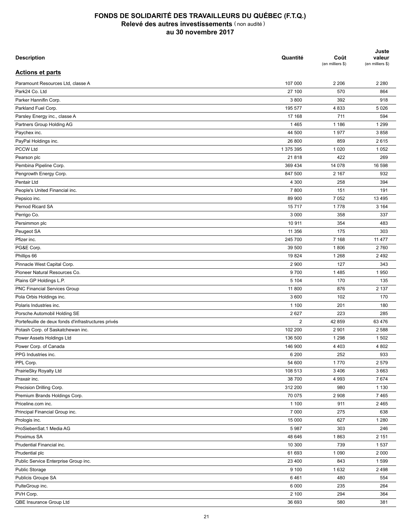| <b>Description</b>                                  | Quantité       | Coût<br>(en milliers \$) | Juste<br>valeur<br>(en milliers \$) |
|-----------------------------------------------------|----------------|--------------------------|-------------------------------------|
| <b>Actions et parts</b>                             |                |                          |                                     |
| Paramount Resources Ltd, classe A                   | 107 000        | 2 2 0 6                  | 2 2 8 0                             |
| Park24 Co. Ltd                                      | 27 100         | 570                      | 864                                 |
| Parker Hannifin Corp.                               | 3800           | 392                      | 918                                 |
| Parkland Fuel Corp.                                 | 195 577        | 4833                     | 5 0 26                              |
| Parsley Energy inc., classe A                       | 17 168         | 711                      | 594                                 |
| Partners Group Holding AG                           | 1465           | 1 1 8 6                  | 1 2 9 9                             |
| Paychex inc.                                        | 44 500         | 1977                     | 3858                                |
| PayPal Holdings inc.                                | 26 800         | 859                      | 2615                                |
| <b>PCCW Ltd</b>                                     | 1 375 395      | 1 0 2 0                  | 1 0 5 2                             |
| Pearson plc                                         | 21818          | 422                      | 269                                 |
| Pembina Pipeline Corp.                              | 369 434        | 14 078                   | 16 598                              |
| Pengrowth Energy Corp.                              | 847 500        | 2 1 6 7                  | 932                                 |
| Pentair Ltd                                         | 4 300          | 258                      | 394                                 |
| People's United Financial inc.                      | 7800           | 151                      | 191                                 |
| Pepsico inc.                                        | 89 900         | 7 0 5 2                  | 13 4 95                             |
| Pernod Ricard SA                                    | 15717          | 1778                     | 3 1 6 4                             |
| Perrigo Co.                                         | 3 0 0 0        | 358                      | 337                                 |
| Persimmon plc                                       | 10 911         | 354                      | 483                                 |
|                                                     | 11 356         | 175                      | 303                                 |
| Peugeot SA<br>Pfizer inc.                           | 245 700        | 7 1 6 8                  | 11 477                              |
| PG&E Corp.                                          | 39 500         | 1806                     | 2760                                |
|                                                     | 19824          | 1 2 6 8                  | 2 4 9 2                             |
| Phillips 66                                         | 2 9 0 0        | 127                      | 343                                 |
| Pinnacle West Capital Corp.                         |                |                          |                                     |
| Pioneer Natural Resources Co.                       | 9700           | 1485                     | 1950                                |
| Plains GP Holdings L.P.                             | 5 104          | 170                      | 135                                 |
| PNC Financial Services Group                        | 11 800         | 876                      | 2 1 3 7                             |
| Pola Orbis Holdings inc.                            | 3 600          | 102                      | 170                                 |
| Polaris Industries inc.                             | 1 100          | 201                      | 180                                 |
| Porsche Automobil Holding SE                        | 2627           | 223                      | 285                                 |
| Portefeuille de deux fonds d'infrastructures privés | $\overline{c}$ | 42 859                   | 63 476                              |
| Potash Corp. of Saskatchewan inc.                   | 102 200        | 2 9 0 1                  | 2 5 8 8                             |
| Power Assets Holdings Ltd                           | 136 500        | 1 2 9 8                  | 1502                                |
| Power Corp. of Canada                               | 146 900        | 4 4 0 3                  | 4 8 0 2                             |
| PPG Industries inc.                                 | 6 200          | 252                      | 933                                 |
| PPL Corp.                                           | 54 600         | 1770                     | 2579                                |
| PrairieSky Royalty Ltd                              | 108 513        | 3 4 0 6                  | 3663                                |
| Praxair inc.                                        | 38 700         | 4 9 9 3                  | 7674                                |
| Precision Drilling Corp.                            | 312 200        | 980                      | 1 1 3 0                             |
| Premium Brands Holdings Corp.                       | 70 075         | 2 9 0 8                  | 7465                                |
| Priceline.com inc.                                  | 1 100          | 911                      | 2465                                |
| Principal Financial Group inc.                      | 7 0 0 0        | 275                      | 638                                 |
| Prologis inc.                                       | 15 000         | 627                      | 1 2 8 0                             |
| ProSiebenSat.1 Media AG                             | 5987           | 303                      | 246                                 |
| Proximus SA                                         | 48 646         | 1863                     | 2 1 5 1                             |
| Prudential Financial inc.                           | 10 300         | 739                      | 1537                                |
| Prudential plc                                      | 61 693         | 1 0 9 0                  | 2 0 0 0                             |
| Public Service Enterprise Group inc.                | 23 400         | 843                      | 1599                                |
| Public Storage                                      | 9 100          | 1632                     | 2498                                |
| Publicis Groupe SA                                  | 6461           | 480                      | 554                                 |
| PulteGroup inc.                                     | 6 0 0 0        | 235                      | 264                                 |
| PVH Corp.                                           | 2 100          | 294                      | 364                                 |
| QBE Insurance Group Ltd                             | 36 693         | 580                      | 381                                 |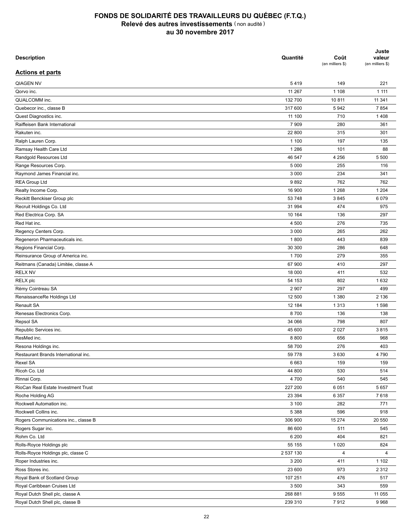| <b>Description</b>                   | Quantité  | Coût<br>(en milliers \$) | Juste<br>valeur<br>(en milliers \$) |
|--------------------------------------|-----------|--------------------------|-------------------------------------|
| <b>Actions et parts</b>              |           |                          |                                     |
| <b>QIAGEN NV</b>                     | 5419      | 149                      | 221                                 |
| Qorvo inc.                           | 11 267    | 1 1 0 8                  | 1 1 1 1                             |
| QUALCOMM inc.                        | 132 700   | 10 811                   | 11 341                              |
| Quebecor inc., classe B              | 317 600   | 5942                     | 7854                                |
| Quest Diagnostics inc.               | 11 100    | 710                      | 1408                                |
| Raiffeisen Bank International        | 7 9 0 9   | 280                      | 361                                 |
| Rakuten inc.                         | 22 800    | 315                      | 301                                 |
| Ralph Lauren Corp.                   | 1 100     | 197                      | 135                                 |
| Ramsay Health Care Ltd               | 1 2 8 6   | 101                      | 88                                  |
| Randgold Resources Ltd               | 46 547    | 4 2 5 6                  | 5 5 0 0                             |
| Range Resources Corp.                | 5 0 0 0   | 255                      | 116                                 |
| Raymond James Financial inc.         | 3 0 0 0   | 234                      | 341                                 |
| <b>REA Group Ltd</b>                 | 9892      | 762                      | 762                                 |
| Realty Income Corp.                  | 16 900    | 1 2 6 8                  | 1 2 0 4                             |
| Reckitt Benckiser Group plc          | 53 748    | 3845                     | 6 0 7 9                             |
| Recruit Holdings Co. Ltd             | 31 994    | 474                      | 975                                 |
| Red Electrica Corp. SA               | 10 164    | 136                      | 297                                 |
| Red Hat inc.                         | 4 500     | 276                      | 735                                 |
| Regency Centers Corp.                | 3 0 0 0   | 265                      | 262                                 |
| Regeneron Pharmaceuticals inc.       | 1800      | 443                      | 839                                 |
| Regions Financial Corp.              | 30 300    | 286                      | 648                                 |
| Reinsurance Group of America inc.    | 1700      | 279                      | 355                                 |
| Reitmans (Canada) Limitée, classe A  | 67 900    | 410                      | 297                                 |
| <b>RELX NV</b>                       | 18 000    | 411                      | 532                                 |
| <b>RELX</b> plc                      | 54 153    | 802                      | 1632                                |
| Rémy Cointreau SA                    | 2 9 0 7   | 297                      | 499                                 |
| RenaissanceRe Holdings Ltd           | 12 500    | 1 3 8 0                  | 2 1 3 6                             |
| Renault SA                           | 12 184    | 1 3 1 3                  | 1598                                |
| Renesas Electronics Corp.            | 8700      | 136                      | 138                                 |
|                                      |           | 798                      | 807                                 |
| Repsol SA                            | 34 066    |                          |                                     |
| Republic Services inc.               | 45 600    | 2 0 2 7                  | 3815                                |
| ResMed inc.                          | 8800      | 656                      | 968                                 |
| Resona Holdings inc.                 | 58 700    | 276                      | 403                                 |
| Restaurant Brands International inc. | 59 778    | 3 6 3 0                  | 4790                                |
| Rexel SA                             | 6 6 6 3   | 159                      | 159                                 |
| Ricoh Co. Ltd                        | 44 800    | 530                      | 514                                 |
| Rinnai Corp.                         | 4700      | 540                      | 545                                 |
| RioCan Real Estate Investment Trust  | 227 200   | 6 0 5 1                  | 5 6 5 7                             |
| Roche Holding AG                     | 23 394    | 6 3 5 7                  | 7618                                |
| Rockwell Automation inc.             | 3 100     | 282                      | 771                                 |
| Rockwell Collins inc.                | 5 3 8 8   | 596                      | 918                                 |
| Rogers Communications inc., classe B | 306 900   | 15 274                   | 20 550                              |
| Rogers Sugar inc.                    | 86 600    | 511                      | 545                                 |
| Rohm Co. Ltd                         | 6 200     | 404                      | 821                                 |
| Rolls-Royce Holdings plc             | 55 155    | 1 0 2 0                  | 824                                 |
| Rolls-Royce Holdings plc, classe C   | 2 537 130 | 4                        | 4                                   |
| Roper Industries inc.                | 3 200     | 411                      | 1 1 0 2                             |
| Ross Stores inc.                     | 23 600    | 973                      | 2 3 1 2                             |
| Royal Bank of Scotland Group         | 107 251   | 476                      | 517                                 |
| Royal Caribbean Cruises Ltd          | 3 500     | 343                      | 559                                 |
| Royal Dutch Shell plc, classe A      | 268 881   | 9555                     | 11 0 55                             |
| Royal Dutch Shell plc, classe B      | 239 310   | 7912                     | 9968                                |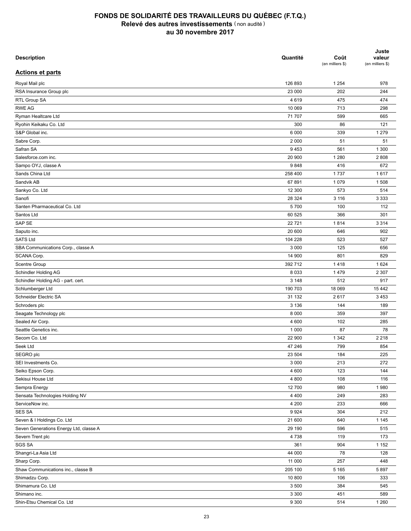| <b>Description</b>                        | Quantité | Coût<br>(en milliers \$) | Juste<br>valeur<br>(en milliers \$) |
|-------------------------------------------|----------|--------------------------|-------------------------------------|
| <b>Actions et parts</b>                   |          |                          |                                     |
| Royal Mail plc                            | 126 893  | 1 2 5 4                  | 978                                 |
| RSA Insurance Group plc                   | 23 000   | 202                      | 244                                 |
| RTL Group SA                              | 4619     | 475                      | 474                                 |
| <b>RWE AG</b>                             | 10 069   | 713                      | 298                                 |
| Ryman Healtcare Ltd                       | 71 707   | 599                      | 665                                 |
| Ryohin Keikaku Co. Ltd                    | 300      | 86                       | 121                                 |
| S&P Global inc.                           | 6 0 0 0  | 339                      | 1 2 7 9                             |
| Sabre Corp.                               | 2 0 0 0  | 51                       | 51                                  |
| Safran SA                                 | 9453     | 561                      | 1 300                               |
| Salesforce.com inc.                       | 20 900   | 1 2 8 0                  | 2808                                |
| Sampo OYJ, classe A                       | 9848     | 416                      | 672                                 |
| Sands China Ltd                           | 258 400  | 1737                     | 1617                                |
| Sandvik AB                                | 67 891   | 1 0 7 9                  | 1508                                |
| Sankyo Co. Ltd                            | 12 300   | 573                      | 514                                 |
| Sanofi                                    | 28 3 24  | 3 1 1 6                  | 3 3 3 3                             |
| Santen Pharmaceutical Co. Ltd             | 5700     | 100                      | 112                                 |
| Santos Ltd                                | 60 525   | 366                      | 301                                 |
| SAP SE                                    | 22721    | 1814                     | 3 3 1 4                             |
| Saputo inc.                               | 20 600   | 646                      | 902                                 |
| <b>SATS Ltd</b>                           | 104 228  | 523                      | 527                                 |
| SBA Communications Corp., classe A        | 3 0 0 0  | 125                      | 656                                 |
| SCANA Corp.                               | 14 900   | 801                      | 829                                 |
| Scentre Group                             | 392 712  | 1418                     | 1 6 2 4                             |
| Schindler Holding AG                      | 8 0 3 3  | 1479                     | 2 3 0 7                             |
|                                           | 3 1 4 8  | 512                      | 917                                 |
| Schindler Holding AG - part. cert.        | 190 703  | 18 069                   | 15 4 42                             |
| Schlumberger Ltd<br>Schneider Electric SA |          |                          |                                     |
|                                           | 31 132   | 2617                     | 3 4 5 3                             |
| Schroders plc                             | 3 1 3 6  | 144                      | 189                                 |
| Seagate Technology plc                    | 8 0 0 0  | 359                      | 397                                 |
| Sealed Air Corp.                          | 4 600    | 102                      | 285                                 |
| Seattle Genetics inc.                     | 1 0 0 0  | 87                       | 78                                  |
| Secom Co. Ltd                             | 22 900   | 1 3 4 2                  | 2 2 1 8                             |
| Seek Ltd                                  | 47 246   | 799                      | 854                                 |
| SEGRO plc                                 | 23 504   | 184                      | 225                                 |
| SEI Investments Co.                       | 3 0 0 0  | 213                      | 272                                 |
| Seiko Epson Corp.                         | 4 600    | 123                      | 144                                 |
| Sekisui House Ltd                         | 4 800    | 108                      | 116                                 |
| Sempra Energy                             | 12 700   | 980                      | 1980                                |
| Sensata Technologies Holding NV           | 4 4 0 0  | 249                      | 283                                 |
| ServiceNow inc.                           | 4 200    | 233                      | 666                                 |
| <b>SES SA</b>                             | 9924     | 304                      | 212                                 |
| Seven & I Holdings Co. Ltd                | 21 600   | 640                      | 1 1 4 5                             |
| Seven Generations Energy Ltd, classe A    | 29 190   | 596                      | 515                                 |
| Severn Trent plc                          | 4738     | 119                      | 173                                 |
| <b>SGS SA</b>                             | 361      | 904                      | 1 1 5 2                             |
| Shangri-La Asia Ltd                       | 44 000   | 78                       | 128                                 |
| Sharp Corp.                               | 11 000   | 257                      | 448                                 |
| Shaw Communications inc., classe B        | 205 100  | 5 1 6 5                  | 5897                                |
| Shimadzu Corp.                            | 10 800   | 106                      | 333                                 |
| Shimamura Co. Ltd                         | 3 500    | 384                      | 545                                 |
| Shimano inc.                              | 3 3 0 0  | 451                      | 589                                 |
| Shin-Etsu Chemical Co. Ltd                | 9 3 0 0  | 514                      | 1 2 6 0                             |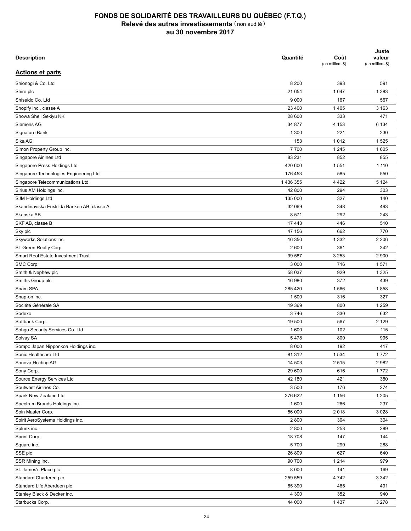| <b>Description</b>                         | Quantité  | Coût<br>(en milliers \$) | Juste<br>valeur<br>(en milliers \$) |
|--------------------------------------------|-----------|--------------------------|-------------------------------------|
| <b>Actions et parts</b>                    |           |                          |                                     |
| Shionogi & Co. Ltd                         | 8 2 0 0   | 393                      | 591                                 |
| Shire plc                                  | 21 654    | 1 0 4 7                  | 1 3 8 3                             |
| Shiseido Co. Ltd                           | 9 0 0 0   | 167                      | 567                                 |
| Shopify inc., classe A                     | 23 400    | 1 4 0 5                  | 3 1 6 3                             |
| Showa Shell Sekiyu KK                      | 28 600    | 333                      | 471                                 |
| Siemens AG                                 | 34 877    | 4 1 5 3                  | 6 134                               |
| Signature Bank                             | 1 300     | 221                      | 230                                 |
| Sika AG                                    | 153       | 1012                     | 1525                                |
| Simon Property Group inc.                  | 7700      | 1 2 4 5                  | 1 605                               |
| Singapore Airlines Ltd                     | 83 231    | 852                      | 855                                 |
| Singapore Press Holdings Ltd               | 420 600   | 1 5 5 1                  | 1 1 1 0                             |
| Singapore Technologies Engineering Ltd     | 176 453   | 585                      | 550                                 |
| Singapore Telecommunications Ltd           | 1 436 355 | 4 4 2 2                  | 5 1 2 4                             |
| Sirius XM Holdings inc.                    | 42 800    | 294                      | 303                                 |
| SJM Holdings Ltd                           | 135 000   | 327                      | 140                                 |
| Skandinaviska Enskilda Banken AB, classe A | 32 069    | 348                      | 493                                 |
| Skanska AB                                 | 8571      | 292                      | 243                                 |
| SKF AB, classe B                           | 17 443    | 446                      | 510                                 |
| Sky plc                                    | 47 156    | 662                      | 770                                 |
| Skyworks Solutions inc.                    | 16 350    | 1 3 3 2                  | 2 2 0 6                             |
| SL Green Realty Corp.                      | 2 600     | 361                      | 342                                 |
| Smart Real Estate Investment Trust         | 99 587    | 3 2 5 3                  | 2 900                               |
| SMC Corp.                                  | 3 0 0 0   | 716                      | 1571                                |
| Smith & Nephew plc                         | 58 037    | 929                      | 1 3 2 5                             |
| Smiths Group plc                           | 16 980    | 372                      | 439                                 |
| Snam SPA                                   | 285 420   | 1566                     | 1858                                |
| Snap-on inc.                               | 1 500     | 316                      | 327                                 |
| Société Générale SA                        | 19 369    | 800                      | 1 2 5 9                             |
| Sodexo                                     | 3746      | 330                      | 632                                 |
| Softbank Corp.                             | 19 500    | 567                      | 2 1 2 9                             |
| Sohgo Security Services Co. Ltd            | 1 600     | 102                      | 115                                 |
| Solvay SA                                  | 5478      | 800                      | 995                                 |
|                                            |           |                          |                                     |
| Sompo Japan Nipponkoa Holdings inc.        | 8 0 0 0   | 192                      | 417                                 |
| Sonic Healthcare Ltd<br>Sonova Holding AG  | 81 312    | 1 5 3 4                  | 1772                                |
|                                            | 14 503    | 2515                     | 2982                                |
| Sony Corp.                                 | 29 600    | 616                      | 1772                                |
| Source Energy Services Ltd                 | 42 180    | 421                      | 380                                 |
| Soutwest Airlines Co.                      | 3 500     | 176                      | 274                                 |
| Spark New Zealand Ltd                      | 376 622   | 1 1 5 6                  | 1 2 0 5                             |
| Spectrum Brands Holdings inc.              | 1 600     | 266                      | 237                                 |
| Spin Master Corp.                          | 56 000    | 2018                     | 3 0 28                              |
| Spirit AeroSystems Holdings inc.           | 2 800     | 304                      | 304                                 |
| Splunk inc.                                | 2 800     | 253                      | 289                                 |
| Sprint Corp.                               | 18708     | 147                      | 144                                 |
| Square inc.                                | 5700      | 290                      | 288                                 |
| SSE plc                                    | 26 809    | 627                      | 640                                 |
| SSR Mining inc.                            | 90 700    | 1 2 1 4                  | 979                                 |
| St. James's Place plc                      | 8 0 0 0   | 141                      | 169                                 |
| Standard Chartered plc                     | 259 559   | 4742                     | 3 3 4 2                             |
| Standard Life Aberdeen plc                 | 65 390    | 465                      | 491                                 |
| Stanley Black & Decker inc.                | 4 3 0 0   | 352                      | 940                                 |
| Starbucks Corp.                            | 44 000    | 1 4 3 7                  | 3 2 7 8                             |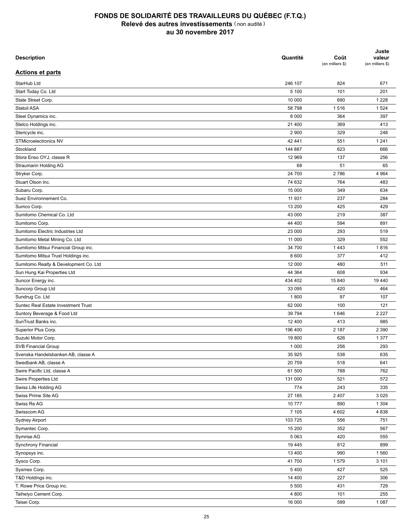| <b>Description</b>                    | Quantité | Coût<br>(en milliers \$) | Juste<br>valeur<br>(en milliers \$) |
|---------------------------------------|----------|--------------------------|-------------------------------------|
| <b>Actions et parts</b>               |          |                          |                                     |
| StarHub Ltd                           | 246 107  | 824                      | 671                                 |
| Start Today Co. Ltd                   | 5 100    | 101                      | 201                                 |
| State Street Corp.                    | 10 000   | 690                      | 1 2 2 8                             |
| Statoil ASA                           | 58 798   | 1516                     | 1 5 2 4                             |
| Steel Dynamics inc.                   | 8 0 0 0  | 364                      | 397                                 |
| Stelco Holdings inc.                  | 21 400   | 369                      | 413                                 |
| Stericycle inc.                       | 2 9 0 0  | 329                      | 248                                 |
| STMicroelectronics NV                 | 42 441   | 551                      | 1 2 4 1                             |
| Stockland                             | 144 887  | 623                      | 666                                 |
| Stora Enso OYJ, classe R              | 12 969   | 137                      | 256                                 |
| Straumann Holding AG                  | 68       | 51                       | 65                                  |
| Stryker Corp.                         | 24 700   | 2786                     | 4 9 64                              |
| Stuart Olson inc.                     | 74 632   | 764                      | 483                                 |
| Subaru Corp.                          | 15 000   | 349                      | 634                                 |
| Suez Environnement Co.                | 11 931   | 237                      | 284                                 |
| Sumco Corp.                           | 13 200   | 425                      | 429                                 |
| Sumitomo Chemical Co. Ltd             | 43 000   | 219                      | 387                                 |
| Sumitomo Corp.                        | 44 400   | 594                      | 891                                 |
| Sumitomo Electric Industries Ltd      | 23 000   | 293                      | 519                                 |
| Sumitomo Metal Mining Co. Ltd         | 11 000   | 329                      | 552                                 |
| Sumitomo Mitsui Financial Group inc.  | 34 700   | 1 4 4 3                  | 1816                                |
| Sumitomo Mitsui Trust Holdings inc.   | 8 600    | 377                      | 412                                 |
| Sumitomo Realty & Development Co. Ltd | 12 000   | 480                      | 511                                 |
| Sun Hung Kai Properties Ltd           | 44 364   | 608                      | 934                                 |
| Suncor Energy inc.                    | 434 402  | 15 840                   | 19 440                              |
| Suncorp Group Ltd                     | 33 095   | 420                      | 464                                 |
| Sundrug Co. Ltd                       | 1800     | 97                       | 107                                 |
| Suntec Real Estate Investment Trust   | 62 000   | 100                      | 121                                 |
| Suntory Beverage & Food Ltd           | 39 794   | 1646                     | 2 2 2 7                             |
| SunTrust Banks inc.                   | 12 400   | 413                      | 985                                 |
| Superior Plus Corp.                   | 196 400  | 2 187                    | 2 3 9 0                             |
| Suzuki Motor Corp.                    | 19800    | 626                      | 1 3 7 7                             |
| <b>SVB Financial Group</b>            | 1 0 0 0  | 256                      | 293                                 |
| Svenska Handelsbanken AB, classe A    | 35 925   | 538                      | 635                                 |
| Swedbank AB, classe A                 | 20 759   | 518                      | 641                                 |
| Swire Pacific Ltd, classe A           | 61 500   | 788                      | 762                                 |
| Swire Properties Ltd                  | 131 000  | 521                      | 572                                 |
| Swiss Life Holding AG                 | 774      | 243                      | 335                                 |
|                                       |          |                          |                                     |
| Swiss Prime Site AG                   | 27 185   | 2 4 0 7                  | 3 0 2 5                             |
| Swiss Re AG                           | 10777    | 890                      | 1 3 0 4                             |
| Swisscom AG                           | 7 1 0 5  | 4 602                    | 4 8 3 8                             |
| Sydney Airport                        | 103 725  | 556                      | 751                                 |
| Symantec Corp.                        | 15 200   | 352                      | 567                                 |
| Symrise AG                            | 5 0 6 3  | 420                      | 555                                 |
| Synchrony Financial                   | 19 4 45  | 812                      | 899                                 |
| Synopsys inc.                         | 13 400   | 990                      | 1560                                |
| Sysco Corp.                           | 41700    | 1579                     | 3 101                               |
| Sysmex Corp.                          | 5 4 0 0  | 427                      | 525                                 |
| T&D Holdings inc.                     | 14 400   | 227                      | 306                                 |
| T. Rowe Price Group inc.              | 5 5 0 0  | 431                      | 729                                 |
| Taiheiyo Cement Corp.                 | 4 800    | 101                      | 255                                 |
| Taisei Corp.                          | 16 000   | 599                      | 1 0 8 7                             |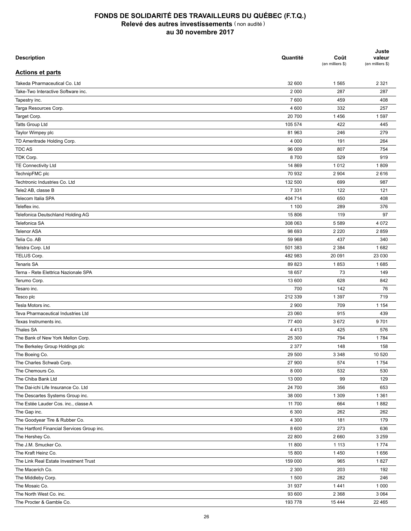| <b>Description</b>                         | Quantité | Coût<br>(en milliers \$) | Juste<br>valeur<br>(en milliers \$) |
|--------------------------------------------|----------|--------------------------|-------------------------------------|
| <b>Actions et parts</b>                    |          |                          |                                     |
| Takeda Pharmaceutical Co. Ltd              | 32 600   | 1565                     | 2 3 2 1                             |
| Take-Two Interactive Software inc.         | 2 0 0 0  | 287                      | 287                                 |
| Tapestry inc.                              | 7 600    | 459                      | 408                                 |
| Targa Resources Corp.                      | 4 600    | 332                      | 257                                 |
| Target Corp.                               | 20 700   | 1456                     | 1597                                |
| Tatts Group Ltd                            | 105 574  | 422                      | 445                                 |
| Taylor Wimpey plc                          | 81 963   | 246                      | 279                                 |
| TD Ameritrade Holding Corp.                | 4 0 0 0  | 191                      | 264                                 |
| <b>TDCAS</b>                               | 96 009   | 807                      | 754                                 |
| TDK Corp.                                  | 8700     | 529                      | 919                                 |
| TE Connectivity Ltd                        | 14 869   | 1012                     | 1809                                |
| TechnipFMC plc                             | 70 932   | 2 9 0 4                  | 2616                                |
| Techtronic Industries Co. Ltd              | 132 500  | 699                      | 987                                 |
| Tele2 AB, classe B                         | 7 3 3 1  | 122                      | 121                                 |
| Telecom Italia SPA                         | 404 714  | 650                      | 408                                 |
| Teleflex inc.                              | 1 100    | 289                      | 376                                 |
| Telefonica Deutschland Holding AG          | 15 806   | 119                      | 97                                  |
| Telefonica SA                              | 308 063  | 5 5 8 9                  | 4 0 7 2                             |
| <b>Telenor ASA</b>                         | 98 693   | 2 2 2 0                  | 2859                                |
| Telia Co. AB                               | 59 968   | 437                      | 340                                 |
|                                            |          |                          | 1682                                |
| Telstra Corp. Ltd                          | 501 383  | 2 3 8 4                  |                                     |
| TELUS Corp.                                | 482 983  | 20 091                   | 23 030                              |
| <b>Tenaris SA</b>                          | 89 823   | 1853                     | 1685                                |
| Terna - Rete Elettrica Nazionale SPA       | 18 657   | 73                       | 149                                 |
| Terumo Corp.                               | 13 600   | 628                      | 842                                 |
| Tesaro inc.                                | 700      | 142                      | 76                                  |
| Tesco plc                                  | 212 339  | 1 3 9 7                  | 719                                 |
| Tesla Motors inc.                          | 2 9 0 0  | 709                      | 1 1 5 4                             |
| Teva Pharmaceutical Industries Ltd         | 23 060   | 915                      | 439                                 |
| Texas Instruments inc.                     | 77 400   | 3672                     | 9701                                |
| <b>Thales SA</b>                           | 4 4 1 3  | 425                      | 576                                 |
| The Bank of New York Mellon Corp.          | 25 300   | 794                      | 1784                                |
| The Berkeley Group Holdings plc            | 2 3 7 7  | 148                      | 158                                 |
| The Boeing Co.                             | 29 500   | 3 3 4 8                  | 10 520                              |
| The Charles Schwab Corp.                   | 27 900   | 574                      | 1754                                |
| The Chemours Co.                           | 8 0 0 0  | 532                      | 530                                 |
| The Chiba Bank Ltd                         | 13 000   | 99                       | 129                                 |
| The Dai-ichi Life Insurance Co. Ltd        | 24 700   | 356                      | 653                                 |
| The Descartes Systems Group inc.           | 38 000   | 1 3 0 9                  | 1 3 6 1                             |
| The Estée Lauder Cos. inc., classe A       | 11 700   | 664                      | 1882                                |
| The Gap inc.                               | 6 3 0 0  | 262                      | 262                                 |
| The Goodyear Tire & Rubber Co.             | 4 3 0 0  | 181                      | 179                                 |
| The Hartford Financial Services Group inc. | 8 600    | 273                      | 636                                 |
| The Hershey Co.                            | 22 800   | 2 6 6 0                  | 3 2 5 9                             |
| The J.M. Smucker Co.                       | 11 800   | 1 1 1 3                  | 1774                                |
| The Kraft Heinz Co.                        | 15 800   | 1450                     | 1656                                |
| The Link Real Estate Investment Trust      | 159 000  | 965                      | 1827                                |
| The Macerich Co.                           | 2 3 0 0  | 203                      | 192                                 |
| The Middleby Corp.                         | 1500     | 282                      | 246                                 |
| The Mosaic Co.                             | 31 937   | 1441                     | 1 0 0 0                             |
| The North West Co. inc.                    | 93 600   | 2 3 6 8                  | 3 0 6 4                             |
| The Procter & Gamble Co.                   | 193778   | 15 4 44                  | 22 4 65                             |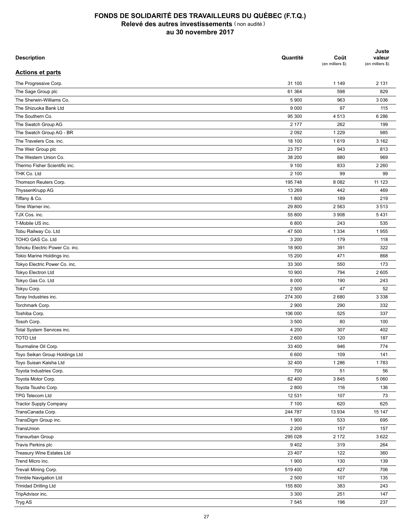| <b>Description</b>             | Quantité | Coût<br>(en milliers \$) | Juste<br>valeur<br>(en milliers \$) |
|--------------------------------|----------|--------------------------|-------------------------------------|
| <b>Actions et parts</b>        |          |                          |                                     |
| The Progressive Corp.          | 31 100   | 1 1 4 9                  | 2 1 3 1                             |
| The Sage Group plc             | 61 364   | 598                      | 829                                 |
| The Sherwin-Williams Co.       | 5 900    | 963                      | 3 0 3 6                             |
| The Shizuoka Bank Ltd          | 9 0 0 0  | 97                       | 115                                 |
| The Southern Co.               | 95 300   | 4513                     | 6 2 8 6                             |
| The Swatch Group AG            | 2 177    | 262                      | 199                                 |
| The Swatch Group AG - BR       | 2 0 9 2  | 1 2 2 9                  | 985                                 |
| The Travelers Cos. inc.        | 18 100   | 1619                     | 3 1 6 2                             |
| The Weir Group plc             | 23 757   | 943                      | 813                                 |
| The Western Union Co.          | 38 200   | 880                      | 969                                 |
| Thermo Fisher Scientific inc.  | 9 100    | 833                      | 2 2 6 0                             |
| THK Co. Ltd                    | 2 100    | 99                       | 99                                  |
| Thomson Reuters Corp.          | 195 748  | 8 0 8 2                  | 11 123                              |
| ThyssenKrupp AG                | 13 269   | 442                      | 469                                 |
| Tiffany & Co.                  | 1800     | 189                      | 219                                 |
| Time Warner inc.               | 29 800   | 2 5 6 3                  | 3513                                |
| TJX Cos. inc.                  | 55 800   | 3 9 0 8                  | 5431                                |
| T-Mobile US inc.               | 6800     | 243                      | 535                                 |
| Tobu Railway Co. Ltd           | 47 500   | 1 3 3 4                  | 1955                                |
| TOHO GAS Co. Ltd               | 3 200    | 179                      | 118                                 |
| Tohoku Electric Power Co. inc. | 18 900   | 391                      | 322                                 |
| Tokio Marine Holdings inc.     | 15 200   | 471                      | 868                                 |
| Tokyo Electric Power Co. inc.  | 33 300   | 550                      | 173                                 |
| Tokyo Electron Ltd             | 10 900   | 794                      | 2 6 0 5                             |
| Tokyo Gas Co. Ltd              | 8 0 0 0  | 190                      | 243                                 |
| Tokyu Corp.                    | 2 500    | 47                       | 52                                  |
| Toray Industries inc.          | 274 300  | 2680                     | 3 3 3 8                             |
| Torchmark Corp.                | 2 9 0 0  | 290                      | 332                                 |
| Toshiba Corp.                  | 106 000  | 525                      | 337                                 |
| Tosoh Corp.                    | 3 500    | 80                       | 100                                 |
| Total System Services inc.     | 4 200    | 307                      | 402                                 |
| <b>TOTO Ltd</b>                | 2 600    | 120                      | 187                                 |
|                                | 33 400   | 946                      | 774                                 |
| Tourmaline Oil Corp.           | 6 600    |                          |                                     |
| Toyo Seikan Group Holdings Ltd |          | 109                      | 141                                 |
| Toyo Suisan Kaisha Ltd         | 32 400   | 1 2 8 6                  | 1783                                |
| Toyota Industries Corp.        | 700      | 51                       | 56                                  |
| Toyota Motor Corp.             | 62 400   | 3845                     | 5 0 6 0                             |
| Toyota Tsusho Corp.            | 2 8 0 0  | 116                      | 136                                 |
| TPG Telecom Ltd                | 12 531   | 107                      | 73                                  |
| <b>Tractor Supply Company</b>  | 7 100    | 620                      | 625                                 |
| TransCanada Corp.              | 244 787  | 13 934                   | 15 147                              |
| TransDigm Group inc.           | 1 900    | 533                      | 695                                 |
| TransUnion                     | 2 2 0 0  | 157                      | 157                                 |
| Transurban Group               | 295 028  | 2 172                    | 3622                                |
| Travis Perkins plc             | 9402     | 319                      | 264                                 |
| Treasury Wine Estates Ltd      | 23 407   | 122                      | 360                                 |
| Trend Micro inc.               | 1 900    | 130                      | 139                                 |
| Trevali Mining Corp.           | 519 400  | 427                      | 706                                 |
| Trimble Navigation Ltd         | 2 500    | 107                      | 135                                 |
| <b>Trinidad Drilling Ltd</b>   | 155 800  | 383                      | 243                                 |
| TripAdvisor inc.               | 3 3 0 0  | 251                      | 147                                 |
| Tryg AS                        | 7 5 4 5  | 196                      | 237                                 |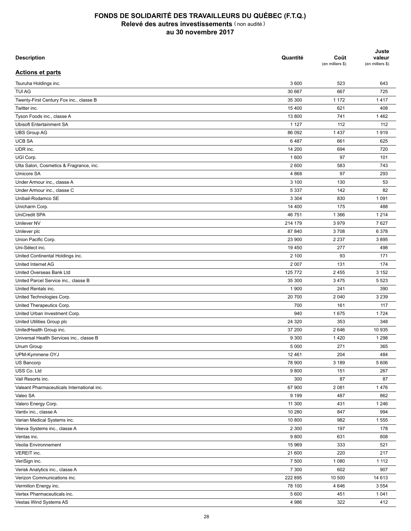| <b>Description</b>                         | Quantité          | Coût<br>(en milliers \$) | Juste<br>valeur<br>(en milliers \$) |
|--------------------------------------------|-------------------|--------------------------|-------------------------------------|
| <b>Actions et parts</b>                    |                   |                          |                                     |
| Tsuruha Holdings inc.                      | 3 600             | 523                      | 643                                 |
| <b>TUI AG</b>                              | 30 667            | 667                      | 725                                 |
| Twenty-First Century Fox inc., classe B    | 35 300            | 1 172                    | 1417                                |
| Twitter inc.                               | 15 400            | 621                      | 408                                 |
| Tyson Foods inc., classe A                 | 13 800            | 741                      | 1462                                |
| <b>Ubisoft Entertainment SA</b>            | 1 1 2 7           | 112                      | 112                                 |
| <b>UBS Group AG</b>                        | 86 092            | 1 4 3 7                  | 1919                                |
| <b>UCB SA</b>                              | 6487              | 661                      | 625                                 |
| UDR inc.                                   | 14 200            | 694                      | 720                                 |
| UGI Corp.                                  | 1 600             | 97                       | 101                                 |
| Ulta Salon, Cosmetics & Fragrance, inc.    | 2 600             | 583                      | 743                                 |
| Umicore SA                                 | 4 8 6 8           | 97                       | 293                                 |
| Under Armour inc., classe A                | 3 100             | 130                      | 53                                  |
| Under Armour inc., classe C                | 5 3 3 7           | 142                      | 82                                  |
| Unibail-Rodamco SE                         | 3 3 0 4           | 830                      | 1 0 9 1                             |
| Unicharm Corp.                             | 14 400            | 175                      | 488                                 |
| UniCredit SPA                              | 46 751            | 1 3 6 6                  | 1 2 1 4                             |
| Unilever NV                                |                   |                          | 7627                                |
|                                            | 214 179<br>87 840 | 3979                     |                                     |
| Unilever plc                               |                   | 3708                     | 6 3 7 8                             |
| Union Pacific Corp.                        | 23 900            | 2 2 3 7                  | 3895                                |
| Uni-Sélect inc.                            | 19 450            | 277                      | 498                                 |
| United Continental Holdings inc.           | 2 100             | 93                       | 171                                 |
| United Internet AG                         | 2 0 0 7           | 131                      | 174                                 |
| United Overseas Bank Ltd                   | 125 772           | 2 4 5 5                  | 3 1 5 2                             |
| United Parcel Service inc., classe B       | 35 300            | 3 4 7 5                  | 5 5 2 3                             |
| United Rentals inc.                        | 1 900             | 241                      | 390                                 |
| United Technologies Corp.                  | 20 700            | 2 0 4 0                  | 3 2 3 9                             |
| United Therapeutics Corp.                  | 700               | 161                      | 117                                 |
| United Urban Investment Corp.              | 940               | 1675                     | 1724                                |
| United Utilities Group plc                 | 24 3 20           | 353                      | 348                                 |
| UnitedHealth Group inc.                    | 37 200            | 2646                     | 10 935                              |
| Universal Health Services inc., classe B   | 9 3 0 0           | 1 4 2 0                  | 1 2 9 8                             |
| Unum Group                                 | 5 0 0 0           | 271                      | 365                                 |
| UPM-Kymmene OYJ                            | 12 4 61           | 204                      | 484                                 |
| US Bancorp                                 | 78 900            | 3 1 8 9                  | 5 60 6                              |
| USS Co. Ltd                                | 9800              | 151                      | 267                                 |
| Vail Resorts inc.                          | 300               | 87                       | 87                                  |
| Valeant Pharmaceuticals International inc. | 67 900            | 2 0 8 1                  | 1476                                |
| Valeo SA                                   | 9 1 9 9           | 487                      | 862                                 |
| Valero Energy Corp.                        | 11 300            | 431                      | 1 2 4 6                             |
| Vantiv inc., classe A                      | 10 280            | 847                      | 994                                 |
| Varian Medical Systems inc.                | 10 800            | 982                      | 1555                                |
| Veeva Systems inc., classe A               | 2 3 0 0           | 197                      | 178                                 |
| Ventas inc.                                | 9800              | 631                      | 808                                 |
| Veolia Environnement                       | 15 969            | 333                      | 521                                 |
| VEREIT inc.                                | 21 600            | 220                      | 217                                 |
| VeriSign inc.                              | 7 500             | 1 0 8 0                  | 1 1 1 2                             |
| Verisk Analytics inc., classe A            | 7 3 0 0           | 602                      | 907                                 |
| Verizon Communications inc.                | 222 895           | 10 500                   | 14 613                              |
| Vermilion Energy inc.                      | 78 100            | 4646                     | 3 5 5 4                             |
| Vertex Pharmaceuticals inc.                | 5 600             | 451                      | 1 0 4 1                             |
| Vestas Wind Systems AS                     | 4 9 8 6           | 322                      | 412                                 |
|                                            |                   |                          |                                     |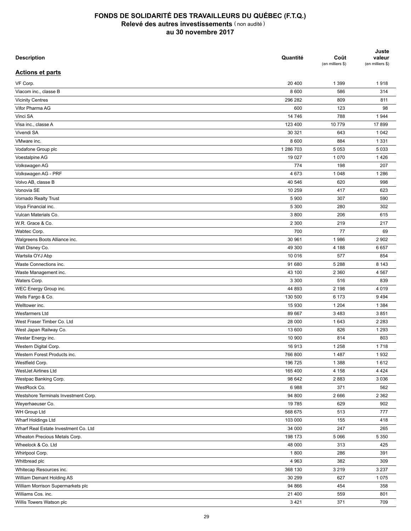| <b>Description</b>                   | Quantité  | Coût<br>(en milliers \$) | Juste<br>valeur<br>(en milliers \$) |
|--------------------------------------|-----------|--------------------------|-------------------------------------|
| <b>Actions et parts</b>              |           |                          |                                     |
| VF Corp.                             | 20 400    | 1 3 9 9                  | 1918                                |
| Viacom inc., classe B                | 8 600     | 586                      | 314                                 |
| <b>Vicinity Centres</b>              | 296 282   | 809                      | 811                                 |
| Vifor Pharma AG                      | 600       | 123                      | 98                                  |
| Vinci SA                             | 14 746    | 788                      | 1944                                |
| Visa inc., classe A                  | 123 400   | 10779                    | 17899                               |
| Vivendi SA                           | 30 321    | 643                      | 1 0 4 2                             |
| VMware inc.                          | 8 600     | 884                      | 1 3 3 1                             |
| Vodafone Group plc                   | 1 286 703 | 5 0 5 3                  | 5 0 3 3                             |
| Voestalpine AG                       | 19 0 27   | 1 0 7 0                  | 1426                                |
| Volkswagen AG                        | 774       | 198                      | 207                                 |
| Volkswagen AG - PRF                  | 4 6 7 3   | 1 0 4 8                  | 1 2 8 6                             |
| Volvo AB, classe B                   | 40 546    | 620                      | 998                                 |
| Vonovia SE                           | 10 259    | 417                      | 623                                 |
| Vornado Realty Trust                 | 5 9 0 0   | 307                      | 590                                 |
| Voya Financial inc.                  | 5 300     | 280                      | 302                                 |
| Vulcan Materials Co.                 | 3800      | 206                      | 615                                 |
| W.R. Grace & Co.                     | 2 3 0 0   | 219                      | 217                                 |
| Wabtec Corp.                         | 700       | 77                       | 69                                  |
| Walgreens Boots Alliance inc.        | 30 961    | 1986                     | 2 9 0 2                             |
| Walt Disney Co.                      | 49 300    | 4 188                    | 6657                                |
| Wartsila OYJ Abp                     | 10 016    | 577                      | 854                                 |
| Waste Connections inc.               | 91 680    | 5 2 8 8                  | 8 1 4 3                             |
| Waste Management inc.                | 43 100    | 2 3 6 0                  | 4567                                |
|                                      |           |                          |                                     |
| Waters Corp.                         | 3 3 0 0   | 516                      | 839                                 |
| WEC Energy Group inc.                | 44 893    | 2 1 9 8<br>6 173         | 4 0 1 9                             |
| Wells Fargo & Co.                    | 130 500   |                          | 9494                                |
| Welltower inc.                       | 15 930    | 1 2 0 4                  | 1 3 8 4                             |
| Wesfarmers Ltd                       | 89 667    | 3 4 8 3                  | 3851                                |
| West Fraser Timber Co. Ltd           | 28 000    | 1643                     | 2 2 8 3                             |
| West Japan Railway Co.               | 13 600    | 826                      | 1 2 9 3                             |
| Westar Energy inc.                   | 10 900    | 814                      | 803                                 |
| Western Digital Corp.                | 16913     | 1 2 5 8                  | 1718                                |
| Western Forest Products inc.         | 766 800   | 1487                     | 1932                                |
| Westfield Corp.                      | 196 725   | 1 3 8 8                  | 1612                                |
| WestJet Airlines Ltd                 | 165 400   | 4 1 5 8                  | 4 4 2 4                             |
| Westpac Banking Corp.                | 98 642    | 2883                     | 3 0 3 6                             |
| WestRock Co.                         | 6988      | 371                      | 562                                 |
| Westshore Terminals Investment Corp. | 94 800    | 2666                     | 2 3 6 2                             |
| Weyerhaeuser Co.                     | 19 785    | 629                      | 902                                 |
| WH Group Ltd                         | 568 675   | 513                      | 777                                 |
| Wharf Holdings Ltd                   | 103 000   | 155                      | 418                                 |
| Wharf Real Estate Investment Co. Ltd | 34 000    | 247                      | 265                                 |
| Wheaton Precious Metals Corp.        | 198 173   | 5 0 6 6                  | 5 3 5 0                             |
| Wheelock & Co. Ltd                   | 48 000    | 313                      | 425                                 |
| Whirlpool Corp.                      | 1800      | 286                      | 391                                 |
| Whitbread plc                        | 4 9 6 3   | 382                      | 309                                 |
| Whitecap Resources inc.              | 368 130   | 3 2 1 9                  | 3 2 3 7                             |
| William Demant Holding AS            | 30 299    | 627                      | 1075                                |
| William Morrison Supermarkets plc    | 94 866    | 454                      | 358                                 |
| Williams Cos. inc.                   | 21 400    | 559                      | 801                                 |
| Willis Towers Watson plc             | 3421      | 371                      | 709                                 |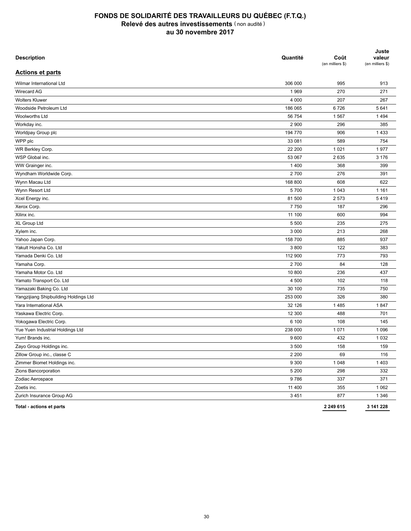| <b>Description</b>                    | Quantité | Coût<br>(en milliers \$) | Juste<br>valeur<br>(en milliers \$) |
|---------------------------------------|----------|--------------------------|-------------------------------------|
| <b>Actions et parts</b>               |          |                          |                                     |
| Wilmar International Ltd              | 306 000  | 995                      | 913                                 |
| Wirecard AG                           | 1969     | 270                      | 271                                 |
| <b>Wolters Kluwer</b>                 | 4 0 0 0  | 207                      | 267                                 |
| Woodside Petroleum Ltd                | 186 065  | 6726                     | 5 6 4 1                             |
| Woolworths Ltd                        | 56 754   | 1567                     | 1494                                |
| Workday inc.                          | 2 9 0 0  | 296                      | 385                                 |
| Worldpay Group plc                    | 194 770  | 906                      | 1433                                |
| WPP plc                               | 33 081   | 589                      | 754                                 |
| WR Berkley Corp.                      | 22 200   | 1 0 2 1                  | 1977                                |
| WSP Global inc.                       | 53 067   | 2635                     | 3 1 7 6                             |
| WW Grainger inc.                      | 1400     | 368                      | 399                                 |
| Wyndham Worldwide Corp.               | 2700     | 276                      | 391                                 |
| Wynn Macau Ltd                        | 168 800  | 608                      | 622                                 |
| Wynn Resort Ltd                       | 5700     | 1 0 4 3                  | 1 1 6 1                             |
| Xcel Energy inc.                      | 81 500   | 2 5 7 3                  | 5419                                |
| Xerox Corp.                           | 7750     | 187                      | 296                                 |
| Xilinx inc.                           | 11 100   | 600                      | 994                                 |
| XL Group Ltd                          | 5 500    | 235                      | 275                                 |
| Xylem inc.                            | 3 0 0 0  | 213                      | 268                                 |
| Yahoo Japan Corp.                     | 158 700  | 885                      | 937                                 |
| Yakult Honsha Co. Ltd                 | 3800     | 122                      | 383                                 |
| Yamada Denki Co. Ltd                  | 112 900  | 773                      | 793                                 |
| Yamaha Corp.                          | 2700     | 84                       | 128                                 |
| Yamaha Motor Co. Ltd                  | 10 800   | 236                      | 437                                 |
| Yamato Transport Co. Ltd              | 4 500    | 102                      | 118                                 |
| Yamazaki Baking Co. Ltd               | 30 100   | 735                      | 750                                 |
| Yangzijiang Shipbuilding Holdings Ltd | 253 000  | 326                      | 380                                 |
| Yara International ASA                | 32 126   | 1485                     | 1847                                |
| Yaskawa Electric Corp.                | 12 300   | 488                      | 701                                 |
| Yokogawa Electric Corp.               | 6 100    | 108                      | 145                                 |
| Yue Yuen Industrial Holdings Ltd      | 238 000  | 1 0 7 1                  | 1 0 9 6                             |
| Yum! Brands inc.                      | 9600     | 432                      | 1 0 3 2                             |
| Zayo Group Holdings inc.              | 3 500    | 158                      | 159                                 |
| Zillow Group inc., classe C           | 2 2 0 0  | 69                       | 116                                 |
| Zimmer Biomet Holdings inc.           | 9 3 0 0  | 1 0 4 8                  | 1 4 0 3                             |
| Zions Bancorporation                  | 5 200    | 298                      | 332                                 |
| Zodiac Aerospace                      | 9786     | 337                      | 371                                 |
| Zoetis inc.                           | 11 400   | 355                      | 1 0 6 2                             |
| Zurich Insurance Group AG             | 3 4 5 1  | 877                      | 1 3 4 6                             |
| Total - actions et parts              |          | 2 249 615                | 3 141 228                           |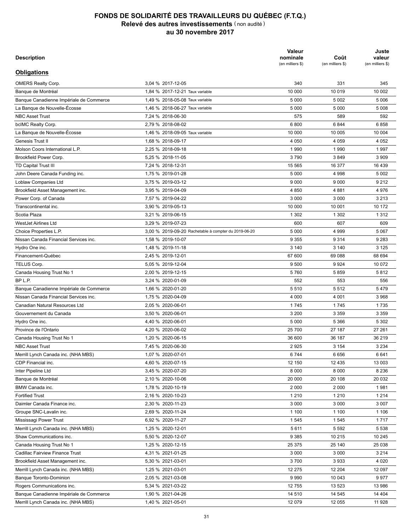| <b>Description</b>                      |                                                      | Valeur<br>nominale<br>(en milliers \$) | Coût<br>(en milliers \$) | Juste<br>valeur<br>(en milliers \$) |
|-----------------------------------------|------------------------------------------------------|----------------------------------------|--------------------------|-------------------------------------|
| <b>Obligations</b>                      |                                                      |                                        |                          |                                     |
| <b>OMERS Realty Corp.</b>               | 3.04 % 2017-12-05                                    | 340                                    | 331                      | 345                                 |
| Banque de Montréal                      | 1,84 % 2017-12-21 Taux variable                      | 10 000                                 | 10 0 19                  | 10 002                              |
| Banque Canadienne Impériale de Commerce | 1,49 % 2018-05-08 Taux variable                      | 5 0 0 0                                | 5 0 0 2                  | 5 0 0 6                             |
| La Banque de Nouvelle-Écosse            | 1,46 % 2018-06-27 Taux variable                      | 5 0 0 0                                | 5 0 0 0                  | 5 0 0 8                             |
| <b>NBC Asset Trust</b>                  | 7,24 % 2018-06-30                                    | 575                                    | 589                      | 592                                 |
| bcIMC Realty Corp.                      | 2,79 % 2018-08-02                                    | 6800                                   | 6844                     | 6858                                |
| La Banque de Nouvelle-Écosse            | 1,46 % 2018-09-05 Taux variable                      | 10 000                                 | 10 005                   | 10 004                              |
| Genesis Trust II                        | 1.68 % 2018-09-17                                    | 4 0 5 0                                | 4 0 5 9                  | 4 0 5 2                             |
| Molson Coors International L.P.         | 2,25 % 2018-09-18                                    | 1990                                   | 1990                     | 1997                                |
| Brookfield Power Corp.                  | 5,25 % 2018-11-05                                    | 3790                                   | 3849                     | 3 9 0 9                             |
| TD Capital Trust III                    | 7,24 % 2018-12-31                                    | 15 565                                 | 16 377                   | 16 439                              |
| John Deere Canada Funding inc.          | 1,75 % 2019-01-28                                    | 5 0 0 0                                | 4 9 9 8                  | 5 0 0 2                             |
| Loblaw Companies Ltd                    | 3,75 % 2019-03-12                                    | 9 0 0 0                                | 9 0 0 0                  | 9 2 1 2                             |
| Brookfield Asset Management inc.        | 3,95 % 2019-04-09                                    | 4 8 5 0                                | 4881                     | 4976                                |
| Power Corp. of Canada                   | 7,57 % 2019-04-22                                    | 3 0 0 0                                | 3 0 0 0                  | 3 2 1 3                             |
| Transcontinental inc.                   | 3.90 % 2019-05-13                                    | 10 000                                 | 10 001                   | 10 172                              |
| Scotia Plaza                            | 3.21 % 2019-06-15                                    | 1 3 0 2                                | 1 3 0 2                  | 1 3 1 2                             |
| <b>WestJet Airlines Ltd</b>             | 3,29 % 2019-07-23                                    | 600                                    | 607                      | 609                                 |
| Choice Properties L.P.                  | 3.00 % 2019-09-20 Rachetable à compter du 2019-06-20 | 5 0 0 0                                | 4 9 9 9                  | 5 0 6 7                             |
| Nissan Canada Financial Services inc.   | 1,58 % 2019-10-07                                    | 9 3 5 5                                | 9 3 1 4                  | 9 2 8 3                             |
| Hydro One inc.                          | 1,48 % 2019-11-18                                    | 3 1 4 0                                | 3 1 4 0                  | 3 1 2 5                             |
| Financement-Québec                      | 2,45 % 2019-12-01                                    | 67 600                                 | 69 088                   | 68 694                              |
| TELUS Corp.                             | 5.05 % 2019-12-04                                    | 9 500                                  | 9924                     | 10 072                              |
| Canada Housing Trust No 1               | 2,00 % 2019-12-15                                    | 5760                                   | 5859                     | 5812                                |
| BP L.P.                                 | 3,24 % 2020-01-09                                    | 552                                    | 553                      | 556                                 |
| Banque Canadienne Impériale de Commerce | 1,66 % 2020-01-20                                    | 5510                                   | 5512                     | 5479                                |
|                                         |                                                      |                                        |                          |                                     |
| Nissan Canada Financial Services inc.   | 1,75 % 2020-04-09                                    | 4 0 0 0                                | 4 0 0 1                  | 3 9 6 8                             |
| Canadian Natural Resources Ltd          | 2,05 % 2020-06-01                                    | 1745                                   | 1745                     | 1735                                |
| Gouvernement du Canada                  | 3,50 % 2020-06-01                                    | 3 2 0 0                                | 3 3 5 9                  | 3 3 5 9                             |
| Hydro One inc.                          | 4,40 % 2020-06-01                                    | 5 0 0 0                                | 5 3 6 6                  | 5 3 0 2                             |
| Province de l'Ontario                   | 4,20 % 2020-06-02                                    | 25 700                                 | 27 187                   | 27 261                              |
| Canada Housing Trust No 1               | 1,20 % 2020-06-15                                    | 36 600                                 | 36 187                   | 36 219                              |
| <b>NBC Asset Trust</b>                  | 7.45 % 2020-06-30                                    | 2925                                   | 3 1 5 4                  | 3 2 3 4                             |
| Merrill Lynch Canada inc. (NHA MBS)     | 1,07 % 2020-07-01                                    | 6744                                   | 6656                     | 6641                                |
| CDP Financial inc.                      | 4,60 % 2020-07-15                                    | 12 150                                 | 12 4 35                  | 13 003                              |
| Inter Pipeline Ltd                      | 3,45 % 2020-07-20                                    | 8 0 0 0                                | 8 0 0 0                  | 8 2 3 6                             |
| Banque de Montréal                      | 2,10 % 2020-10-06                                    | 20 000                                 | 20 108                   | 20 032                              |
| BMW Canada inc.                         | 1,78 % 2020-10-19                                    | 2 0 0 0                                | 2 0 0 0                  | 1981                                |
| <b>Fortified Trust</b>                  | 2,16 % 2020-10-23                                    | 1 2 1 0                                | 1 2 1 0                  | 1 2 1 4                             |
| Daimler Canada Finance inc.             | 2,30 % 2020-11-23                                    | 3 0 0 0                                | 3 0 0 0                  | 3 0 0 7                             |
| Groupe SNC-Lavalin inc.                 | 2,69 % 2020-11-24                                    | 1 100                                  | 1 100                    | 1 1 0 6                             |
| Mississagi Power Trust                  | 6,92 % 2020-11-27                                    | 1 5 4 5                                | 1545                     | 1717                                |
| Merrill Lynch Canada inc. (NHA MBS)     | 1,25 % 2020-12-01                                    | 5611                                   | 5 5 9 2                  | 5 5 3 8                             |
| Shaw Communications inc.                | 5,50 % 2020-12-07                                    | 9 3 8 5                                | 10 215                   | 10 245                              |
| Canada Housing Trust No 1               | 1,25 % 2020-12-15                                    | 25 375                                 | 25 140                   | 25 0 38                             |
| Cadillac Fairview Finance Trust         | 4,31 % 2021-01-25                                    | 3 0 0 0                                | 3 0 0 0                  | 3 2 1 4                             |
| Brookfield Asset Management inc.        | 5,30 % 2021-03-01                                    | 3700                                   | 3933                     | 4 0 20                              |
| Merrill Lynch Canada inc. (NHA MBS)     | 1,25 % 2021-03-01                                    | 12 275                                 | 12 204                   | 12 097                              |
| Banque Toronto-Dominion                 | 2,05 % 2021-03-08                                    | 9990                                   | 10 043                   | 9977                                |
| Rogers Communications inc.              | 5,34 % 2021-03-22                                    | 12 755                                 | 13 5 23                  | 13 986                              |
| Banque Canadienne Impériale de Commerce | 1,90 % 2021-04-26                                    | 14 510                                 | 14 545                   | 14 404                              |
| Merrill Lynch Canada inc. (NHA MBS)     | 1,40 % 2021-05-01                                    | 12 079                                 | 12 055                   | 11 928                              |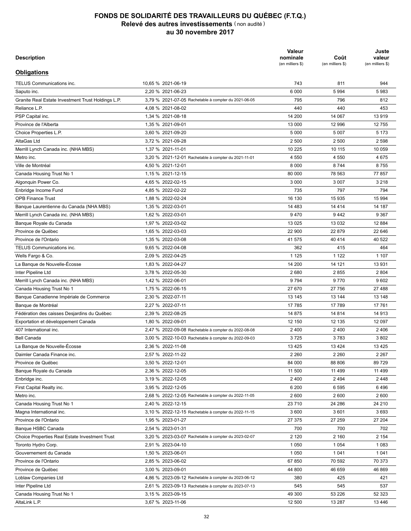| <b>Description</b>                                                |                                                      | Valeur<br>nominale<br>(en milliers \$) | Coût<br>(en milliers \$) | Juste<br>valeur<br>(en milliers \$) |
|-------------------------------------------------------------------|------------------------------------------------------|----------------------------------------|--------------------------|-------------------------------------|
| <b>Obligations</b>                                                |                                                      |                                        |                          |                                     |
| TELUS Communications inc.                                         | 10.65 % 2021-06-19                                   | 743                                    | 811                      | 944                                 |
| Saputo inc.                                                       | 2,20 % 2021-06-23                                    | 6 0 0 0                                | 5994                     | 5983                                |
| Granite Real Estate Investment Trust Holdings L.P.                | 3,79 % 2021-07-05 Rachetable à compter du 2021-06-05 | 795                                    | 796                      | 812                                 |
| Reliance L.P.                                                     | 4,08 % 2021-08-02                                    | 440                                    | 440                      | 453                                 |
| PSP Capital inc.                                                  | 1,34 % 2021-08-18                                    | 14 200                                 | 14 067                   | 13919                               |
| Province de l'Alberta                                             | 1,35 % 2021-09-01                                    | 13 000                                 | 12 996                   | 12755                               |
| Choice Properties L.P.                                            | 3,60 % 2021-09-20                                    | 5 0 0 0                                | 5 0 0 7                  | 5 1 7 3                             |
| AltaGas Ltd                                                       | 3,72 % 2021-09-28                                    | 2 500                                  | 2 500                    | 2 5 9 8                             |
| Merrill Lynch Canada inc. (NHA MBS)                               | 1,37 % 2021-11-01                                    | 10 225                                 | 10 115                   | 10 059                              |
| Metro inc.                                                        | 3,20 % 2021-12-01 Rachetable à compter du 2021-11-01 | 4 5 5 0                                | 4 5 5 0                  | 4675                                |
| Ville de Montréal                                                 | 4,50 % 2021-12-01                                    | 8 0 0 0                                | 8744                     | 8755                                |
| Canada Housing Trust No 1                                         | 1,15 % 2021-12-15                                    | 80 000                                 | 78 563                   | 77857                               |
| Algonquin Power Co.                                               | 4,65 % 2022-02-15                                    | 3 0 0 0                                | 3 0 0 7                  | 3 2 1 8                             |
| Enbridge Income Fund                                              | 4,85 % 2022-02-22                                    | 735                                    | 797                      | 794                                 |
| <b>OPB Finance Trust</b>                                          | 1.88 % 2022-02-24                                    | 16 130                                 | 15 9 35                  | 15 9 94                             |
| Banque Laurentienne du Canada (NHA MBS)                           | 1,35 % 2022-03-01                                    | 14 4 83                                | 14 4 14                  | 14 187                              |
| Merrill Lynch Canada inc. (NHA MBS)                               | 1,62 % 2022-03-01                                    | 9470                                   | 9442                     | 9 3 6 7                             |
| Banque Royale du Canada                                           | 1,97 % 2022-03-02                                    | 13 0 25                                | 13 0 32                  | 12 8 84                             |
| Province de Québec                                                | 1,65 % 2022-03-03                                    | 22 900                                 | 22 879                   | 22 646                              |
| Province de l'Ontario                                             | 1,35 % 2022-03-08                                    | 41 575                                 | 40 4 14                  | 40 522                              |
| TELUS Communications inc.                                         | 9,65 % 2022-04-08                                    | 362                                    | 415                      | 464                                 |
| Wells Fargo & Co.                                                 | 2,09 % 2022-04-25                                    | 1 1 2 5                                | 1 1 2 2                  | 1 1 0 7                             |
| La Banque de Nouvelle-Écosse                                      | 1,83 % 2022-04-27                                    | 14 200                                 | 14 121                   | 13 931                              |
| Inter Pipeline Ltd                                                | 3,78 % 2022-05-30                                    | 2680                                   | 2855                     | 2 8 0 4                             |
| Merrill Lynch Canada inc. (NHA MBS)                               | 1,42 % 2022-06-01                                    | 9794                                   | 9770                     | 9602                                |
| Canada Housing Trust No 1                                         | 1,75 % 2022-06-15                                    | 27 670                                 | 27 756                   | 27 488                              |
| Banque Canadienne Impériale de Commerce                           | 2,30 % 2022-07-11                                    | 13 145                                 | 13 144                   | 13 148                              |
|                                                                   |                                                      |                                        | 17 789                   | 17 761                              |
| Banque de Montréal<br>Fédération des caisses Desjardins du Québec | 2,27 % 2022-07-11                                    | 17 785<br>14 875                       |                          | 14 913                              |
|                                                                   | 2,39 % 2022-08-25                                    |                                        | 14 8 14                  |                                     |
| Exportation et développement Canada                               | 1,80 % 2022-09-01                                    | 12 150                                 | 12 135                   | 12 097                              |
| 407 International inc.                                            | 2,47 % 2022-09-08 Rachetable à compter du 2022-08-08 | 2 4 0 0                                | 2 4 0 0                  | 2 4 0 6                             |
| Bell Canada                                                       | 3,00 % 2022-10-03 Rachetable à compter du 2022-09-03 | 3725                                   | 3783                     | 3802                                |
| La Banque de Nouvelle-Écosse                                      | 2.36 % 2022-11-08                                    | 13 4 25                                | 13 4 24                  | 13 4 25                             |
| Daimler Canada Finance inc.                                       | 2,57 % 2022-11-22                                    | 2 2 6 0                                | 2 2 6 0                  | 2 2 6 7                             |
| Province de Québec                                                | 3,50 % 2022-12-01                                    | 84 000                                 | 88 806                   | 89729                               |
| Banque Royale du Canada                                           | 2,36 % 2022-12-05                                    | 11 500                                 | 11 499                   | 11 4 9 9                            |
| Enbridge inc.                                                     | 3,19 % 2022-12-05                                    | 2 4 0 0                                | 2494                     | 2448                                |
| First Capital Realty inc.                                         | 3,95 % 2022-12-05                                    | 6 200                                  | 6 5 9 5                  | 6496                                |
| Metro inc.                                                        | 2,68 % 2022-12-05 Rachetable à compter du 2022-11-05 | 2 600                                  | 2 600                    | 2 600                               |
| Canada Housing Trust No 1                                         | 2,40 % 2022-12-15                                    | 23710                                  | 24 286                   | 24 210                              |
| Magna International inc.                                          | 3,10 % 2022-12-15 Rachetable à compter du 2022-11-15 | 3 600                                  | 3601                     | 3693                                |
| Province de l'Ontario                                             | 1,95 % 2023-01-27                                    | 27 375                                 | 27 259                   | 27 204                              |
| Banque HSBC Canada                                                | 2,54 % 2023-01-31                                    | 700                                    | 700                      | 702                                 |
| Choice Properties Real Estate Investment Trust                    | 3,20 % 2023-03-07 Rachetable à compter du 2023-02-07 | 2 1 2 0                                | 2 1 6 0                  | 2 1 5 4                             |
| Toronto Hydro Corp.                                               | 2,91 % 2023-04-10                                    | 1 0 5 0                                | 1 0 5 4                  | 1 0 8 3                             |
| Gouvernement du Canada                                            | 1,50 % 2023-06-01                                    | 1 0 5 0                                | 1 0 4 1                  | 1 0 4 1                             |
| Province de l'Ontario                                             | 2,85 % 2023-06-02                                    | 67 850                                 | 70 592                   | 70 373                              |
| Province de Québec                                                | 3,00 % 2023-09-01                                    | 44 800                                 | 46 659                   | 46 869                              |
| Loblaw Companies Ltd                                              | 4,86 % 2023-09-12 Rachetable à compter du 2023-06-12 | 380                                    | 425                      | 421                                 |
| Inter Pipeline Ltd                                                | 2,61 % 2023-09-13 Rachetable à compter du 2023-07-13 | 545                                    | 545                      | 537                                 |
| Canada Housing Trust No 1                                         | 3,15 % 2023-09-15                                    | 49 300                                 | 53 226                   | 52 323                              |
| AltaLink L.P.                                                     | 3,67 % 2023-11-06                                    | 12 500                                 | 13 287                   | 13 4 46                             |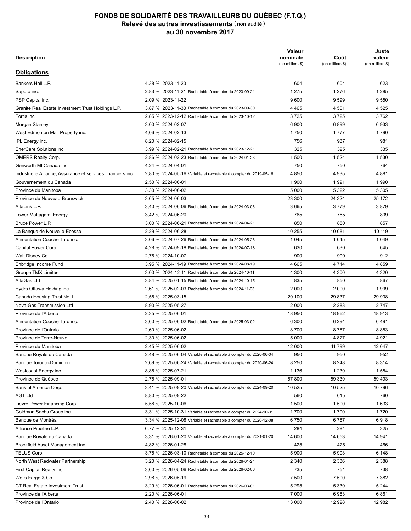| Description                                                  |                                                                  | Valeur<br>nominale<br>(en milliers \$) | Coût<br>(en milliers \$) | Juste<br>valeur<br>(en milliers \$) |
|--------------------------------------------------------------|------------------------------------------------------------------|----------------------------------------|--------------------------|-------------------------------------|
| <b>Obligations</b>                                           |                                                                  |                                        |                          |                                     |
| Bankers Hall L.P.                                            | 4,38 % 2023-11-20                                                | 604                                    | 604                      | 623                                 |
| Saputo inc.                                                  | 2,83 % 2023-11-21 Rachetable à compter du 2023-09-21             | 1 2 7 5                                | 1 2 7 6                  | 1 2 8 5                             |
| PSP Capital inc.                                             | 2,09 % 2023-11-22                                                | 9600                                   | 9599                     | 9 5 5 0                             |
| Granite Real Estate Investment Trust Holdings L.P.           | 3,87 % 2023-11-30 Rachetable à compter du 2023-09-30             | 4 4 6 5                                | 4 5 0 1                  | 4 5 2 5                             |
| Fortis inc.                                                  | 2,85 % 2023-12-12 Rachetable à compter du 2023-10-12             | 3725                                   | 3725                     | 3762                                |
| Morgan Stanley                                               | 3,00 % 2024-02-07                                                | 6 900                                  | 6899                     | 6933                                |
| West Edmonton Mall Property inc.                             | 4,06 % 2024-02-13                                                | 1750                                   | 1777                     | 1790                                |
| IPL Energy inc.                                              | 8,20 % 2024-02-15                                                | 756                                    | 937                      | 981                                 |
| EnerCare Solutions inc.                                      | 3,99 % 2024-02-21 Rachetable à compter du 2023-12-21             | 325                                    | 325                      | 335                                 |
| <b>OMERS Realty Corp.</b>                                    | 2,86 % 2024-02-23 Rachetable à compter du 2024-01-23             | 1500                                   | 1 5 2 4                  | 1 5 3 0                             |
| Genworth MI Canada inc.                                      | 4,24 % 2024-04-01                                                | 750                                    | 750                      | 764                                 |
| Industrielle Alliance, Assurance et services financiers inc. | 2,80 % 2024-05-16 Variable et rachetable à compter du 2019-05-16 | 4 8 5 0                                | 4935                     | 4881                                |
| Gouvernement du Canada                                       | 2,50 % 2024-06-01                                                | 1 900                                  | 1991                     | 1990                                |
| Province du Manitoba                                         | 3,30 % 2024-06-02                                                | 5 0 0 0                                | 5 3 2 2                  | 5 3 0 5                             |
| Province du Nouveau-Brunswick                                | 3,65 % 2024-06-03                                                | 23 300                                 | 24 3 24                  | 25 172                              |
| AltaLink L.P.                                                | 3,40 % 2024-06-06 Rachetable à compter du 2024-03-06             | 3665                                   | 3779                     | 3879                                |
| Lower Mattagami Energy                                       | 3,42 % 2024-06-20                                                | 765                                    | 765                      | 809                                 |
| Bruce Power L.P.                                             | 3,00 % 2024-06-21 Rachetable à compter du 2024-04-21             | 850                                    | 850                      | 857                                 |
| La Banque de Nouvelle-Écosse                                 | 2,29 % 2024-06-28                                                | 10 255                                 | 10 081                   | 10 119                              |
| Alimentation Couche-Tard inc.                                | 3,06 % 2024-07-26 Rachetable à compter du 2024-05-26             | 1 0 4 5                                | 1 0 4 5                  | 1 0 4 9                             |
| Capital Power Corp.                                          | 4,28 % 2024-09-18 Rachetable à compter du 2024-07-18             | 630                                    | 630                      | 645                                 |
| Walt Disney Co.                                              | 2,76 % 2024-10-07                                                | 900                                    | 900                      | 912                                 |
| Enbridge Income Fund                                         | 3,95 % 2024-11-19 Rachetable à compter du 2024-08-19             | 4 6 6 5                                | 4 7 1 4                  | 4 8 5 9                             |
|                                                              |                                                                  |                                        |                          |                                     |
| Groupe TMX Limitée                                           | 3,00 % 2024-12-11 Rachetable à compter du 2024-10-11             | 4 3 0 0                                | 4 3 0 0                  | 4 3 2 0                             |
| AltaGas Ltd                                                  | 3,84 % 2025-01-15 Rachetable à compter du 2024-10-15             | 835                                    | 850                      | 867                                 |
| Hydro Ottawa Holding inc.                                    | 2,61 % 2025-02-03 Rachetable à compter du 2024-11-03             | 2 0 0 0                                | 2 0 0 0                  | 1999                                |
| Canada Housing Trust No 1                                    | 2,55 % 2025-03-15                                                | 29 100                                 | 29 837                   | 29 908                              |
| Nova Gas Transmission Ltd                                    | 8,90 % 2025-05-27                                                | 2 0 0 0                                | 2 2 8 3                  | 2747                                |
| Province de l'Alberta                                        | 2,35 % 2025-06-01                                                | 18 950                                 | 18 962                   | 18913                               |
| Alimentation Couche-Tard inc.                                | 3,60 % 2025-06-02 Rachetable à compter du 2025-03-02             | 6 300                                  | 6 2 9 4                  | 6491                                |
| Province de l'Ontario                                        | 2,60 % 2025-06-02                                                | 8700                                   | 8787                     | 8853                                |
| Province de Terre-Neuve                                      | 2,30 % 2025-06-02                                                | 5 0 0 0                                | 4827                     | 4 9 21                              |
| Province du Manitoba                                         | 2.45 % 2025-06-02                                                | 12 000                                 | 11 799                   | 12 047                              |
| Banque Royale du Canada                                      | 2,48 % 2025-06-04 Variable et rachetable à compter du 2020-06-04 | 950                                    | 950                      | 952                                 |
| Banque Toronto-Dominion                                      | 2,69 % 2025-06-24 Variable et rachetable à compter du 2020-06-24 | 8 2 5 0                                | 8 2 4 8                  | 8 3 1 4                             |
| Westcoast Energy inc.                                        | 8,85 % 2025-07-21                                                | 1 1 3 6                                | 1 2 3 9                  | 1 5 5 4                             |
| Province de Québec                                           | 2,75 % 2025-09-01                                                | 57 800                                 | 59 339                   | 59 493                              |
| Bank of America Corp.                                        | 3,41 % 2025-09-20 Variable et rachetable à compter du 2024-09-20 | 10 525                                 | 10 525                   | 10 796                              |
| <b>AGT Ltd</b>                                               | 8,80 % 2025-09-22                                                | 560                                    | 615                      | 760                                 |
| Lievre Power Financing Corp.                                 | 5,56 % 2025-10-06                                                | 1 500                                  | 1 500                    | 1633                                |
| Goldman Sachs Group inc.                                     | 3,31 % 2025-10-31 Variable et rachetable à compter du 2024-10-31 | 1700                                   | 1700                     | 1720                                |
| Banque de Montréal                                           | 3,34 % 2025-12-08 Variable et rachetable à compter du 2020-12-08 | 6750                                   | 6787                     | 6918                                |
| Alliance Pipeline L.P.                                       | 6,77 % 2025-12-31                                                | 284                                    | 284                      | 325                                 |
| Banque Royale du Canada                                      | 3,31 % 2026-01-20 Variable et rachetable à compter du 2021-01-20 | 14 600                                 | 14 653                   | 14 941                              |
| Brookfield Asset Management inc.                             | 4,82 % 2026-01-28                                                | 425                                    | 425                      | 466                                 |
| TELUS Corp.                                                  | 3,75 % 2026-03-10 Rachetable à compter du 2025-12-10             | 5 9 0 0                                | 5903                     | 6 148                               |
| North West Redwater Partnership                              | 3,20 % 2026-04-24 Rachetable à compter du 2026-01-24             | 2 3 4 0                                | 2 3 3 6                  | 2 3 8 8                             |
| First Capital Realty inc.                                    | 3,60 % 2026-05-06 Rachetable à compter du 2026-02-06             | 735                                    | 751                      | 738                                 |
| Wells Fargo & Co.                                            | 2,98 % 2026-05-19                                                | 7 500                                  | 7 500                    | 7 3 8 2                             |
| CT Real Estate Investment Trust                              | 3,29 % 2026-06-01 Rachetable à compter du 2026-03-01             | 5 2 9 5                                | 5 3 3 9                  | 5 2 4 4                             |
| Province de l'Alberta                                        | 2,20 % 2026-06-01                                                | 7 000                                  | 6983                     | 6861                                |
| Province de l'Ontario                                        | 2,40 % 2026-06-02                                                | 13 000                                 | 12 928                   | 12 982                              |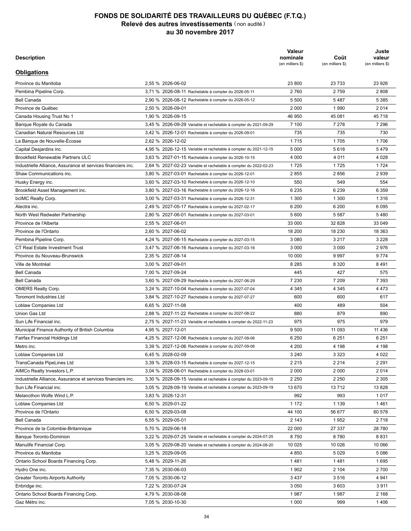| Description                                                  |                                                                  | Valeur<br>nominale<br>(en milliers \$) | Coût<br>(en milliers \$) | Juste<br>valeur<br>(en milliers \$) |
|--------------------------------------------------------------|------------------------------------------------------------------|----------------------------------------|--------------------------|-------------------------------------|
| <b>Obligations</b>                                           |                                                                  |                                        |                          |                                     |
| Province du Manitoba                                         | 2,55 % 2026-06-02                                                | 23 800                                 | 23 7 33                  | 23 9 26                             |
| Pembina Pipeline Corp.                                       | 3,71 % 2026-08-11 Rachetable à compter du 2026-05-11             | 2760                                   | 2759                     | 2808                                |
| <b>Bell Canada</b>                                           | 2,90 % 2026-08-12 Rachetable à compter du 2026-05-12             | 5 500                                  | 5487                     | 5 3 8 5                             |
| Province de Québec                                           | 2,50 % 2026-09-01                                                | 2 0 0 0                                | 1990                     | 2014                                |
| Canada Housing Trust No 1                                    | 1,90 % 2026-09-15                                                | 46 950                                 | 45 081                   | 45 718                              |
| Banque Royale du Canada                                      | 3,45 % 2026-09-29 Variable et rachetable à compter du 2021-09-29 | 7 100                                  | 7 2 7 8                  | 7 2 9 6                             |
| Canadian Natural Resources Ltd                               | 3,42 % 2026-12-01 Rachetable à compter du 2026-09-01             | 735                                    | 735                      | 730                                 |
| La Banque de Nouvelle-Écosse                                 | 2,62 % 2026-12-02                                                | 1715                                   | 1705                     | 1706                                |
| Capital Desjardins inc.                                      | 4,95 % 2026-12-15 Variable et rachetable à compter du 2021-12-15 | 5 0 0 0                                | 5618                     | 5479                                |
| <b>Brookfield Renewable Partners ULC</b>                     | 3,63 % 2027-01-15 Rachetable à compter du 2026-10-15             | 4 0 0 0                                | 4 0 1 1                  | 4 0 28                              |
| Industrielle Alliance, Assurance et services financiers inc. | 2,64 % 2027-02-23 Variable et rachetable à compter du 2022-02-23 | 1725                                   | 1725                     | 1 7 2 4                             |
| Shaw Communications inc.                                     | 3,80 % 2027-03-01 Rachetable à compter du 2026-12-01             | 2855                                   | 2856                     | 2939                                |
| Husky Energy inc.                                            | 3,60 % 2027-03-10 Rachetable à compter du 2026-12-10             | 550                                    | 549                      | 554                                 |
| Brookfield Asset Management inc.                             | 3,80 % 2027-03-16 Rachetable à compter du 2026-12-16             | 6 2 3 5                                | 6 2 3 9                  | 6 3 5 9                             |
| bcIMC Realty Corp.                                           | 3,00 % 2027-03-31 Rachetable à compter du 2026-12-31             | 1 300                                  | 1 300                    | 1 3 1 6                             |
| Alectra inc.                                                 | 2,49 % 2027-05-17 Rachetable à compter du 2027-02-17             | 6 200                                  | 6 200                    | 6 0 9 5                             |
| North West Redwater Partnership                              |                                                                  | 5 600                                  | 5 5 8 7                  | 5480                                |
| Province de l'Alberta                                        | 2,80 % 2027-06-01 Rachetable à compter du 2027-03-01             |                                        |                          |                                     |
|                                                              | 2,55 % 2027-06-01                                                | 33 000                                 | 32 828                   | 33 049                              |
| Province de l'Ontario                                        | 2,60 % 2027-06-02                                                | 18 200                                 | 18 230                   | 18 363                              |
| Pembina Pipeline Corp.                                       | 4,24 % 2027-06-15 Rachetable à compter du 2027-03-15             | 3 0 8 0                                | 3 2 1 7                  | 3 2 2 8                             |
| <b>CT Real Estate Investment Trust</b>                       | 3,47 % 2027-06-16 Rachetable à compter du 2027-03-16             | 3 0 0 0                                | 3 0 0 0                  | 2976                                |
| Province du Nouveau-Brunswick                                | 2,35 % 2027-08-14                                                | 10 000                                 | 9997                     | 9 7 7 4                             |
| Ville de Montréal                                            | 3,00 % 2027-09-01                                                | 8 2 8 5                                | 8 3 2 0                  | 8491                                |
| <b>Bell Canada</b>                                           | 7,00 % 2027-09-24                                                | 445                                    | 427                      | 575                                 |
| <b>Bell Canada</b>                                           | 3,60 % 2027-09-29 Rachetable à compter du 2027-06-29             | 7 2 3 0                                | 7 2 0 9                  | 7 3 9 3                             |
| <b>OMERS Realty Corp.</b>                                    | 3,24 % 2027-10-04 Rachetable à compter du 2027-07-04             | 4 3 4 5                                | 4 3 4 5                  | 4 4 7 3                             |
| <b>Toromont Industries Ltd</b>                               | 3,84 % 2027-10-27 Rachetable à compter du 2027-07-27             | 600                                    | 600                      | 617                                 |
| Loblaw Companies Ltd                                         | 6,65 % 2027-11-08                                                | 400                                    | 489                      | 504                                 |
| Union Gas Ltd                                                | 2,88 % 2027-11-22 Rachetable à compter du 2027-08-22             | 880                                    | 879                      | 890                                 |
| Sun Life Financial inc.                                      | 2,75 % 2027-11-23 Variable et rachetable à compter du 2022-11-23 | 975                                    | 975                      | 979                                 |
| Municipal Finance Authority of British Columbia              | 4,95 % 2027-12-01                                                | 9 500                                  | 11 093                   | 11 4 36                             |
| Fairfax Financial Holdings Ltd                               | 4,25 % 2027-12-06 Rachetable à compter du 2027-09-06             | 6 2 5 0                                | 6 2 5 1                  | 6 2 5 1                             |
| Metro inc.                                                   | 3,39 % 2027-12-06 Rachetable à compter du 2027-09-06             | 4 200                                  | 4 198                    | 4 1 9 8                             |
| Loblaw Companies Ltd                                         | 6,45 % 2028-02-09                                                | 3 2 4 0                                | 3 3 2 3                  | 4 0 2 2                             |
| TransCanada PipeLines Ltd                                    | 3,39 % 2028-03-15 Rachetable à compter du 2027-12-15             | 2 2 1 5                                | 2 2 1 4                  | 2 2 9 1                             |
| AIMCo Realty Investors L.P.                                  | 3,04 % 2028-06-01 Rachetable à compter du 2028-03-01             | 2 0 0 0                                | 2 0 0 0                  | 2014                                |
| Industrielle Alliance, Assurance et services financiers inc. | 3,30 % 2028-09-15 Variable et rachetable à compter du 2023-09-15 | 2 2 5 0                                | 2 2 5 0                  | 2 3 0 5                             |
| Sun Life Financial inc.                                      | 3,05 % 2028-09-19 Variable et rachetable à compter du 2023-09-19 | 13 670                                 | 13712                    | 13828                               |
| Melancthon Wolfe Wind L.P.                                   | 3,83 % 2028-12-31                                                | 992                                    | 993                      | 1017                                |
| Loblaw Companies Ltd                                         | 6,50 % 2029-01-22                                                | 1 1 7 2                                | 1 1 3 9                  | 1461                                |
| Province de l'Ontario                                        | 6,50 % 2029-03-08                                                | 44 100                                 | 56 677                   | 60 578                              |
| Bell Canada                                                  | 6,55 % 2029-05-01                                                | 2 1 4 3                                | 1952                     | 2718                                |
| Province de la Colombie-Britannique                          | 5,70 % 2029-06-18                                                | 22 000                                 | 27 337                   | 28 780                              |
| Banque Toronto-Dominion                                      | 3,22 % 2029-07-25 Variable et rachetable à compter du 2024-07-25 | 8750                                   | 8780                     | 8831                                |
| Manulife Financial Corp.                                     | 3,05 % 2029-08-20 Variable et rachetable à compter du 2024-08-20 | 10 025                                 | 10 0 26                  | 10 066                              |
| Province du Manitoba                                         | 3,25 % 2029-09-05                                                | 4 8 5 0                                | 5 0 2 9                  | 5 0 8 6                             |
| Ontario School Boards Financing Corp.                        | 5,48 % 2029-11-26                                                | 1481                                   | 1481                     | 1695                                |
| Hydro One inc.                                               | 7,35 % 2030-06-03                                                | 1 9 0 2                                | 2 104                    | 2700                                |
| Greater Toronto Airports Authority                           | 7,05 % 2030-06-12                                                | 3 4 3 7                                | 3516                     | 4 9 4 1                             |
| Enbridge inc.                                                | 7,22 % 2030-07-24                                                | 3 0 5 0                                | 3 603                    | 3911                                |
| Ontario School Boards Financing Corp.                        | 4,79 % 2030-08-08                                                | 1987                                   | 1987                     | 2 1 6 8                             |
| Gaz Métro inc.                                               | 7,05 % 2030-10-30                                                | 1 0 0 0                                | 999                      | 1406                                |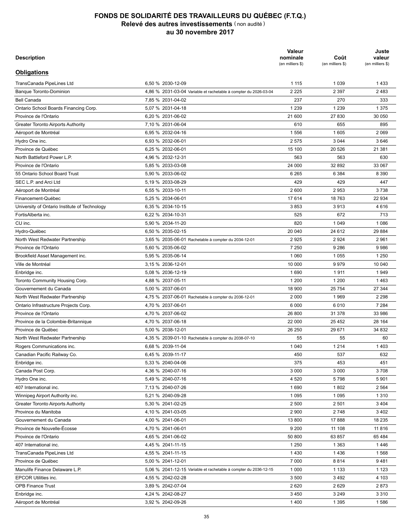| <b>Description</b>                                             |                                                                  | Valeur<br>nominale<br>(en milliers \$) | Coût<br>(en milliers \$) | Juste<br>valeur<br>(en milliers \$) |
|----------------------------------------------------------------|------------------------------------------------------------------|----------------------------------------|--------------------------|-------------------------------------|
| <b>Obligations</b>                                             |                                                                  |                                        |                          |                                     |
| TransCanada PipeLines Ltd                                      | 6.50 % 2030-12-09                                                | 1 1 1 5                                | 1 0 3 9                  | 1433                                |
| Banque Toronto-Dominion                                        | 4,86 % 2031-03-04 Variable et rachetable à compter du 2026-03-04 | 2 2 2 5                                | 2 3 9 7                  | 2483                                |
| <b>Bell Canada</b>                                             | 7,85 % 2031-04-02                                                | 237                                    | 270                      | 333                                 |
| Ontario School Boards Financing Corp.                          | 5,07 % 2031-04-18                                                | 1 2 3 9                                | 1 2 3 9                  | 1 3 7 5                             |
| Province de l'Ontario                                          | 6.20 % 2031-06-02                                                | 21 600                                 | 27 830                   | 30 050                              |
| Greater Toronto Airports Authority                             | 7,10 % 2031-06-04                                                | 610                                    | 655                      | 895                                 |
| Aéroport de Montréal                                           | 6.95 % 2032-04-16                                                | 1 5 5 6                                | 1 605                    | 2 0 6 9                             |
| Hydro One inc.                                                 | 6,93 % 2032-06-01                                                | 2575                                   | 3 0 4 4                  | 3646                                |
| Province de Québec                                             | 6,25 % 2032-06-01                                                | 15 100                                 | 20 5 26                  | 21 381                              |
| North Battleford Power L.P.                                    | 4,96 % 2032-12-31                                                | 563                                    | 563                      | 630                                 |
| Province de l'Ontario                                          | 5,85 % 2033-03-08                                                | 24 000                                 | 32 892                   | 33 067                              |
| 55 Ontario School Board Trust                                  | 5,90 % 2033-06-02                                                | 6 2 6 5                                | 6 3 8 4                  | 8 3 9 0                             |
| SEC L.P. and Arci Ltd                                          | 5.19 % 2033-08-29                                                | 429                                    | 429                      | 447                                 |
| Aéroport de Montréal                                           | 6,55 % 2033-10-11                                                | 2 600                                  | 2953                     | 3738                                |
| Financement-Québec                                             | 5.25 % 2034-06-01                                                | 17614                                  | 18763                    | 22 934                              |
| University of Ontario Institute of Technology                  | 6.35 % 2034-10-15                                                | 3853                                   | 3913                     | 4616                                |
| FortisAlberta inc.                                             | 6.22 % 2034-10-31                                                | 525                                    | 672                      | 713                                 |
| CU inc.                                                        | 5,90 % 2034-11-20                                                | 820                                    | 1 0 4 9                  | 1 0 8 6                             |
| Hydro-Québec                                                   | 6.50 % 2035-02-15                                                | 20 040                                 | 24 612                   | 29 8 84                             |
| North West Redwater Partnership                                | 3,65 % 2035-06-01 Rachetable à compter du 2034-12-01             | 2925                                   | 2924                     | 2961                                |
| Province de l'Ontario                                          | 5,60 % 2035-06-02                                                | 7 2 5 0                                | 9 2 8 6                  | 9986                                |
| Brookfield Asset Management inc.                               | 5,95 % 2035-06-14                                                | 1 0 6 0                                | 1055                     | 1 2 5 0                             |
| Ville de Montréal                                              | 3,15 % 2036-12-01                                                | 10 000                                 | 9979                     | 10 040                              |
| Enbridge inc.                                                  | 5,08 % 2036-12-19                                                | 1690                                   | 1911                     | 1949                                |
| Toronto Community Housing Corp.                                | 4,88 % 2037-05-11                                                | 1 200                                  | 1 200                    | 1463                                |
| Gouvernement du Canada                                         | 5,00 % 2037-06-01                                                | 18 900                                 | 25 7 54                  | 27 344                              |
| North West Redwater Partnership                                | 4,75 % 2037-06-01 Rachetable à compter du 2036-12-01             | 2 0 0 0                                | 1969                     | 2 2 9 8                             |
|                                                                | 4,70 % 2037-06-01                                                | 6 0 0 0                                | 6010                     | 7 2 8 4                             |
| Ontario Infrastructure Projects Corp.<br>Province de l'Ontario | 4,70 % 2037-06-02                                                | 26 800                                 | 31 378                   | 33 986                              |
|                                                                | 4,70 % 2037-06-18                                                | 22 000                                 |                          | 28 164                              |
| Province de la Colombie-Britannique                            |                                                                  |                                        | 25 4 52                  |                                     |
| Province de Québec                                             | 5,00 % 2038-12-01                                                | 26 250                                 | 29 671                   | 34 832                              |
| North West Redwater Partnership                                | 4,35 % 2039-01-10 Rachetable à compter du 2038-07-10             | 55                                     | 55                       | 60                                  |
| Rogers Communications inc.                                     | 6,68 % 2039-11-04                                                | 1 0 4 0                                | 1 2 1 4                  | 1403                                |
| Canadian Pacific Railway Co.                                   | 6,45 % 2039-11-17                                                | 450                                    | 537                      | 632                                 |
| Enbridge inc.                                                  | 5,33 % 2040-04-06                                                | 375                                    | 453                      | 451                                 |
| Canada Post Corp.                                              | 4,36 % 2040-07-16                                                | 3 0 0 0                                | 3 0 0 0                  | 3708                                |
| Hydro One inc.                                                 | 5,49 % 2040-07-16                                                | 4 5 20                                 | 5798                     | 5 9 0 1                             |
| 407 International inc.                                         | 7,13 % 2040-07-26                                                | 1690                                   | 1802                     | 2 5 6 4                             |
| Winnipeg Airport Authority inc.                                | 5,21 % 2040-09-28                                                | 1 0 9 5                                | 1 0 9 5                  | 1 3 1 0                             |
| <b>Greater Toronto Airports Authority</b>                      | 5,30 % 2041-02-25                                                | 2 500                                  | 2 5 0 1                  | 3 4 0 4                             |
| Province du Manitoba                                           | 4,10 % 2041-03-05                                                | 2 9 0 0                                | 2 7 4 8                  | 3 4 0 2                             |
| Gouvernement du Canada                                         | 4,00 % 2041-06-01                                                | 13 800                                 | 17888                    | 18 235                              |
| Province de Nouvelle-Écosse                                    | 4,70 % 2041-06-01                                                | 9 2 0 0                                | 11 108                   | 11816                               |
| Province de l'Ontario                                          | 4,65 % 2041-06-02                                                | 50 800                                 | 63 857                   | 65 4 84                             |
| 407 International inc.                                         | 4,45 % 2041-11-15                                                | 1 2 5 0                                | 1 3 6 3                  | 1446                                |
| TransCanada PipeLines Ltd                                      | 4,55 % 2041-11-15                                                | 1430                                   | 1436                     | 1568                                |
| Province de Québec                                             | 5,00 % 2041-12-01                                                | 7 0 0 0                                | 8814                     | 9481                                |
| Manulife Finance Delaware L.P.                                 | 5,06 % 2041-12-15 Variable et rachetable à compter du 2036-12-15 | 1 0 0 0                                | 1 1 3 3                  | 1 1 2 3                             |
| EPCOR Utilities inc.                                           | 4,55 % 2042-02-28                                                | 3 500                                  | 3492                     | 4 103                               |
| <b>OPB Finance Trust</b>                                       | 3,89 % 2042-07-04                                                | 2620                                   | 2629                     | 2873                                |
| Enbridge inc.                                                  | 4,24 % 2042-08-27                                                | 3 4 5 0                                | 3 2 4 9                  | 3 3 1 0                             |
| Aéroport de Montréal                                           | 3,92 % 2042-09-26                                                | 1400                                   | 1 3 9 5                  | 1586                                |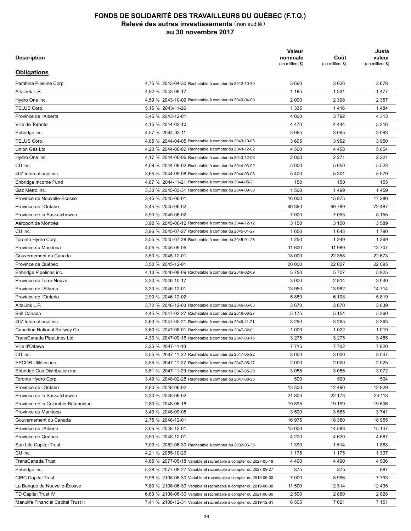| <b>Description</b>                  |                                                                                                              | Valeur<br>nominale<br>(en milliers \$) | Coût<br>(en milliers \$) | Juste<br>valeur<br>(en milliers \$) |
|-------------------------------------|--------------------------------------------------------------------------------------------------------------|----------------------------------------|--------------------------|-------------------------------------|
| <b>Obligations</b>                  |                                                                                                              |                                        |                          |                                     |
| Pembina Pipeline Corp.              | 4.75 % 2043-04-30 Rachetable à compter du 2042-10-30                                                         | 3 6 6 0                                | 3626                     | 3678                                |
| AltaLink L.P.                       | 4,92 % 2043-09-17                                                                                            | 1 1 8 5                                | 1 3 3 1                  | 1477                                |
| Hydro One inc.                      | 4,59 % 2043-10-09 Rachetable à compter du 2043-04-09                                                         | 2 0 0 0                                | 2 3 9 8                  | 2 3 5 7                             |
| TELUS Corp.                         | 5,15 % 2043-11-26                                                                                            | 1 3 3 5                                | 1416                     | 1484                                |
| Province de l'Alberta               | 3,45 % 2043-12-01                                                                                            | 4 0 0 0                                | 3792                     | 4 3 1 3                             |
| Ville de Toronto                    | 4,15 % 2044-03-10                                                                                            | 4 4 7 0                                | 4 4 4 4                  | 5 2 1 6                             |
| Enbridge inc.                       | 4,57 % 2044-03-11                                                                                            | 3 0 6 5                                | 3 0 6 5                  | 3 0 9 3                             |
| TELUS Corp.                         | 4,85 % 2044-04-05 Rachetable à compter du 2043-10-05                                                         | 3695                                   | 3 9 6 2                  | 3 9 5 0                             |
| Union Gas Ltd                       | 4,20 % 2044-06-02 Rachetable à compter du 2043-12-02                                                         | 4 500                                  | 4 4 5 8                  | 5 0 5 4                             |
| Hydro One inc.                      | 4,17 % 2044-06-06 Rachetable à compter du 2043-12-06                                                         | 2 0 0 0                                | 2 2 7 1                  | 2 2 2 1                             |
| CU inc.                             | 4,09 % 2044-09-02 Rachetable à compter du 2044-03-02                                                         | 5 0 0 0                                | 5 0 5 0                  | 5 5 2 3                             |
| 407 International inc.              | 3,65 % 2044-09-08 Rachetable à compter du 2044-03-08                                                         | 5400                                   | 5 3 0 1                  | 5579                                |
| Enbridge Income Fund                | 4,87 % 2044-11-21 Rachetable à compter du 2044-05-21                                                         | 150                                    | 150                      | 155                                 |
| Gaz Métro inc.                      | 3,30 % 2045-03-31 Rachetable à compter du 2044-09-30                                                         | 1 500                                  | 1499                     | 1459                                |
| Province de Nouvelle-Écosse         | 3,45 % 2045-06-01                                                                                            | 16 000                                 | 15 875                   | 17 280                              |
| Province de l'Ontario               | 3,45 % 2045-06-02                                                                                            | 66 360                                 | 69 789                   | 72 487                              |
| Province de la Saskatchewan         | 3,90 % 2045-06-02                                                                                            | 7 0 0 0                                | 7 0 5 3                  | 8 1 5 5                             |
| Aéroport de Montréal                | 3,92 % 2045-06-12 Rachetable à compter du 2044-12-12                                                         | 3 1 5 0                                | 3 1 5 0                  | 3589                                |
| CU inc.                             | 3.96 % 2045-07-27 Rachetable à compter du 2045-01-27                                                         | 1650                                   | 1 643                    | 1790                                |
| Toronto Hydro Corp.                 | 3,55 % 2045-07-28 Rachetable à compter du 2045-01-28                                                         | 1 2 5 0                                | 1 2 4 9                  | 1 2 6 9                             |
| Province du Manitoba                | 4,05 % 2045-09-05                                                                                            | 11 600                                 | 11 989                   | 13 707                              |
| Gouvernement du Canada              | 3,50 % 2045-12-01                                                                                            | 18 000                                 | 22 3 5 8                 | 22 673                              |
| Province de Québec                  | 3,50 % 2045-12-01                                                                                            | 20 000                                 | 22 007                   | 22 095                              |
| Enbridge Pipelines inc.             | 4,13 % 2046-08-09 Rachetable à compter du 2046-02-09                                                         | 5750                                   | 5707                     | 5925                                |
| Province de Terre-Neuve             | 3,30 % 2046-10-17                                                                                            | 3 0 0 0                                | 2814                     | 3 0 4 0                             |
| Province de l'Alberta               | 3,30 % 2046-12-01                                                                                            | 13 950                                 | 13 982                   | 14 714                              |
| Province de l'Ontario               | 2,90 % 2046-12-02                                                                                            | 5880                                   | 6 108                    | 5819                                |
| AltaLink L.P.                       | 3,72 % 2046-12-03 Rachetable à compter du 2046-06-03                                                         | 3670                                   | 3670                     | 3839                                |
| <b>Bell Canada</b>                  |                                                                                                              | 5 1 7 5                                | 5 1 5 4                  | 5 3 6 0                             |
| 407 International inc.              | 4,45 % 2047-02-27 Rachetable à compter du 2046-08-27<br>3,60 % 2047-05-21 Rachetable à compter du 2046-11-21 | 3 2 9 0                                | 3 2 6 5                  | 3 3 6 3                             |
|                                     |                                                                                                              |                                        |                          |                                     |
| Canadian National Railway Co.       | 3.60 % 2047-08-01 Rachetable à compter du 2047-02-01                                                         | 1 0 0 0                                | 1 0 2 2                  | 1019                                |
| TransCanada PipeLines Ltd           | 4,33 % 2047-09-16 Rachetable à compter du 2047-03-16                                                         | 3 2 7 5                                | 3 2 7 5                  | 3 4 8 5                             |
| Ville d'Ottawa                      | 3.25 % 2047-11-10                                                                                            | 7715                                   | 7702                     | 7820                                |
| CU inc.                             | 3,55 % 2047-11-22 Rachetable à compter du 2047-05-22                                                         | 3 0 0 0                                | 3 0 0 0                  | 3 0 4 7                             |
| <b>EPCOR Utilities inc.</b>         | 3,55 % 2047-11-27 Rachetable à compter du 2047-05-27                                                         | 2 0 0 0                                | 2 0 0 0                  | 2025                                |
| Enbridge Gas Distribution inc.      | 3,51 % 2047-11-29 Rachetable à compter du 2047-05-29                                                         | 3 0 5 5                                | 3 0 5 5                  | 3 0 7 2                             |
| Toronto Hydro Corp.                 | 3,49 % 2048-02-28 Rachetable à compter du 2047-08-28                                                         | 500                                    | 500                      | 504                                 |
| Province de l'Ontario               | 2,80 % 2048-06-02                                                                                            | 13 300                                 | 12 490                   | 12 9 29                             |
| Province de la Saskatchewan         | 3,30 % 2048-06-02                                                                                            | 21 800                                 | 22 173                   | 23 113                              |
| Province de la Colombie-Britannique | 2,80 % 2048-06-18                                                                                            | 19895                                  | 19 199                   | 19 606                              |
| Province du Manitoba                | 3,40 % 2048-09-05                                                                                            | 3 500                                  | 3585                     | 3741                                |
| Gouvernement du Canada              | 2,75 % 2048-12-01                                                                                            | 16 975                                 | 18 380                   | 18 955                              |
| Province de l'Alberta               | 3,05 % 2048-12-01                                                                                            | 15 000                                 | 14 583                   | 15 147                              |
| Province de Québec                  | 3,50 % 2048-12-01                                                                                            | 4 200                                  | 4 6 20                   | 4 6 8 7                             |
| Sun Life Capital Trust              | 7,09 % 2052-06-30 Rachetable à compter du 2032-06-30                                                         | 1 3 9 0                                | 1514                     | 1863                                |
| CU inc.                             | 4,21 % 2055-10-29                                                                                            | 1 1 7 5                                | 1 1 7 5                  | 1 3 3 7                             |
| TransCanada Trust                   | 4,65 % 2077-05-18 Variable et rachetable à compter du 2027-05-18                                             | 4 4 9 0                                | 4 4 9 0                  | 4 5 3 6                             |
| Enbridge inc.                       | 5,38 % 2077-09-27 Variable et rachetable à compter du 2027-09-27                                             | 875                                    | 875                      | 887                                 |
| <b>CIBC Capital Trust</b>           | 9,98 % 2108-06-30 Variable et rachetable à compter du 2019-06-30                                             | 7 0 0 0                                | 8996                     | 7793                                |
| La Banque de Nouvelle-Écosse        | 7,80 % 2108-06-30 Variable et rachetable à compter du 2019-06-30                                             | 11 500                                 | 12 314                   | 12 4 35                             |
| TD Capital Trust IV                 | 6,63 % 2108-06-30 Variable et rachetable à compter du 2021-06-30                                             | 2 500                                  | 2860                     | 2828                                |
| Manulife Financial Capital Trust II | 7,41 % 2108-12-31 Variable et rachetable à compter du 2019-12-31                                             | 6 5 0 5                                | 7 0 21                   | 7 1 5 1                             |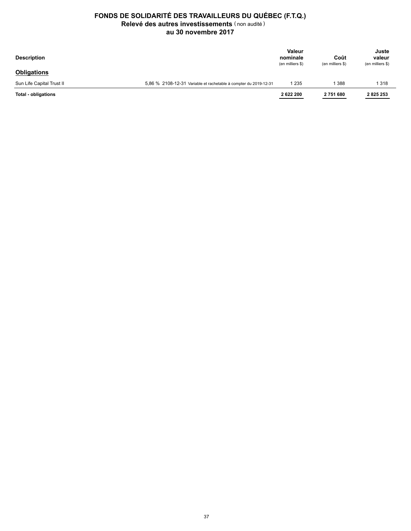| <b>Description</b>        |                                                                  | <b>Valeur</b><br>nominale<br>(en milliers \$) | Coût<br>(en milliers \$) | Juste<br>valeur<br>(en milliers \$) |
|---------------------------|------------------------------------------------------------------|-----------------------------------------------|--------------------------|-------------------------------------|
| <b>Obligations</b>        |                                                                  |                                               |                          |                                     |
| Sun Life Capital Trust II | 5.86 % 2108-12-31 Variable et rachetable à compter du 2019-12-31 | 1 235                                         | 388                      | 1318                                |
| Total - obligations       |                                                                  | 2622200                                       | 2751680                  | 2825253                             |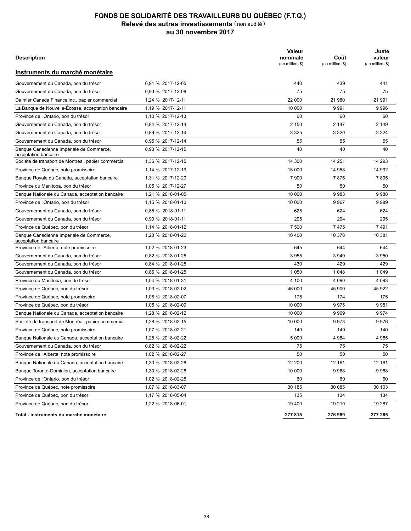| Description                                                      |                   | <b>Valeur</b><br>nominale<br>(en milliers \$) | Coût<br>(en milliers \$) | Juste<br>valeur<br>(en milliers \$) |
|------------------------------------------------------------------|-------------------|-----------------------------------------------|--------------------------|-------------------------------------|
| Instruments du marché monétaire                                  |                   |                                               |                          |                                     |
| Gouvernement du Canada, bon du trésor                            | 0.91 % 2017-12-05 | 440                                           | 439                      | 441                                 |
| Gouvernement du Canada, bon du trésor                            | 0.93 % 2017-12-08 | 75                                            | 75                       | 75                                  |
| Daimler Canada Finance inc., papier commercial                   | 1,24 % 2017-12-11 | 22 000                                        | 21 980                   | 21 991                              |
| La Banque de Nouvelle-Écosse, acceptation bancaire               | 1,19 % 2017-12-11 | 10 000                                        | 9991                     | 9996                                |
| Province de l'Ontario, bon du trésor                             | 1,10 % 2017-12-13 | 60                                            | 60                       | 60                                  |
| Gouvernement du Canada, bon du trésor                            | 0,84 % 2017-12-14 | 2 1 5 0                                       | 2 147                    | 2 1 4 9                             |
| Gouvernement du Canada, bon du trésor                            | 0.89 % 2017-12-14 | 3 3 2 5                                       | 3 3 2 0                  | 3 3 2 4                             |
| Gouvernement du Canada, bon du trésor                            | 0.95 % 2017-12-14 | 55                                            | 55                       | 55                                  |
| Banque Canadienne Impériale de Commerce,<br>acceptation bancaire | 0.93 % 2017-12-15 | 40                                            | 40                       | 40                                  |
| Société de transport de Montréal, papier commercial              | 1,36 % 2017-12-15 | 14 300                                        | 14 251                   | 14 293                              |
| Province de Québec, note promissoire                             | 1,14 % 2017-12-19 | 15 000                                        | 14 958                   | 14 992                              |
| Banque Royale du Canada, acceptation bancaire                    | 1,31 % 2017-12-20 | 7 900                                         | 7875                     | 7895                                |
| Province du Manitoba, bon du trésor                              | 1,05 % 2017-12-27 | 50                                            | 50                       | 50                                  |
| Banque Nationale du Canada, acceptation bancaire                 | 1.21 % 2018-01-05 | 10 000                                        | 9983                     | 9988                                |
| Province de l'Ontario, bon du trésor                             | 1,15 % 2018-01-10 | 10 000                                        | 9967                     | 9989                                |
| Gouvernement du Canada, bon du trésor                            | 0.85 % 2018-01-11 | 625                                           | 624                      | 624                                 |
| Gouvernement du Canada, bon du trésor                            | 0,90 % 2018-01-11 | 295                                           | 294                      | 295                                 |
| Province de Québec, bon du trésor                                | 1,14 % 2018-01-12 | 7 500                                         | 7475                     | 7491                                |
| Banque Canadienne Impériale de Commerce,<br>acceptation bancaire | 1.23 % 2018-01-22 | 10 400                                        | 10 378                   | 10 381                              |
| Province de l'Alberta, note promissoire                          | 1,02 % 2018-01-23 | 645                                           | 644                      | 644                                 |
| Gouvernement du Canada, bon du trésor                            | 0.82 % 2018-01-25 | 3955                                          | 3949                     | 3 9 5 0                             |
| Gouvernement du Canada, bon du trésor                            | 0.84 % 2018-01-25 | 430                                           | 429                      | 429                                 |
| Gouvernement du Canada, bon du trésor                            | 0,86 % 2018-01-25 | 1 0 5 0                                       | 1 0 4 8                  | 1 0 4 9                             |
| Province du Manitoba, bon du trésor                              | 1,04 % 2018-01-31 | 4 100                                         | 4 0 9 0                  | 4 0 9 3                             |
| Province de Québec, bon du trésor                                | 1,03 % 2018-02-02 | 46 000                                        | 45 900                   | 45 922                              |
| Province de Québec, note promissoire                             | 1,08 % 2018-02-07 | 175                                           | 174                      | 175                                 |
| Province de Québec, bon du trésor                                | 1,05 % 2018-02-09 | 10 000                                        | 9975                     | 9981                                |
| Banque Nationale du Canada, acceptation bancaire                 | 1,28 % 2018-02-12 | 10 000                                        | 9969                     | 9974                                |
| Société de transport de Montréal, papier commercial              | 1,28 % 2018-02-15 | 10 000                                        | 9973                     | 9976                                |
| Province de Québec, note promissoire                             | 1,07 % 2018-02-21 | 140                                           | 140                      | 140                                 |
| Banque Nationale du Canada, acceptation bancaire                 | 1,28 % 2018-02-22 | 5 0 0 0                                       | 4 9 8 4                  | 4 9 8 5                             |
| Gouvernement du Canada, bon du trésor                            | 0,82 % 2018-02-22 | 75                                            | 75                       | 75                                  |
| Province de l'Alberta, note promissoire                          | 1,02 % 2018-02-27 | 50                                            | 50                       | 50                                  |
| Banque Nationale du Canada, acceptation bancaire                 | 1,30 % 2018-02-28 | 12 200                                        | 12 161                   | 12 161                              |
| Banque Toronto-Dominion, acceptation bancaire                    | 1,30 % 2018-02-28 | 10 000                                        | 9968                     | 9968                                |
| Province de l'Ontario, bon du trésor                             | 1,02 % 2018-02-28 | 60                                            | 60                       | 60                                  |
| Province de Québec, note promissoire                             | 1,07 % 2018-03-07 | 30 185                                        | 30 085                   | 30 103                              |
| Province de Québec, bon du trésor                                | 1,17 % 2018-05-04 | 135                                           | 134                      | 134                                 |
| Province de Québec, bon du trésor                                | 1,22 % 2018-06-01 | 19 400                                        | 19 219                   | 19 287                              |
| Total - instruments du marché monétaire                          |                   | 277 815                                       | 276989                   | 277 285                             |